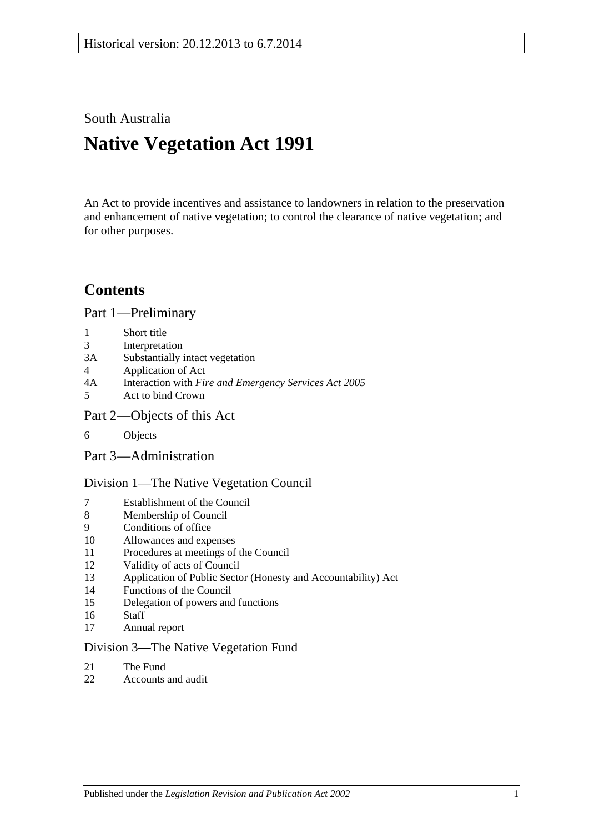South Australia

# **Native Vegetation Act 1991**

An Act to provide incentives and assistance to landowners in relation to the preservation and enhancement of native vegetation; to control the clearance of native vegetation; and for other purposes.

# **Contents**

[Part 1—Preliminary](#page-2-0)

- 1 [Short title](#page-2-1)
- 3 [Interpretation](#page-2-2)
- 3A [Substantially intact vegetation](#page-5-0)
- 4 [Application of Act](#page-5-1)
- 4A Interaction with *[Fire and Emergency Services Act](#page-6-0) 2005*
- 5 [Act to bind Crown](#page-6-1)
- [Part 2—Objects of this Act](#page-7-0)
- 6 [Objects](#page-7-1)
- [Part 3—Administration](#page-7-2)

[Division 1—The Native Vegetation Council](#page-7-3)

- 7 [Establishment of the Council](#page-7-4)
- 8 [Membership of Council](#page-7-5)
- 9 [Conditions of office](#page-8-0)
- 10 [Allowances and expenses](#page-9-0)
- 11 [Procedures at meetings of the Council](#page-9-1)
- 12 [Validity of acts of Council](#page-9-2)
- 13 [Application of Public Sector \(Honesty and Accountability\) Act](#page-9-3)
- 14 [Functions of the Council](#page-9-4)
- 15 [Delegation of powers and functions](#page-10-0)
- 16 [Staff](#page-11-0)
- 17 [Annual report](#page-12-0)

#### [Division 3—The Native Vegetation Fund](#page-12-1)

- 21 [The Fund](#page-12-2)
- 22 [Accounts and audit](#page-14-0)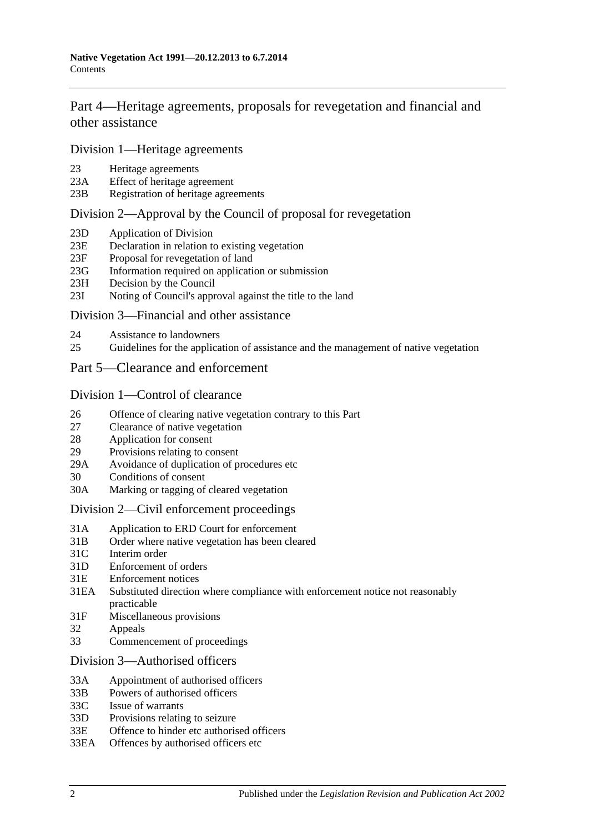[Part 4—Heritage agreements, proposals for revegetation and financial and](#page-14-1)  [other assistance](#page-14-1)

[Division 1—Heritage agreements](#page-14-2)

- 23 [Heritage agreements](#page-14-3)
- 23A [Effect of heritage agreement](#page-14-4)<br>23B Registration of heritage agree
- [Registration of heritage agreements](#page-15-0)

## [Division 2—Approval by the Council of proposal for revegetation](#page-15-1)

- 23D [Application of Division](#page-15-2)
- 23E [Declaration in relation to existing vegetation](#page-16-0)
- 23F [Proposal for revegetation of land](#page-16-1)
- 23G [Information required on application or submission](#page-16-2)
- 23H [Decision by the Council](#page-16-3)
- 23I [Noting of Council's approval against the title to the land](#page-16-4)

#### [Division 3—Financial and other assistance](#page-17-0)

- 24 [Assistance to landowners](#page-17-1)
- 25 [Guidelines for the application of assistance and the management of native vegetation](#page-18-0)
- [Part 5—Clearance and enforcement](#page-19-0)

#### [Division 1—Control of clearance](#page-19-1)

- 26 [Offence of clearing native vegetation contrary to this Part](#page-19-2)
- 27 [Clearance of native vegetation](#page-20-0)
- 28 [Application for consent](#page-21-0)
- 29 [Provisions relating to consent](#page-22-0)
- 29A [Avoidance of duplication of procedures etc](#page-25-0)
- 30 [Conditions of consent](#page-26-0)
- 30A [Marking or tagging of cleared vegetation](#page-27-0)

#### [Division 2—Civil enforcement proceedings](#page-28-0)

- 31A [Application to ERD Court for enforcement](#page-28-1)
- 31B [Order where native vegetation has been cleared](#page-29-0)
- 31C [Interim order](#page-31-0)
- 31D [Enforcement of orders](#page-31-1)
- 31E [Enforcement notices](#page-32-0)
- 31EA [Substituted direction where compliance with enforcement notice not reasonably](#page-33-0)  [practicable](#page-33-0)
- 31F [Miscellaneous provisions](#page-33-1)
- 32 [Appeals](#page-34-0)
- 33 [Commencement of proceedings](#page-34-1)

#### [Division 3—Authorised officers](#page-34-2)

- 33A [Appointment of authorised officers](#page-34-3)
- 33B [Powers of authorised officers](#page-35-0)
- 33C [Issue of warrants](#page-37-0)
- 33D [Provisions relating to seizure](#page-39-0)
- 33E [Offence to hinder etc authorised officers](#page-39-1)
- 33EA [Offences by authorised officers etc](#page-40-0)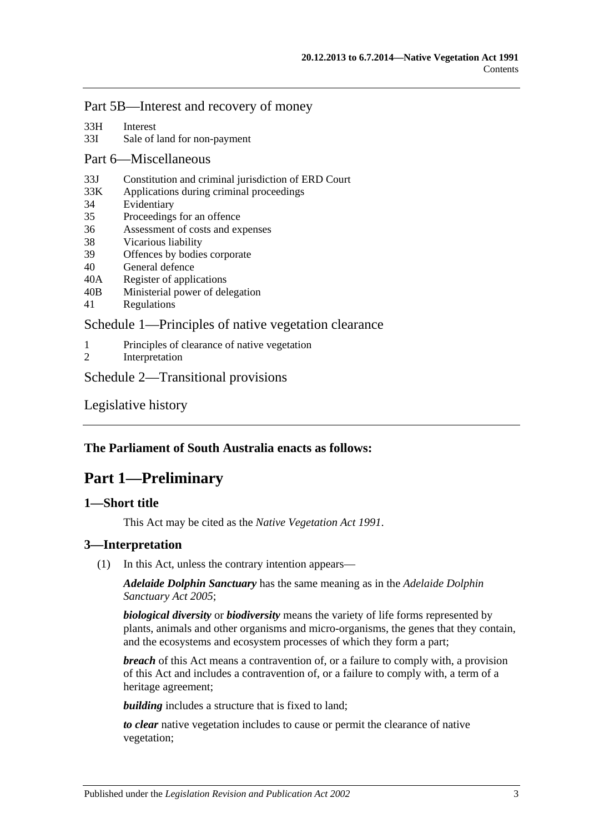## [Part 5B—Interest and recovery of money](#page-40-1)

- 33H [Interest](#page-40-2)
- 33I [Sale of land for non-payment](#page-40-3)

#### [Part 6—Miscellaneous](#page-42-0)

- 33J [Constitution and criminal jurisdiction of ERD Court](#page-42-1)
- 33K [Applications during criminal proceedings](#page-43-0)
- 34 [Evidentiary](#page-43-1)
- 35 [Proceedings for an offence](#page-44-0)
- 36 [Assessment of costs and expenses](#page-44-1)
- 38 [Vicarious liability](#page-44-2)
- 39 [Offences by bodies corporate](#page-44-3)
- 40 [General defence](#page-45-0)<br>40A Register of appli
- [Register of applications](#page-45-1)
- 40B [Ministerial power of delegation](#page-45-2)
- 41 [Regulations](#page-45-3)

## [Schedule 1—Principles of native vegetation clearance](#page-46-0)

- 1 [Principles of clearance of native vegetation](#page-46-1)<br>2 Interpretation
- [Interpretation](#page-47-0)

#### [Schedule 2—Transitional provisions](#page-47-1)

[Legislative history](#page-49-0)

## <span id="page-2-0"></span>**The Parliament of South Australia enacts as follows:**

# **Part 1—Preliminary**

## <span id="page-2-1"></span>**1—Short title**

This Act may be cited as the *Native Vegetation Act 1991*.

## <span id="page-2-2"></span>**3—Interpretation**

(1) In this Act, unless the contrary intention appears—

*Adelaide Dolphin Sanctuary* has the same meaning as in the *[Adelaide Dolphin](http://www.legislation.sa.gov.au/index.aspx?action=legref&type=act&legtitle=Adelaide%20Dolphin%20Sanctuary%20Act%202005)  [Sanctuary Act](http://www.legislation.sa.gov.au/index.aspx?action=legref&type=act&legtitle=Adelaide%20Dolphin%20Sanctuary%20Act%202005) 2005*;

*biological diversity* or *biodiversity* means the variety of life forms represented by plants, animals and other organisms and micro-organisms, the genes that they contain, and the ecosystems and ecosystem processes of which they form a part;

*breach* of this Act means a contravention of, or a failure to comply with, a provision of this Act and includes a contravention of, or a failure to comply with, a term of a heritage agreement;

**building** includes a structure that is fixed to land;

*to clear* native vegetation includes to cause or permit the clearance of native vegetation;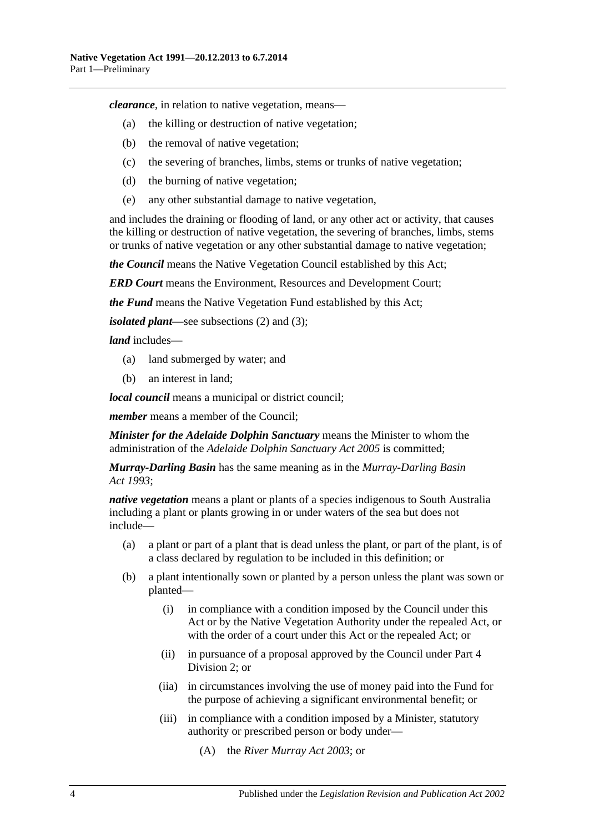*clearance*, in relation to native vegetation, means—

- (a) the killing or destruction of native vegetation;
- (b) the removal of native vegetation;
- (c) the severing of branches, limbs, stems or trunks of native vegetation;
- (d) the burning of native vegetation;
- (e) any other substantial damage to native vegetation,

and includes the draining or flooding of land, or any other act or activity, that causes the killing or destruction of native vegetation, the severing of branches, limbs, stems or trunks of native vegetation or any other substantial damage to native vegetation;

*the Council* means the Native Vegetation Council established by this Act;

*ERD Court* means the Environment, Resources and Development Court;

*the Fund* means the Native Vegetation Fund established by this Act;

*isolated plant*—see [subsections](#page-4-0) (2) and [\(3\);](#page-4-1)

*land* includes—

- (a) land submerged by water; and
- (b) an interest in land;

*local council* means a municipal or district council;

*member* means a member of the Council;

*Minister for the Adelaide Dolphin Sanctuary* means the Minister to whom the administration of the *[Adelaide Dolphin Sanctuary Act](http://www.legislation.sa.gov.au/index.aspx?action=legref&type=act&legtitle=Adelaide%20Dolphin%20Sanctuary%20Act%202005) 2005* is committed;

*Murray-Darling Basin* has the same meaning as in the *[Murray-Darling Basin](http://www.legislation.sa.gov.au/index.aspx?action=legref&type=act&legtitle=Murray-Darling%20Basin%20Act%201993)  Act [1993](http://www.legislation.sa.gov.au/index.aspx?action=legref&type=act&legtitle=Murray-Darling%20Basin%20Act%201993)*;

*native vegetation* means a plant or plants of a species indigenous to South Australia including a plant or plants growing in or under waters of the sea but does not include—

- (a) a plant or part of a plant that is dead unless the plant, or part of the plant, is of a class declared by regulation to be included in this definition; or
- (b) a plant intentionally sown or planted by a person unless the plant was sown or planted—
	- (i) in compliance with a condition imposed by the Council under this Act or by the Native Vegetation Authority under the repealed Act, or with the order of a court under this Act or the repealed Act; or
	- (ii) in pursuance of a proposal approved by the Council under [Part 4](#page-15-1)  [Division 2;](#page-15-1) or
	- (iia) in circumstances involving the use of money paid into the Fund for the purpose of achieving a significant environmental benefit; or
	- (iii) in compliance with a condition imposed by a Minister, statutory authority or prescribed person or body under—
		- (A) the *[River Murray Act](http://www.legislation.sa.gov.au/index.aspx?action=legref&type=act&legtitle=River%20Murray%20Act%202003) 2003*; or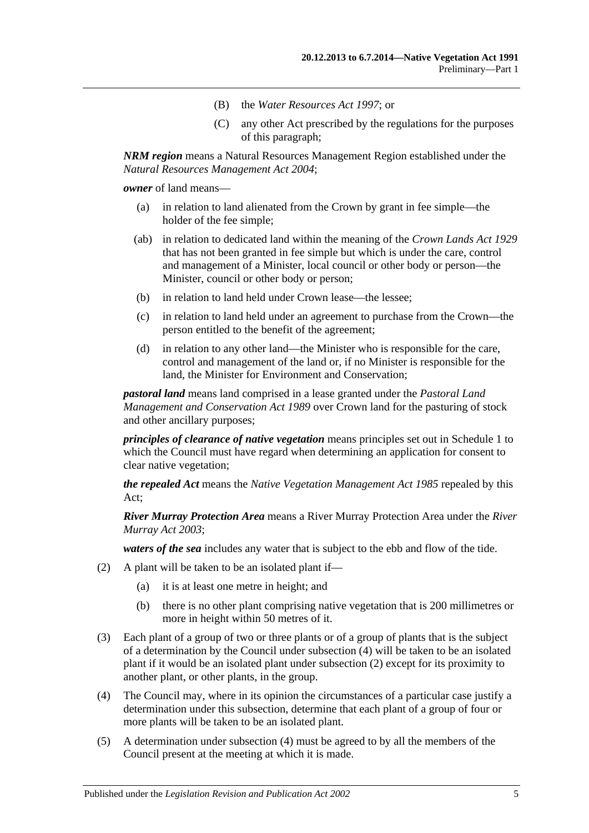- (B) the *[Water Resources Act](http://www.legislation.sa.gov.au/index.aspx?action=legref&type=act&legtitle=Water%20Resources%20Act%201997) 1997*; or
- (C) any other Act prescribed by the regulations for the purposes of this paragraph;

*NRM region* means a Natural Resources Management Region established under the *[Natural Resources Management Act](http://www.legislation.sa.gov.au/index.aspx?action=legref&type=act&legtitle=Natural%20Resources%20Management%20Act%202004) 2004*;

*owner* of land means—

- (a) in relation to land alienated from the Crown by grant in fee simple—the holder of the fee simple;
- (ab) in relation to dedicated land within the meaning of the *[Crown Lands Act](http://www.legislation.sa.gov.au/index.aspx?action=legref&type=act&legtitle=Crown%20Lands%20Act%201929) 1929* that has not been granted in fee simple but which is under the care, control and management of a Minister, local council or other body or person—the Minister, council or other body or person;
- (b) in relation to land held under Crown lease—the lessee;
- (c) in relation to land held under an agreement to purchase from the Crown—the person entitled to the benefit of the agreement;
- (d) in relation to any other land—the Minister who is responsible for the care, control and management of the land or, if no Minister is responsible for the land, the Minister for Environment and Conservation;

*pastoral land* means land comprised in a lease granted under the *[Pastoral Land](http://www.legislation.sa.gov.au/index.aspx?action=legref&type=act&legtitle=Pastoral%20Land%20Management%20and%20Conservation%20Act%201989)  [Management and Conservation Act](http://www.legislation.sa.gov.au/index.aspx?action=legref&type=act&legtitle=Pastoral%20Land%20Management%20and%20Conservation%20Act%201989) 1989* over Crown land for the pasturing of stock and other ancillary purposes;

*principles of clearance of native vegetation* means principles set out in [Schedule 1](#page-46-0) to which the Council must have regard when determining an application for consent to clear native vegetation;

*the repealed Act* means the *[Native Vegetation Management Act](http://www.legislation.sa.gov.au/index.aspx?action=legref&type=act&legtitle=Native%20Vegetation%20Management%20Act%201985) 1985* repealed by this Act;

*River Murray Protection Area* means a River Murray Protection Area under the *[River](http://www.legislation.sa.gov.au/index.aspx?action=legref&type=act&legtitle=River%20Murray%20Act%202003)  [Murray Act](http://www.legislation.sa.gov.au/index.aspx?action=legref&type=act&legtitle=River%20Murray%20Act%202003) 2003*;

*waters of the sea* includes any water that is subject to the ebb and flow of the tide.

- <span id="page-4-0"></span>(2) A plant will be taken to be an isolated plant if—
	- (a) it is at least one metre in height; and
	- (b) there is no other plant comprising native vegetation that is 200 millimetres or more in height within 50 metres of it.
- <span id="page-4-1"></span>(3) Each plant of a group of two or three plants or of a group of plants that is the subject of a determination by the Council under [subsection](#page-4-2) (4) will be taken to be an isolated plant if it would be an isolated plant under [subsection](#page-4-0) (2) except for its proximity to another plant, or other plants, in the group.
- <span id="page-4-2"></span>(4) The Council may, where in its opinion the circumstances of a particular case justify a determination under this subsection, determine that each plant of a group of four or more plants will be taken to be an isolated plant.
- (5) A determination under [subsection](#page-4-2) (4) must be agreed to by all the members of the Council present at the meeting at which it is made.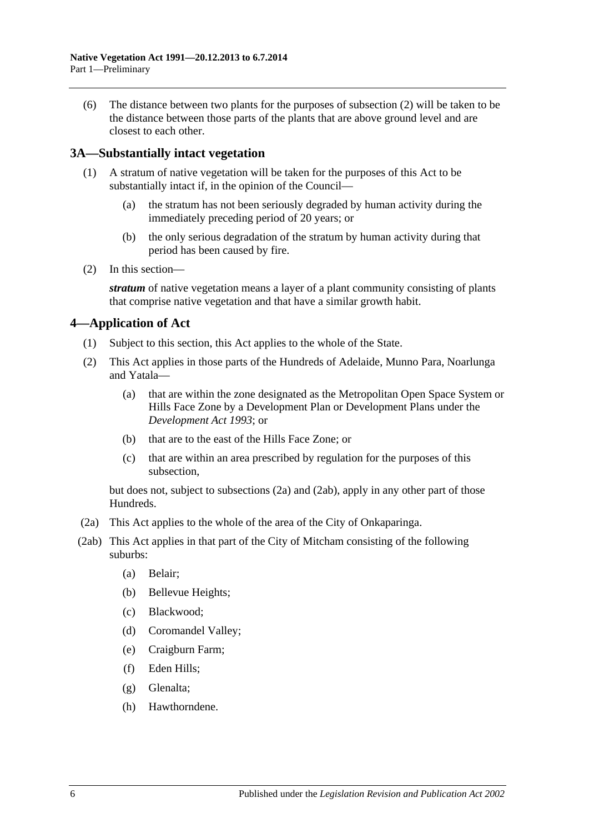(6) The distance between two plants for the purposes of [subsection](#page-4-0) (2) will be taken to be the distance between those parts of the plants that are above ground level and are closest to each other.

## <span id="page-5-0"></span>**3A—Substantially intact vegetation**

- (1) A stratum of native vegetation will be taken for the purposes of this Act to be substantially intact if, in the opinion of the Council—
	- (a) the stratum has not been seriously degraded by human activity during the immediately preceding period of 20 years; or
	- (b) the only serious degradation of the stratum by human activity during that period has been caused by fire.
- (2) In this section—

*stratum* of native vegetation means a layer of a plant community consisting of plants that comprise native vegetation and that have a similar growth habit.

## <span id="page-5-1"></span>**4—Application of Act**

- (1) Subject to this section, this Act applies to the whole of the State.
- <span id="page-5-4"></span>(2) This Act applies in those parts of the Hundreds of Adelaide, Munno Para, Noarlunga and Yatala—
	- (a) that are within the zone designated as the Metropolitan Open Space System or Hills Face Zone by a Development Plan or Development Plans under the *[Development Act](http://www.legislation.sa.gov.au/index.aspx?action=legref&type=act&legtitle=Development%20Act%201993) 1993*; or
	- (b) that are to the east of the Hills Face Zone; or
	- (c) that are within an area prescribed by regulation for the purposes of this subsection,

but does not, subject to [subsections](#page-5-2) (2a) and [\(2ab\),](#page-5-3) apply in any other part of those Hundreds.

- <span id="page-5-2"></span>(2a) This Act applies to the whole of the area of the City of Onkaparinga.
- <span id="page-5-3"></span>(2ab) This Act applies in that part of the City of Mitcham consisting of the following suburbs:
	- (a) Belair;
	- (b) Bellevue Heights;
	- (c) Blackwood;
	- (d) Coromandel Valley;
	- (e) Craigburn Farm;
	- (f) Eden Hills;
	- (g) Glenalta;
	- (h) Hawthorndene.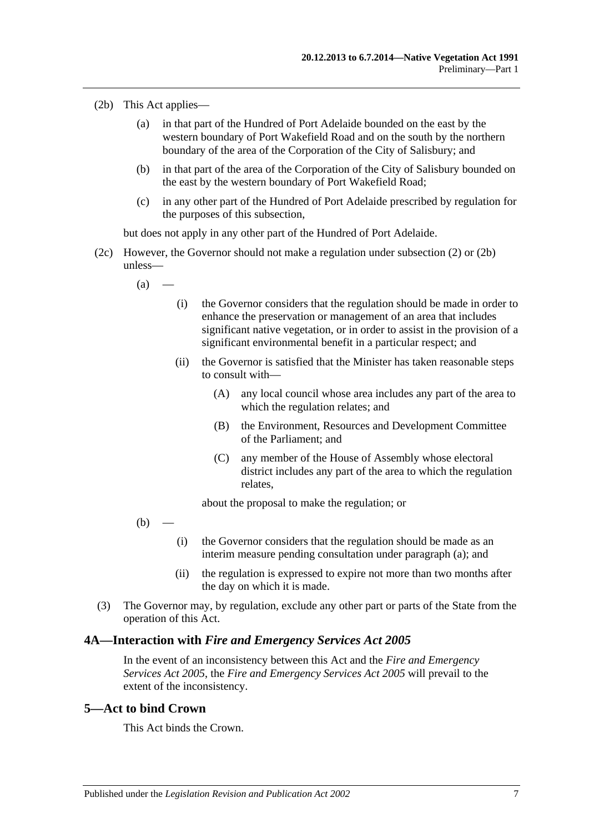- <span id="page-6-2"></span>(2b) This Act applies—
	- (a) in that part of the Hundred of Port Adelaide bounded on the east by the western boundary of Port Wakefield Road and on the south by the northern boundary of the area of the Corporation of the City of Salisbury; and
	- (b) in that part of the area of the Corporation of the City of Salisbury bounded on the east by the western boundary of Port Wakefield Road;
	- (c) in any other part of the Hundred of Port Adelaide prescribed by regulation for the purposes of this subsection,

but does not apply in any other part of the Hundred of Port Adelaide.

- <span id="page-6-3"></span>(2c) However, the Governor should not make a regulation under [subsection](#page-5-4) (2) or [\(2b\)](#page-6-2) unless—
	- $(a)$ 
		- (i) the Governor considers that the regulation should be made in order to enhance the preservation or management of an area that includes significant native vegetation, or in order to assist in the provision of a significant environmental benefit in a particular respect; and
		- (ii) the Governor is satisfied that the Minister has taken reasonable steps to consult with—
			- (A) any local council whose area includes any part of the area to which the regulation relates; and
			- (B) the Environment, Resources and Development Committee of the Parliament; and
			- (C) any member of the House of Assembly whose electoral district includes any part of the area to which the regulation relates,

about the proposal to make the regulation; or

- $(b)$ 
	- (i) the Governor considers that the regulation should be made as an interim measure pending consultation under [paragraph](#page-6-3) (a); and
	- (ii) the regulation is expressed to expire not more than two months after the day on which it is made.
- (3) The Governor may, by regulation, exclude any other part or parts of the State from the operation of this Act.

#### <span id="page-6-0"></span>**4A—Interaction with** *Fire and Emergency Services Act 2005*

In the event of an inconsistency between this Act and the *[Fire and Emergency](http://www.legislation.sa.gov.au/index.aspx?action=legref&type=act&legtitle=Fire%20and%20Emergency%20Services%20Act%202005)  [Services Act](http://www.legislation.sa.gov.au/index.aspx?action=legref&type=act&legtitle=Fire%20and%20Emergency%20Services%20Act%202005) 2005*, the *[Fire and Emergency Services Act](http://www.legislation.sa.gov.au/index.aspx?action=legref&type=act&legtitle=Fire%20and%20Emergency%20Services%20Act%202005) 2005* will prevail to the extent of the inconsistency.

## <span id="page-6-1"></span>**5—Act to bind Crown**

This Act binds the Crown.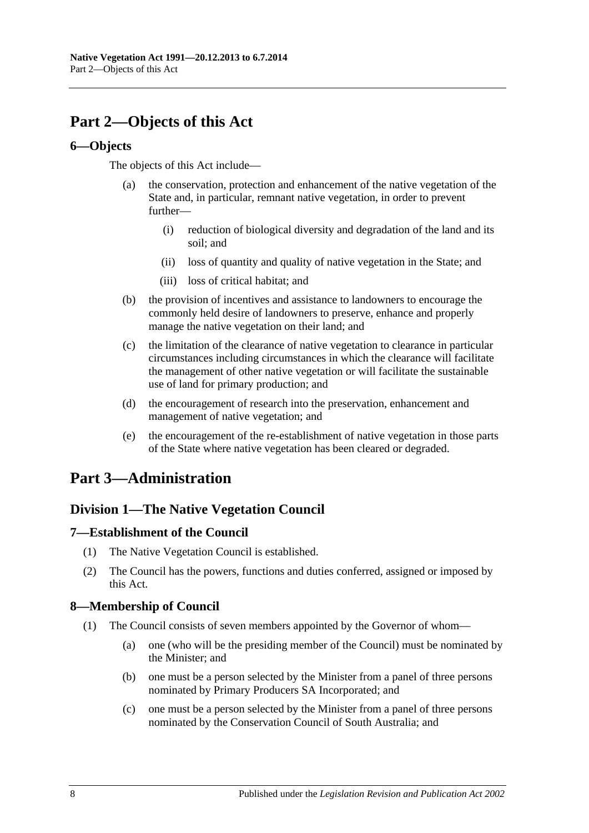# <span id="page-7-0"></span>**Part 2—Objects of this Act**

## <span id="page-7-1"></span>**6—Objects**

The objects of this Act include—

- (a) the conservation, protection and enhancement of the native vegetation of the State and, in particular, remnant native vegetation, in order to prevent further—
	- (i) reduction of biological diversity and degradation of the land and its soil; and
	- (ii) loss of quantity and quality of native vegetation in the State; and
	- (iii) loss of critical habitat; and
- (b) the provision of incentives and assistance to landowners to encourage the commonly held desire of landowners to preserve, enhance and properly manage the native vegetation on their land; and
- (c) the limitation of the clearance of native vegetation to clearance in particular circumstances including circumstances in which the clearance will facilitate the management of other native vegetation or will facilitate the sustainable use of land for primary production; and
- (d) the encouragement of research into the preservation, enhancement and management of native vegetation; and
- (e) the encouragement of the re-establishment of native vegetation in those parts of the State where native vegetation has been cleared or degraded.

# <span id="page-7-3"></span><span id="page-7-2"></span>**Part 3—Administration**

## **Division 1—The Native Vegetation Council**

## <span id="page-7-4"></span>**7—Establishment of the Council**

- (1) The Native Vegetation Council is established.
- (2) The Council has the powers, functions and duties conferred, assigned or imposed by this Act.

## <span id="page-7-5"></span>**8—Membership of Council**

- (1) The Council consists of seven members appointed by the Governor of whom—
	- (a) one (who will be the presiding member of the Council) must be nominated by the Minister; and
	- (b) one must be a person selected by the Minister from a panel of three persons nominated by Primary Producers SA Incorporated; and
	- (c) one must be a person selected by the Minister from a panel of three persons nominated by the Conservation Council of South Australia; and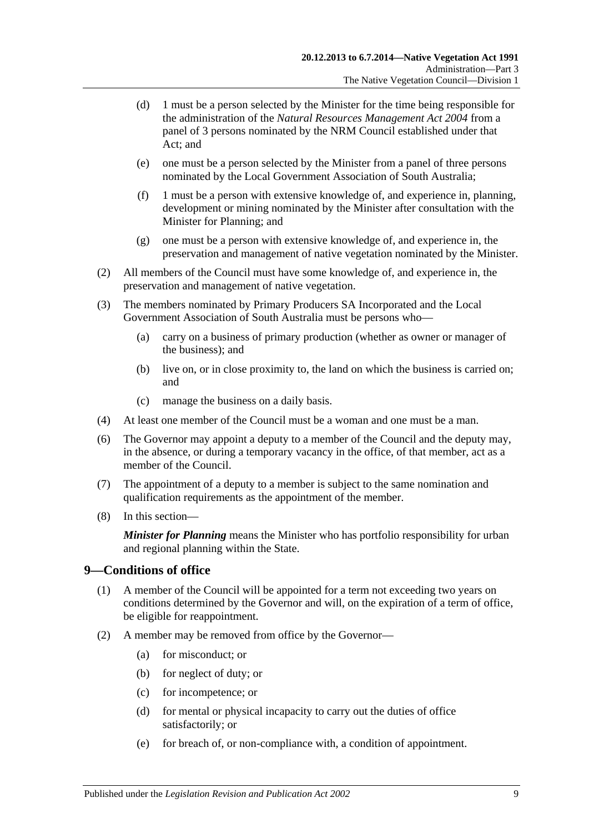- (d) 1 must be a person selected by the Minister for the time being responsible for the administration of the *[Natural Resources Management Act](http://www.legislation.sa.gov.au/index.aspx?action=legref&type=act&legtitle=Natural%20Resources%20Management%20Act%202004) 2004* from a panel of 3 persons nominated by the NRM Council established under that Act; and
- (e) one must be a person selected by the Minister from a panel of three persons nominated by the Local Government Association of South Australia;
- (f) 1 must be a person with extensive knowledge of, and experience in, planning, development or mining nominated by the Minister after consultation with the Minister for Planning; and
- (g) one must be a person with extensive knowledge of, and experience in, the preservation and management of native vegetation nominated by the Minister.
- (2) All members of the Council must have some knowledge of, and experience in, the preservation and management of native vegetation.
- (3) The members nominated by Primary Producers SA Incorporated and the Local Government Association of South Australia must be persons who—
	- (a) carry on a business of primary production (whether as owner or manager of the business); and
	- (b) live on, or in close proximity to, the land on which the business is carried on; and
	- (c) manage the business on a daily basis.
- (4) At least one member of the Council must be a woman and one must be a man.
- (6) The Governor may appoint a deputy to a member of the Council and the deputy may, in the absence, or during a temporary vacancy in the office, of that member, act as a member of the Council.
- (7) The appointment of a deputy to a member is subject to the same nomination and qualification requirements as the appointment of the member.
- (8) In this section—

*Minister for Planning* means the Minister who has portfolio responsibility for urban and regional planning within the State.

## <span id="page-8-0"></span>**9—Conditions of office**

- (1) A member of the Council will be appointed for a term not exceeding two years on conditions determined by the Governor and will, on the expiration of a term of office, be eligible for reappointment.
- <span id="page-8-1"></span>(2) A member may be removed from office by the Governor—
	- (a) for misconduct; or
	- (b) for neglect of duty; or
	- (c) for incompetence; or
	- (d) for mental or physical incapacity to carry out the duties of office satisfactorily; or
	- (e) for breach of, or non-compliance with, a condition of appointment.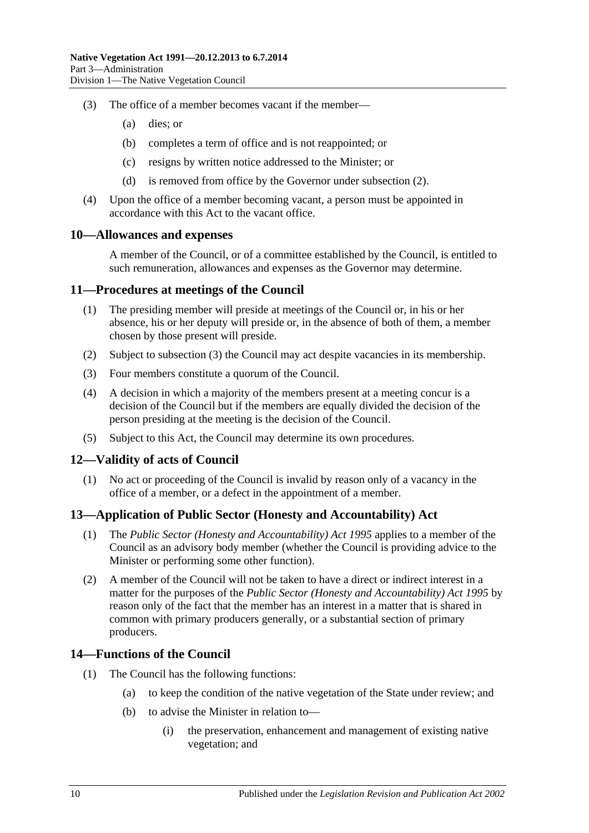- (3) The office of a member becomes vacant if the member—
	- (a) dies; or
	- (b) completes a term of office and is not reappointed; or
	- (c) resigns by written notice addressed to the Minister; or
	- (d) is removed from office by the Governor under [subsection](#page-8-1) (2).
- (4) Upon the office of a member becoming vacant, a person must be appointed in accordance with this Act to the vacant office.

#### <span id="page-9-0"></span>**10—Allowances and expenses**

A member of the Council, or of a committee established by the Council, is entitled to such remuneration, allowances and expenses as the Governor may determine.

#### <span id="page-9-1"></span>**11—Procedures at meetings of the Council**

- (1) The presiding member will preside at meetings of the Council or, in his or her absence, his or her deputy will preside or, in the absence of both of them, a member chosen by those present will preside.
- (2) Subject to [subsection](#page-9-5) (3) the Council may act despite vacancies in its membership.
- <span id="page-9-5"></span>(3) Four members constitute a quorum of the Council.
- (4) A decision in which a majority of the members present at a meeting concur is a decision of the Council but if the members are equally divided the decision of the person presiding at the meeting is the decision of the Council.
- (5) Subject to this Act, the Council may determine its own procedures.

#### <span id="page-9-2"></span>**12—Validity of acts of Council**

(1) No act or proceeding of the Council is invalid by reason only of a vacancy in the office of a member, or a defect in the appointment of a member.

#### <span id="page-9-3"></span>**13—Application of Public Sector (Honesty and Accountability) Act**

- (1) The *[Public Sector \(Honesty and Accountability\) Act](http://www.legislation.sa.gov.au/index.aspx?action=legref&type=act&legtitle=Public%20Sector%20(Honesty%20and%20Accountability)%20Act%201995) 1995* applies to a member of the Council as an advisory body member (whether the Council is providing advice to the Minister or performing some other function).
- (2) A member of the Council will not be taken to have a direct or indirect interest in a matter for the purposes of the *[Public Sector \(Honesty and Accountability\) Act](http://www.legislation.sa.gov.au/index.aspx?action=legref&type=act&legtitle=Public%20Sector%20(Honesty%20and%20Accountability)%20Act%201995) 1995* by reason only of the fact that the member has an interest in a matter that is shared in common with primary producers generally, or a substantial section of primary producers.

#### <span id="page-9-4"></span>**14—Functions of the Council**

- (1) The Council has the following functions:
	- (a) to keep the condition of the native vegetation of the State under review; and
	- (b) to advise the Minister in relation to—
		- (i) the preservation, enhancement and management of existing native vegetation; and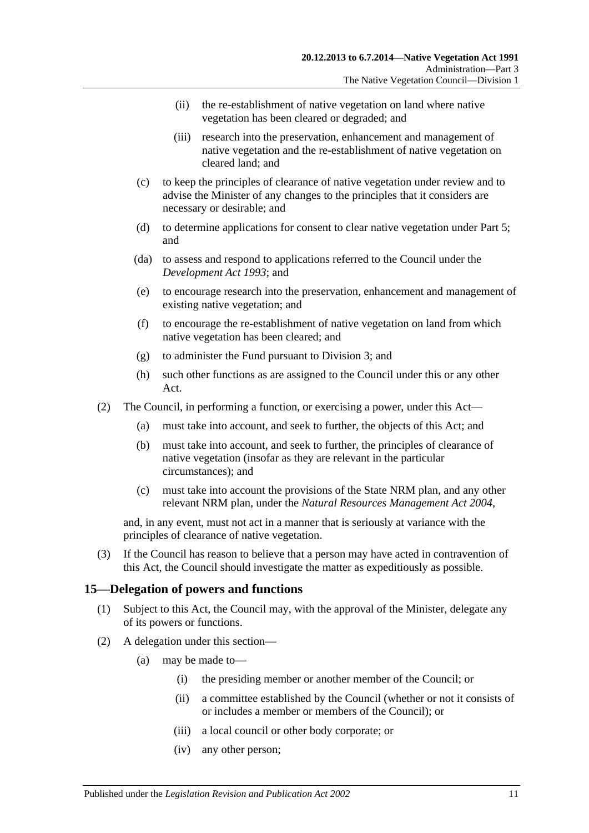- (ii) the re-establishment of native vegetation on land where native vegetation has been cleared or degraded; and
- (iii) research into the preservation, enhancement and management of native vegetation and the re-establishment of native vegetation on cleared land; and
- (c) to keep the principles of clearance of native vegetation under review and to advise the Minister of any changes to the principles that it considers are necessary or desirable; and
- (d) to determine applications for consent to clear native vegetation under [Part 5;](#page-19-0) and
- (da) to assess and respond to applications referred to the Council under the *[Development Act](http://www.legislation.sa.gov.au/index.aspx?action=legref&type=act&legtitle=Development%20Act%201993) 1993*; and
- (e) to encourage research into the preservation, enhancement and management of existing native vegetation; and
- (f) to encourage the re-establishment of native vegetation on land from which native vegetation has been cleared; and
- (g) to administer the Fund pursuant to [Division 3;](#page-12-1) and
- (h) such other functions as are assigned to the Council under this or any other Act.
- (2) The Council, in performing a function, or exercising a power, under this Act—
	- (a) must take into account, and seek to further, the objects of this Act; and
	- (b) must take into account, and seek to further, the principles of clearance of native vegetation (insofar as they are relevant in the particular circumstances); and
	- (c) must take into account the provisions of the State NRM plan, and any other relevant NRM plan, under the *[Natural Resources Management Act](http://www.legislation.sa.gov.au/index.aspx?action=legref&type=act&legtitle=Natural%20Resources%20Management%20Act%202004) 2004*,

and, in any event, must not act in a manner that is seriously at variance with the principles of clearance of native vegetation.

(3) If the Council has reason to believe that a person may have acted in contravention of this Act, the Council should investigate the matter as expeditiously as possible.

#### <span id="page-10-0"></span>**15—Delegation of powers and functions**

- (1) Subject to this Act, the Council may, with the approval of the Minister, delegate any of its powers or functions.
- <span id="page-10-1"></span>(2) A delegation under this section—
	- (a) may be made to—
		- (i) the presiding member or another member of the Council; or
		- (ii) a committee established by the Council (whether or not it consists of or includes a member or members of the Council); or
		- (iii) a local council or other body corporate; or
		- (iv) any other person;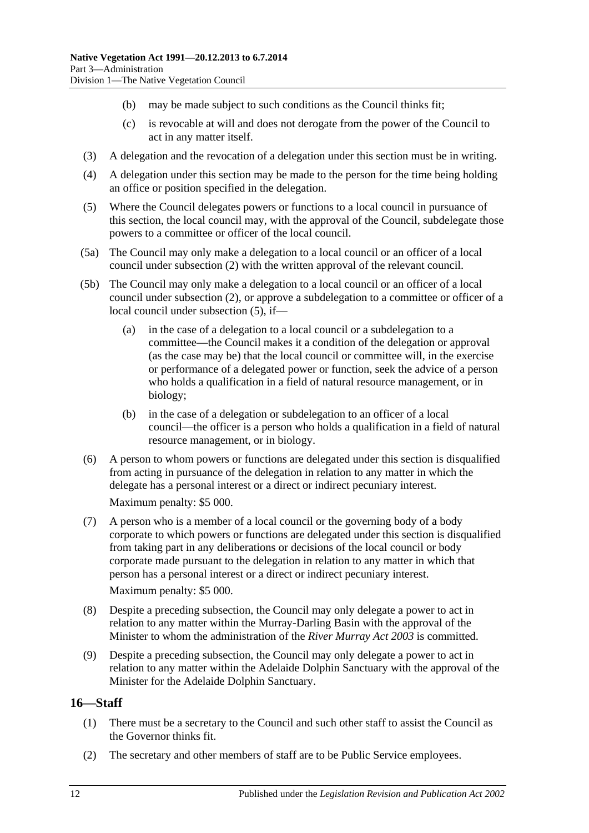- (b) may be made subject to such conditions as the Council thinks fit;
- (c) is revocable at will and does not derogate from the power of the Council to act in any matter itself.
- (3) A delegation and the revocation of a delegation under this section must be in writing.
- (4) A delegation under this section may be made to the person for the time being holding an office or position specified in the delegation.
- <span id="page-11-1"></span>(5) Where the Council delegates powers or functions to a local council in pursuance of this section, the local council may, with the approval of the Council, subdelegate those powers to a committee or officer of the local council.
- (5a) The Council may only make a delegation to a local council or an officer of a local council under [subsection](#page-10-1) (2) with the written approval of the relevant council.
- (5b) The Council may only make a delegation to a local council or an officer of a local council under [subsection](#page-10-1) (2), or approve a subdelegation to a committee or officer of a local council under [subsection](#page-11-1) (5), if—
	- (a) in the case of a delegation to a local council or a subdelegation to a committee—the Council makes it a condition of the delegation or approval (as the case may be) that the local council or committee will, in the exercise or performance of a delegated power or function, seek the advice of a person who holds a qualification in a field of natural resource management, or in biology;
	- (b) in the case of a delegation or subdelegation to an officer of a local council—the officer is a person who holds a qualification in a field of natural resource management, or in biology.
- (6) A person to whom powers or functions are delegated under this section is disqualified from acting in pursuance of the delegation in relation to any matter in which the delegate has a personal interest or a direct or indirect pecuniary interest.

Maximum penalty: \$5 000.

- (7) A person who is a member of a local council or the governing body of a body corporate to which powers or functions are delegated under this section is disqualified from taking part in any deliberations or decisions of the local council or body corporate made pursuant to the delegation in relation to any matter in which that person has a personal interest or a direct or indirect pecuniary interest. Maximum penalty: \$5 000.
- (8) Despite a preceding subsection, the Council may only delegate a power to act in relation to any matter within the Murray-Darling Basin with the approval of the Minister to whom the administration of the *[River Murray Act](http://www.legislation.sa.gov.au/index.aspx?action=legref&type=act&legtitle=River%20Murray%20Act%202003) 2003* is committed.
- (9) Despite a preceding subsection, the Council may only delegate a power to act in relation to any matter within the Adelaide Dolphin Sanctuary with the approval of the Minister for the Adelaide Dolphin Sanctuary.

## <span id="page-11-0"></span>**16—Staff**

- (1) There must be a secretary to the Council and such other staff to assist the Council as the Governor thinks fit.
- (2) The secretary and other members of staff are to be Public Service employees.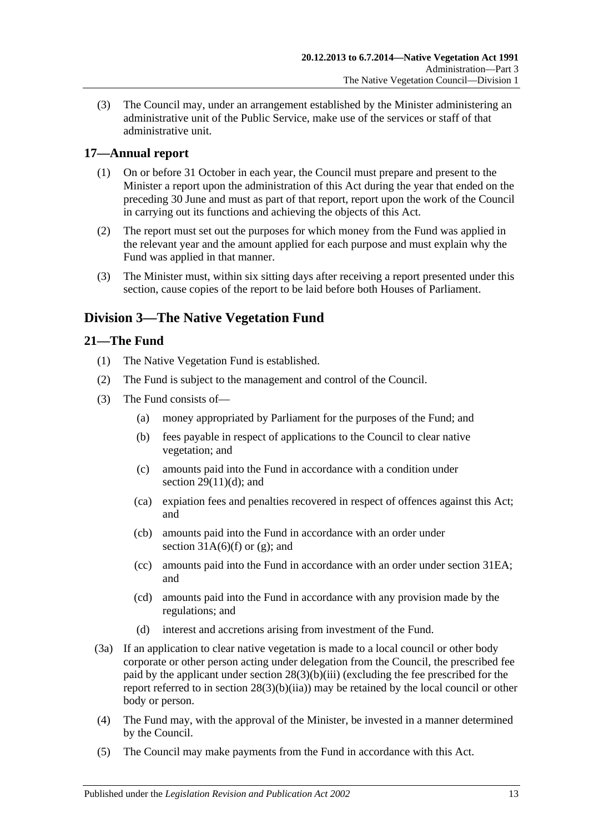(3) The Council may, under an arrangement established by the Minister administering an administrative unit of the Public Service, make use of the services or staff of that administrative unit.

## <span id="page-12-0"></span>**17—Annual report**

- (1) On or before 31 October in each year, the Council must prepare and present to the Minister a report upon the administration of this Act during the year that ended on the preceding 30 June and must as part of that report, report upon the work of the Council in carrying out its functions and achieving the objects of this Act.
- (2) The report must set out the purposes for which money from the Fund was applied in the relevant year and the amount applied for each purpose and must explain why the Fund was applied in that manner.
- (3) The Minister must, within six sitting days after receiving a report presented under this section, cause copies of the report to be laid before both Houses of Parliament.

# <span id="page-12-1"></span>**Division 3—The Native Vegetation Fund**

## <span id="page-12-2"></span>**21—The Fund**

- (1) The Native Vegetation Fund is established.
- (2) The Fund is subject to the management and control of the Council.
- <span id="page-12-4"></span><span id="page-12-3"></span>(3) The Fund consists of—
	- (a) money appropriated by Parliament for the purposes of the Fund; and
	- (b) fees payable in respect of applications to the Council to clear native vegetation; and
	- (c) amounts paid into the Fund in accordance with a condition under section  $29(11)(d)$ ; and
	- (ca) expiation fees and penalties recovered in respect of offences against this Act; and
	- (cb) amounts paid into the Fund in accordance with an order under section  $31A(6)(f)$  or [\(g\);](#page-29-2) and
	- (cc) amounts paid into the Fund in accordance with an order under [section](#page-33-0) 31EA; and
	- (cd) amounts paid into the Fund in accordance with any provision made by the regulations; and
	- (d) interest and accretions arising from investment of the Fund.
- <span id="page-12-7"></span><span id="page-12-6"></span><span id="page-12-5"></span>(3a) If an application to clear native vegetation is made to a local council or other body corporate or other person acting under delegation from the Council, the prescribed fee paid by the applicant under section [28\(3\)\(b\)\(iii\)](#page-21-1) (excluding the fee prescribed for the report referred to in section [28\(3\)\(b\)\(iia\)\)](#page-21-2) may be retained by the local council or other body or person.
- (4) The Fund may, with the approval of the Minister, be invested in a manner determined by the Council.
- (5) The Council may make payments from the Fund in accordance with this Act.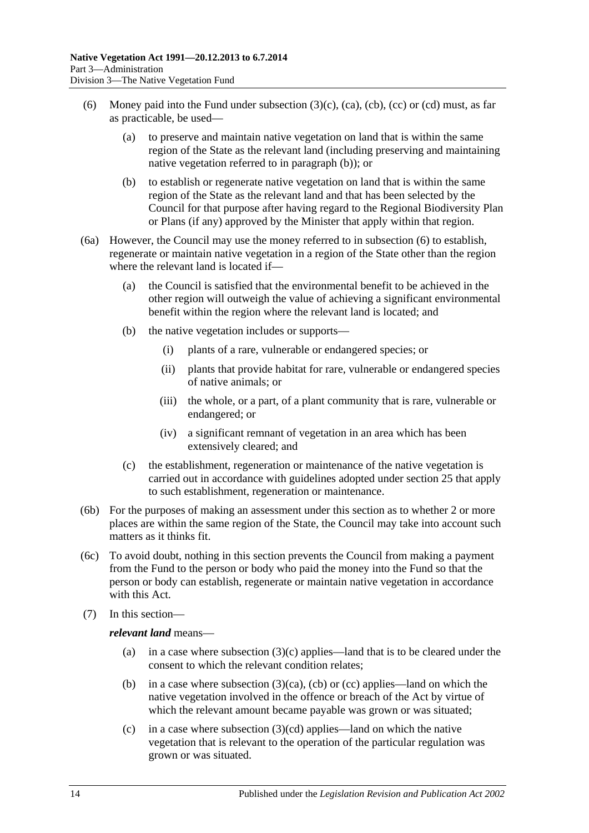- <span id="page-13-1"></span>(6) Money paid into the Fund under [subsection](#page-12-3)  $(3)(c)$ ,  $(ca)$ ,  $(cb)$ ,  $(cc)$  or  $(cd)$  must, as far as practicable, be used—
	- (a) to preserve and maintain native vegetation on land that is within the same region of the State as the relevant land (including preserving and maintaining native vegetation referred to in [paragraph](#page-13-0) (b)); or
	- (b) to establish or regenerate native vegetation on land that is within the same region of the State as the relevant land and that has been selected by the Council for that purpose after having regard to the Regional Biodiversity Plan or Plans (if any) approved by the Minister that apply within that region.
- <span id="page-13-0"></span>(6a) However, the Council may use the money referred to in [subsection](#page-13-1) (6) to establish, regenerate or maintain native vegetation in a region of the State other than the region where the relevant land is located if—
	- (a) the Council is satisfied that the environmental benefit to be achieved in the other region will outweigh the value of achieving a significant environmental benefit within the region where the relevant land is located; and
	- (b) the native vegetation includes or supports—
		- (i) plants of a rare, vulnerable or endangered species; or
		- (ii) plants that provide habitat for rare, vulnerable or endangered species of native animals; or
		- (iii) the whole, or a part, of a plant community that is rare, vulnerable or endangered; or
		- (iv) a significant remnant of vegetation in an area which has been extensively cleared; and
	- (c) the establishment, regeneration or maintenance of the native vegetation is carried out in accordance with guidelines adopted under [section](#page-18-0) 25 that apply to such establishment, regeneration or maintenance.
- (6b) For the purposes of making an assessment under this section as to whether 2 or more places are within the same region of the State, the Council may take into account such matters as it thinks fit.
- (6c) To avoid doubt, nothing in this section prevents the Council from making a payment from the Fund to the person or body who paid the money into the Fund so that the person or body can establish, regenerate or maintain native vegetation in accordance with this Act.
- (7) In this section—

#### *relevant land* means—

- (a) in a case where [subsection](#page-12-3)  $(3)(c)$  applies—land that is to be cleared under the consent to which the relevant condition relates;
- (b) in a case where [subsection](#page-12-4)  $(3)(ca)$ , [\(cb\)](#page-12-5) or [\(cc\)](#page-12-6) applies—land on which the native vegetation involved in the offence or breach of the Act by virtue of which the relevant amount became payable was grown or was situated:
- (c) in a case where [subsection](#page-12-7)  $(3)(cd)$  applies—land on which the native vegetation that is relevant to the operation of the particular regulation was grown or was situated.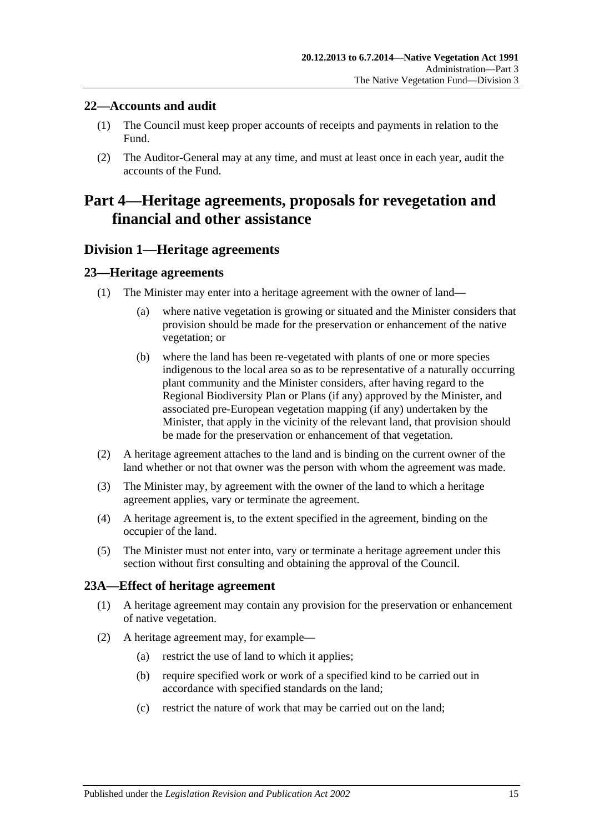## <span id="page-14-0"></span>**22—Accounts and audit**

- (1) The Council must keep proper accounts of receipts and payments in relation to the Fund.
- (2) The Auditor-General may at any time, and must at least once in each year, audit the accounts of the Fund.

# <span id="page-14-1"></span>**Part 4—Heritage agreements, proposals for revegetation and financial and other assistance**

## <span id="page-14-2"></span>**Division 1—Heritage agreements**

## <span id="page-14-3"></span>**23—Heritage agreements**

- (1) The Minister may enter into a heritage agreement with the owner of land—
	- (a) where native vegetation is growing or situated and the Minister considers that provision should be made for the preservation or enhancement of the native vegetation; or
	- (b) where the land has been re-vegetated with plants of one or more species indigenous to the local area so as to be representative of a naturally occurring plant community and the Minister considers, after having regard to the Regional Biodiversity Plan or Plans (if any) approved by the Minister, and associated pre-European vegetation mapping (if any) undertaken by the Minister, that apply in the vicinity of the relevant land, that provision should be made for the preservation or enhancement of that vegetation.
- (2) A heritage agreement attaches to the land and is binding on the current owner of the land whether or not that owner was the person with whom the agreement was made.
- (3) The Minister may, by agreement with the owner of the land to which a heritage agreement applies, vary or terminate the agreement.
- (4) A heritage agreement is, to the extent specified in the agreement, binding on the occupier of the land.
- (5) The Minister must not enter into, vary or terminate a heritage agreement under this section without first consulting and obtaining the approval of the Council.

## <span id="page-14-4"></span>**23A—Effect of heritage agreement**

- (1) A heritage agreement may contain any provision for the preservation or enhancement of native vegetation.
- <span id="page-14-5"></span>(2) A heritage agreement may, for example—
	- (a) restrict the use of land to which it applies;
	- (b) require specified work or work of a specified kind to be carried out in accordance with specified standards on the land;
	- (c) restrict the nature of work that may be carried out on the land;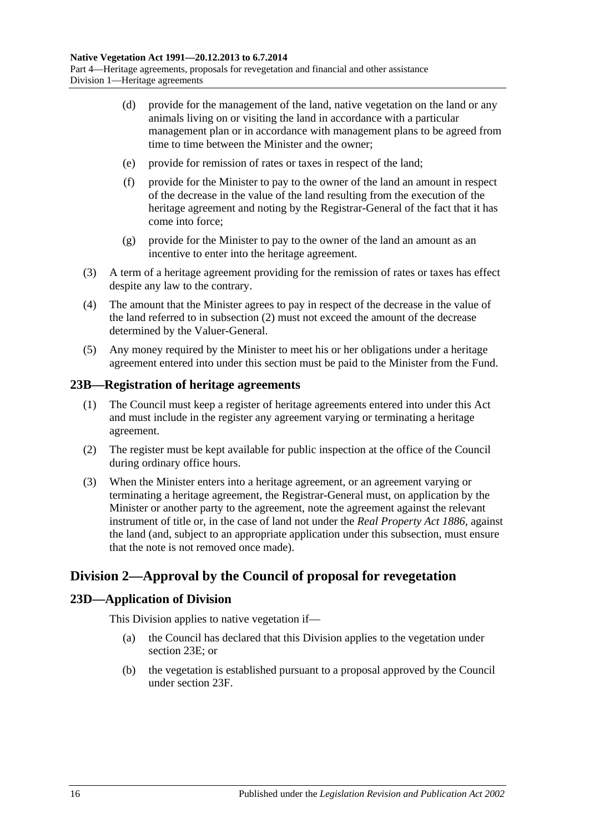- (d) provide for the management of the land, native vegetation on the land or any animals living on or visiting the land in accordance with a particular management plan or in accordance with management plans to be agreed from time to time between the Minister and the owner;
- (e) provide for remission of rates or taxes in respect of the land;
- (f) provide for the Minister to pay to the owner of the land an amount in respect of the decrease in the value of the land resulting from the execution of the heritage agreement and noting by the Registrar-General of the fact that it has come into force;
- (g) provide for the Minister to pay to the owner of the land an amount as an incentive to enter into the heritage agreement.
- (3) A term of a heritage agreement providing for the remission of rates or taxes has effect despite any law to the contrary.
- (4) The amount that the Minister agrees to pay in respect of the decrease in the value of the land referred to in [subsection](#page-14-5) (2) must not exceed the amount of the decrease determined by the Valuer-General.
- (5) Any money required by the Minister to meet his or her obligations under a heritage agreement entered into under this section must be paid to the Minister from the Fund.

#### <span id="page-15-0"></span>**23B—Registration of heritage agreements**

- (1) The Council must keep a register of heritage agreements entered into under this Act and must include in the register any agreement varying or terminating a heritage agreement.
- (2) The register must be kept available for public inspection at the office of the Council during ordinary office hours.
- (3) When the Minister enters into a heritage agreement, or an agreement varying or terminating a heritage agreement, the Registrar-General must, on application by the Minister or another party to the agreement, note the agreement against the relevant instrument of title or, in the case of land not under the *[Real Property Act](http://www.legislation.sa.gov.au/index.aspx?action=legref&type=act&legtitle=Real%20Property%20Act%201886) 1886*, against the land (and, subject to an appropriate application under this subsection, must ensure that the note is not removed once made).

## <span id="page-15-1"></span>**Division 2—Approval by the Council of proposal for revegetation**

## <span id="page-15-2"></span>**23D—Application of Division**

This Division applies to native vegetation if—

- (a) the Council has declared that this Division applies to the vegetation under [section](#page-16-0) 23E; or
- (b) the vegetation is established pursuant to a proposal approved by the Council under [section](#page-16-1) 23F.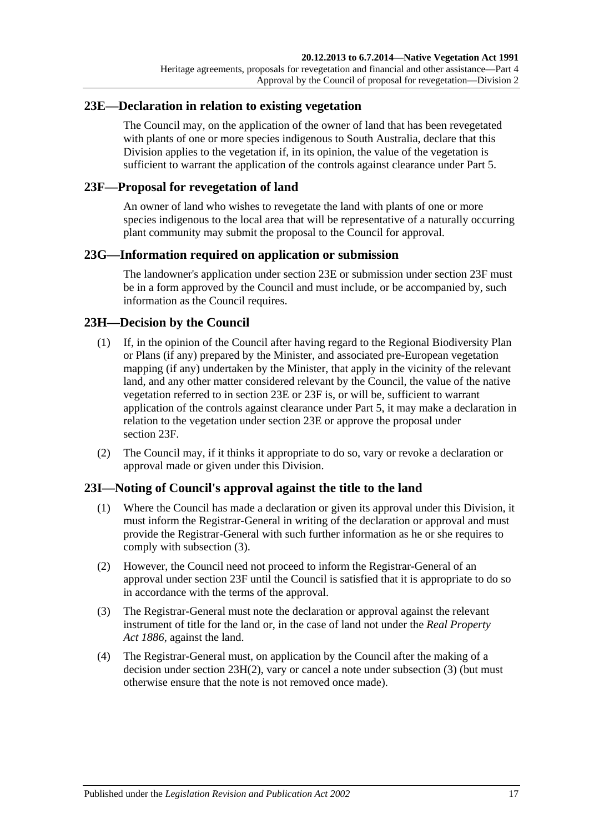## <span id="page-16-0"></span>**23E—Declaration in relation to existing vegetation**

The Council may, on the application of the owner of land that has been revegetated with plants of one or more species indigenous to South Australia, declare that this Division applies to the vegetation if, in its opinion, the value of the vegetation is sufficient to warrant the application of the controls against clearance under [Part 5.](#page-19-0)

## <span id="page-16-1"></span>**23F—Proposal for revegetation of land**

An owner of land who wishes to revegetate the land with plants of one or more species indigenous to the local area that will be representative of a naturally occurring plant community may submit the proposal to the Council for approval.

## <span id="page-16-2"></span>**23G—Information required on application or submission**

The landowner's application under [section](#page-16-0) 23E or submission under [section](#page-16-1) 23F must be in a form approved by the Council and must include, or be accompanied by, such information as the Council requires.

## <span id="page-16-3"></span>**23H—Decision by the Council**

- (1) If, in the opinion of the Council after having regard to the Regional Biodiversity Plan or Plans (if any) prepared by the Minister, and associated pre-European vegetation mapping (if any) undertaken by the Minister, that apply in the vicinity of the relevant land, and any other matter considered relevant by the Council, the value of the native vegetation referred to in [section](#page-16-0) 23E or [23F](#page-16-1) is, or will be, sufficient to warrant application of the controls against clearance under [Part 5,](#page-19-0) it may make a declaration in relation to the vegetation under [section](#page-16-0) 23E or approve the proposal under [section](#page-16-1) 23F.
- <span id="page-16-6"></span>(2) The Council may, if it thinks it appropriate to do so, vary or revoke a declaration or approval made or given under this Division.

## <span id="page-16-4"></span>**23I—Noting of Council's approval against the title to the land**

- (1) Where the Council has made a declaration or given its approval under this Division, it must inform the Registrar-General in writing of the declaration or approval and must provide the Registrar-General with such further information as he or she requires to comply with [subsection](#page-16-5) (3).
- (2) However, the Council need not proceed to inform the Registrar-General of an approval under [section](#page-16-1) 23F until the Council is satisfied that it is appropriate to do so in accordance with the terms of the approval.
- <span id="page-16-5"></span>(3) The Registrar-General must note the declaration or approval against the relevant instrument of title for the land or, in the case of land not under the *[Real Property](http://www.legislation.sa.gov.au/index.aspx?action=legref&type=act&legtitle=Real%20Property%20Act%201886)  Act [1886](http://www.legislation.sa.gov.au/index.aspx?action=legref&type=act&legtitle=Real%20Property%20Act%201886)*, against the land.
- (4) The Registrar-General must, on application by the Council after the making of a decision under section  $23H(2)$ , vary or cancel a note under [subsection](#page-16-5)  $(3)$  (but must otherwise ensure that the note is not removed once made).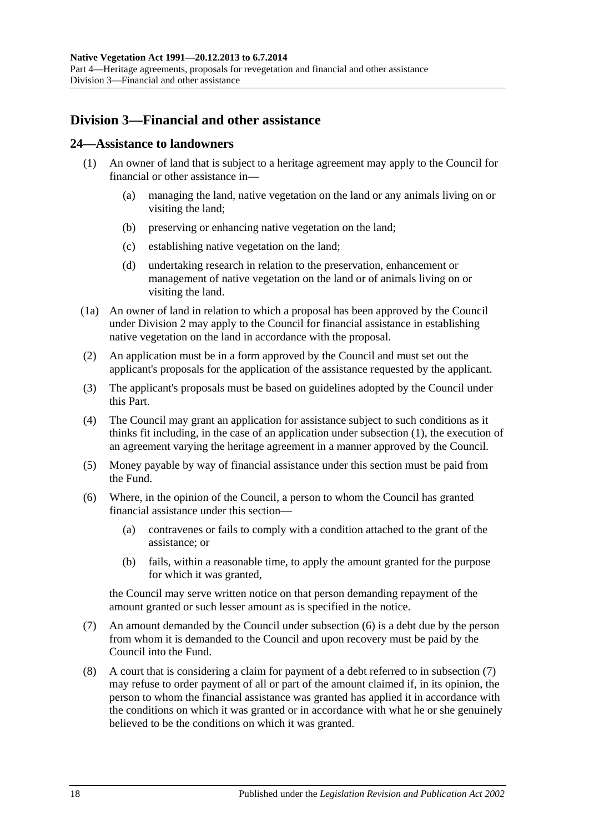## <span id="page-17-0"></span>**Division 3—Financial and other assistance**

#### <span id="page-17-2"></span><span id="page-17-1"></span>**24—Assistance to landowners**

- (1) An owner of land that is subject to a heritage agreement may apply to the Council for financial or other assistance in—
	- (a) managing the land, native vegetation on the land or any animals living on or visiting the land;
	- (b) preserving or enhancing native vegetation on the land;
	- (c) establishing native vegetation on the land;
	- (d) undertaking research in relation to the preservation, enhancement or management of native vegetation on the land or of animals living on or visiting the land.
- (1a) An owner of land in relation to which a proposal has been approved by the Council under [Division 2](#page-15-1) may apply to the Council for financial assistance in establishing native vegetation on the land in accordance with the proposal.
- (2) An application must be in a form approved by the Council and must set out the applicant's proposals for the application of the assistance requested by the applicant.
- (3) The applicant's proposals must be based on guidelines adopted by the Council under this Part.
- (4) The Council may grant an application for assistance subject to such conditions as it thinks fit including, in the case of an application under [subsection](#page-17-2) (1), the execution of an agreement varying the heritage agreement in a manner approved by the Council.
- (5) Money payable by way of financial assistance under this section must be paid from the Fund.
- <span id="page-17-3"></span>(6) Where, in the opinion of the Council, a person to whom the Council has granted financial assistance under this section—
	- (a) contravenes or fails to comply with a condition attached to the grant of the assistance; or
	- (b) fails, within a reasonable time, to apply the amount granted for the purpose for which it was granted,

the Council may serve written notice on that person demanding repayment of the amount granted or such lesser amount as is specified in the notice.

- <span id="page-17-4"></span>(7) An amount demanded by the Council under [subsection](#page-17-3) (6) is a debt due by the person from whom it is demanded to the Council and upon recovery must be paid by the Council into the Fund.
- (8) A court that is considering a claim for payment of a debt referred to in [subsection](#page-17-4) (7) may refuse to order payment of all or part of the amount claimed if, in its opinion, the person to whom the financial assistance was granted has applied it in accordance with the conditions on which it was granted or in accordance with what he or she genuinely believed to be the conditions on which it was granted.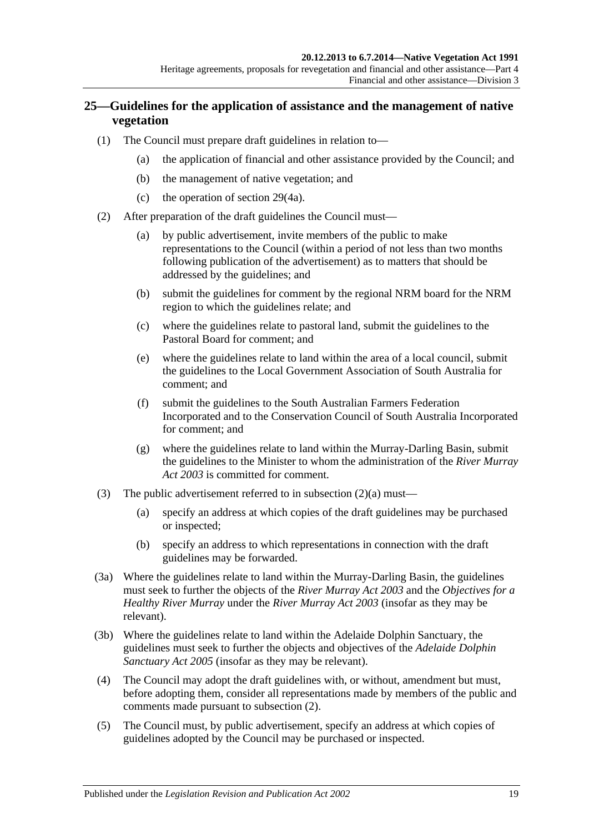## <span id="page-18-0"></span>**25—Guidelines for the application of assistance and the management of native vegetation**

- (1) The Council must prepare draft guidelines in relation to—
	- (a) the application of financial and other assistance provided by the Council; and
	- (b) the management of native vegetation; and
	- (c) the operation of [section](#page-22-1) 29(4a).
- <span id="page-18-3"></span><span id="page-18-2"></span><span id="page-18-1"></span>(2) After preparation of the draft guidelines the Council must—
	- (a) by public advertisement, invite members of the public to make representations to the Council (within a period of not less than two months following publication of the advertisement) as to matters that should be addressed by the guidelines; and
	- (b) submit the guidelines for comment by the regional NRM board for the NRM region to which the guidelines relate; and
	- (c) where the guidelines relate to pastoral land, submit the guidelines to the Pastoral Board for comment; and
	- (e) where the guidelines relate to land within the area of a local council, submit the guidelines to the Local Government Association of South Australia for comment; and
	- (f) submit the guidelines to the South Australian Farmers Federation Incorporated and to the Conservation Council of South Australia Incorporated for comment; and
	- (g) where the guidelines relate to land within the Murray-Darling Basin, submit the guidelines to the Minister to whom the administration of the *[River Murray](http://www.legislation.sa.gov.au/index.aspx?action=legref&type=act&legtitle=River%20Murray%20Act%202003)  Act [2003](http://www.legislation.sa.gov.au/index.aspx?action=legref&type=act&legtitle=River%20Murray%20Act%202003)* is committed for comment.
- (3) The public advertisement referred to in [subsection](#page-18-1)  $(2)(a)$  must—
	- (a) specify an address at which copies of the draft guidelines may be purchased or inspected;
	- (b) specify an address to which representations in connection with the draft guidelines may be forwarded.
- (3a) Where the guidelines relate to land within the Murray-Darling Basin, the guidelines must seek to further the objects of the *[River Murray Act](http://www.legislation.sa.gov.au/index.aspx?action=legref&type=act&legtitle=River%20Murray%20Act%202003) 2003* and the *Objectives for a Healthy River Murray* under the *[River Murray Act](http://www.legislation.sa.gov.au/index.aspx?action=legref&type=act&legtitle=River%20Murray%20Act%202003) 2003* (insofar as they may be relevant).
- (3b) Where the guidelines relate to land within the Adelaide Dolphin Sanctuary, the guidelines must seek to further the objects and objectives of the *[Adelaide Dolphin](http://www.legislation.sa.gov.au/index.aspx?action=legref&type=act&legtitle=Adelaide%20Dolphin%20Sanctuary%20Act%202005)  [Sanctuary Act](http://www.legislation.sa.gov.au/index.aspx?action=legref&type=act&legtitle=Adelaide%20Dolphin%20Sanctuary%20Act%202005) 2005* (insofar as they may be relevant).
- (4) The Council may adopt the draft guidelines with, or without, amendment but must, before adopting them, consider all representations made by members of the public and comments made pursuant to [subsection](#page-18-2) (2).
- (5) The Council must, by public advertisement, specify an address at which copies of guidelines adopted by the Council may be purchased or inspected.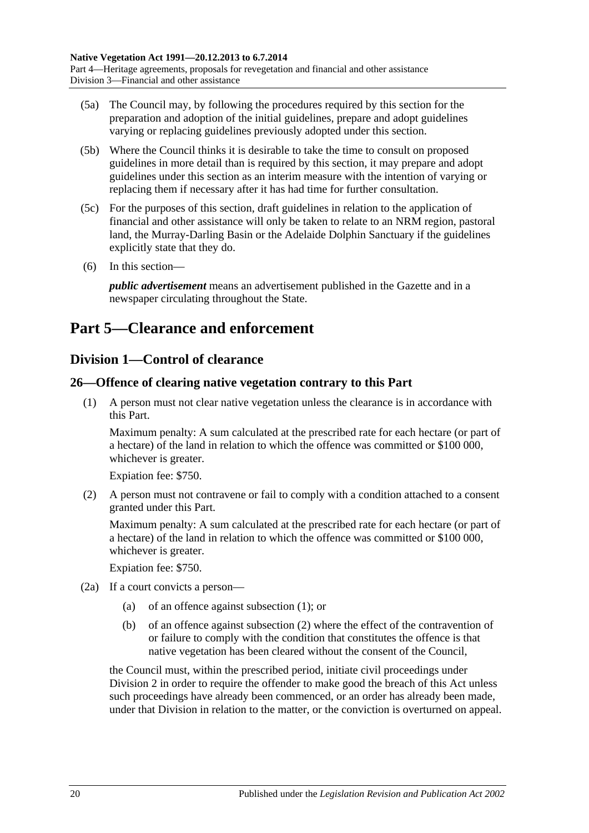- (5a) The Council may, by following the procedures required by this section for the preparation and adoption of the initial guidelines, prepare and adopt guidelines varying or replacing guidelines previously adopted under this section.
- (5b) Where the Council thinks it is desirable to take the time to consult on proposed guidelines in more detail than is required by this section, it may prepare and adopt guidelines under this section as an interim measure with the intention of varying or replacing them if necessary after it has had time for further consultation.
- (5c) For the purposes of this section, draft guidelines in relation to the application of financial and other assistance will only be taken to relate to an NRM region, pastoral land, the Murray-Darling Basin or the Adelaide Dolphin Sanctuary if the guidelines explicitly state that they do.
- (6) In this section—

*public advertisement* means an advertisement published in the Gazette and in a newspaper circulating throughout the State.

# <span id="page-19-0"></span>**Part 5—Clearance and enforcement**

## <span id="page-19-1"></span>**Division 1—Control of clearance**

## <span id="page-19-3"></span><span id="page-19-2"></span>**26—Offence of clearing native vegetation contrary to this Part**

(1) A person must not clear native vegetation unless the clearance is in accordance with this Part.

Maximum penalty: A sum calculated at the prescribed rate for each hectare (or part of a hectare) of the land in relation to which the offence was committed or \$100 000, whichever is greater.

Expiation fee: \$750.

<span id="page-19-4"></span>(2) A person must not contravene or fail to comply with a condition attached to a consent granted under this Part.

Maximum penalty: A sum calculated at the prescribed rate for each hectare (or part of a hectare) of the land in relation to which the offence was committed or \$100 000, whichever is greater.

Expiation fee: \$750.

- (2a) If a court convicts a person—
	- (a) of an offence against [subsection](#page-19-3) (1); or
	- (b) of an offence against [subsection](#page-19-4) (2) where the effect of the contravention of or failure to comply with the condition that constitutes the offence is that native vegetation has been cleared without the consent of the Council,

the Council must, within the prescribed period, initiate civil proceedings under [Division 2](#page-28-0) in order to require the offender to make good the breach of this Act unless such proceedings have already been commenced, or an order has already been made, under that Division in relation to the matter, or the conviction is overturned on appeal.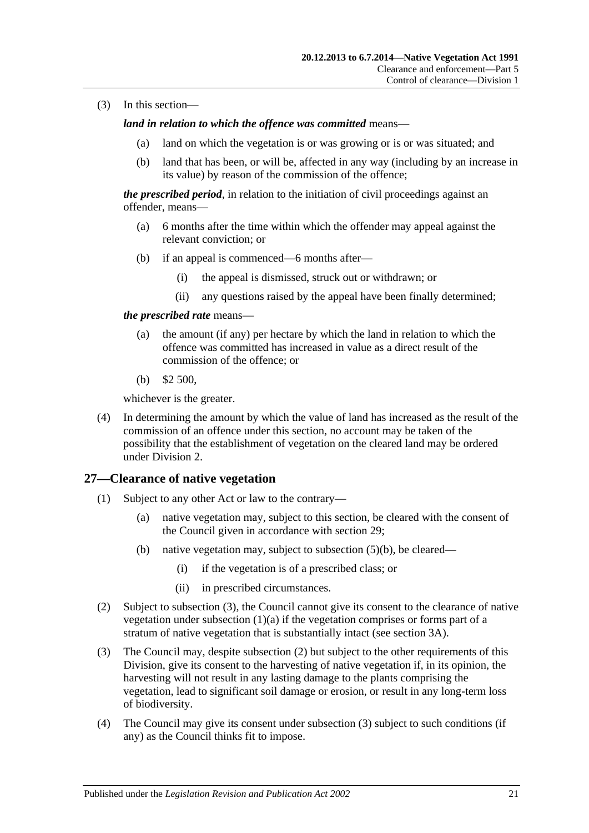(3) In this section—

*land in relation to which the offence was committed* means—

- (a) land on which the vegetation is or was growing or is or was situated; and
- (b) land that has been, or will be, affected in any way (including by an increase in its value) by reason of the commission of the offence;

*the prescribed period*, in relation to the initiation of civil proceedings against an offender, means—

- (a) 6 months after the time within which the offender may appeal against the relevant conviction; or
- (b) if an appeal is commenced—6 months after—
	- (i) the appeal is dismissed, struck out or withdrawn; or
	- (ii) any questions raised by the appeal have been finally determined;

#### *the prescribed rate* means—

- (a) the amount (if any) per hectare by which the land in relation to which the offence was committed has increased in value as a direct result of the commission of the offence; or
- (b) \$2 500,

whichever is the greater.

(4) In determining the amount by which the value of land has increased as the result of the commission of an offence under this section, no account may be taken of the possibility that the establishment of vegetation on the cleared land may be ordered under [Division 2.](#page-28-0)

## <span id="page-20-0"></span>**27—Clearance of native vegetation**

- <span id="page-20-4"></span><span id="page-20-2"></span>(1) Subject to any other Act or law to the contrary—
	- (a) native vegetation may, subject to this section, be cleared with the consent of the Council given in accordance with [section](#page-22-0) 29;
	- (b) native vegetation may, subject to [subsection](#page-21-3) (5)(b), be cleared—
		- (i) if the vegetation is of a prescribed class; or
		- (ii) in prescribed circumstances.
- <span id="page-20-6"></span><span id="page-20-5"></span><span id="page-20-3"></span>(2) Subject to [subsection](#page-20-1) (3), the Council cannot give its consent to the clearance of native vegetation under [subsection](#page-20-2)  $(1)(a)$  if the vegetation comprises or forms part of a stratum of native vegetation that is substantially intact (see [section](#page-5-0) 3A).
- <span id="page-20-1"></span>(3) The Council may, despite [subsection](#page-20-3) (2) but subject to the other requirements of this Division, give its consent to the harvesting of native vegetation if, in its opinion, the harvesting will not result in any lasting damage to the plants comprising the vegetation, lead to significant soil damage or erosion, or result in any long-term loss of biodiversity.
- (4) The Council may give its consent under [subsection](#page-20-1) (3) subject to such conditions (if any) as the Council thinks fit to impose.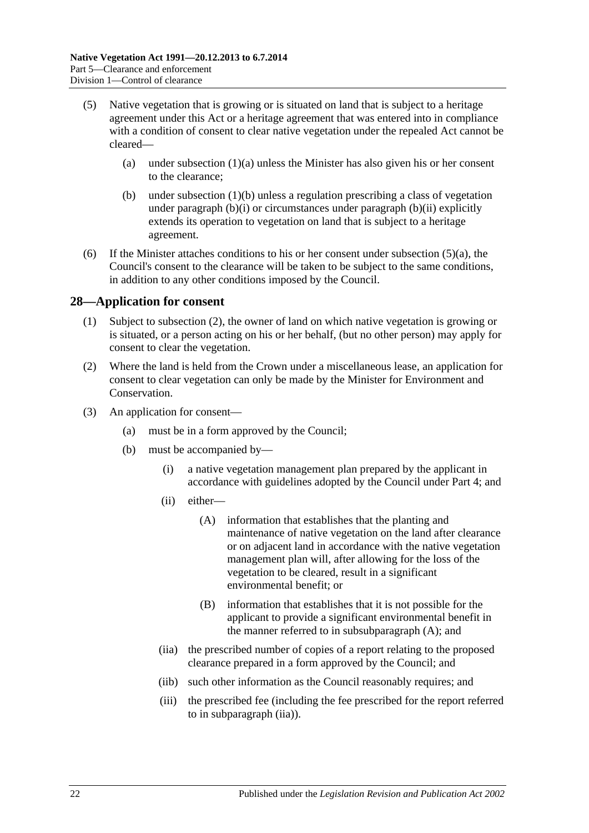- <span id="page-21-4"></span>(5) Native vegetation that is growing or is situated on land that is subject to a heritage agreement under this Act or a heritage agreement that was entered into in compliance with a condition of consent to clear native vegetation under the repealed Act cannot be cleared
	- (a) under [subsection](#page-20-2)  $(1)(a)$  unless the Minister has also given his or her consent to the clearance;
	- (b) under [subsection](#page-20-4) (1)(b) unless a regulation prescribing a class of vegetation under [paragraph](#page-20-5) (b)(i) or circumstances under [paragraph](#page-20-6) (b)(ii) explicitly extends its operation to vegetation on land that is subject to a heritage agreement.
- <span id="page-21-3"></span>(6) If the Minister attaches conditions to his or her consent under [subsection](#page-21-4)  $(5)(a)$ , the Council's consent to the clearance will be taken to be subject to the same conditions, in addition to any other conditions imposed by the Council.

## <span id="page-21-0"></span>**28—Application for consent**

- (1) Subject to [subsection](#page-21-5) (2), the owner of land on which native vegetation is growing or is situated, or a person acting on his or her behalf, (but no other person) may apply for consent to clear the vegetation.
- <span id="page-21-5"></span>(2) Where the land is held from the Crown under a miscellaneous lease, an application for consent to clear vegetation can only be made by the Minister for Environment and Conservation.
- <span id="page-21-8"></span><span id="page-21-7"></span><span id="page-21-6"></span><span id="page-21-2"></span><span id="page-21-1"></span>(3) An application for consent—
	- (a) must be in a form approved by the Council;
	- (b) must be accompanied by—
		- (i) a native vegetation management plan prepared by the applicant in accordance with guidelines adopted by the Council under [Part 4;](#page-14-1) and
		- (ii) either—
			- (A) information that establishes that the planting and maintenance of native vegetation on the land after clearance or on adjacent land in accordance with the native vegetation management plan will, after allowing for the loss of the vegetation to be cleared, result in a significant environmental benefit; or
			- (B) information that establishes that it is not possible for the applicant to provide a significant environmental benefit in the manner referred to in [subsubparagraph](#page-21-6) (A); and
		- (iia) the prescribed number of copies of a report relating to the proposed clearance prepared in a form approved by the Council; and
		- (iib) such other information as the Council reasonably requires; and
		- (iii) the prescribed fee (including the fee prescribed for the report referred to in [subparagraph](#page-21-2) (iia)).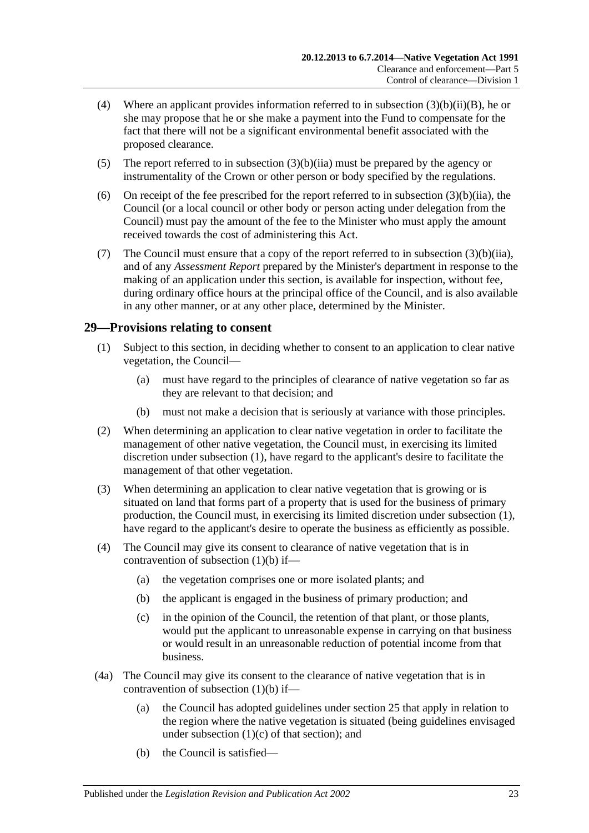- <span id="page-22-4"></span>(4) Where an applicant provides information referred to in subsection  $(3)(b)(ii)(B)$ , he or she may propose that he or she make a payment into the Fund to compensate for the fact that there will not be a significant environmental benefit associated with the proposed clearance.
- <span id="page-22-5"></span>(5) The report referred to in [subsection](#page-21-2) (3)(b)(iia) must be prepared by the agency or instrumentality of the Crown or other person or body specified by the regulations.
- (6) On receipt of the fee prescribed for the report referred to in [subsection](#page-21-2)  $(3)(b)(ii)$ , the Council (or a local council or other body or person acting under delegation from the Council) must pay the amount of the fee to the Minister who must apply the amount received towards the cost of administering this Act.
- (7) The Council must ensure that a copy of the report referred to in [subsection](#page-21-2) (3)(b)(iia), and of any *Assessment Report* prepared by the Minister's department in response to the making of an application under this section, is available for inspection, without fee, during ordinary office hours at the principal office of the Council, and is also available in any other manner, or at any other place, determined by the Minister.

## <span id="page-22-2"></span><span id="page-22-0"></span>**29—Provisions relating to consent**

- (1) Subject to this section, in deciding whether to consent to an application to clear native vegetation, the Council—
	- (a) must have regard to the principles of clearance of native vegetation so far as they are relevant to that decision; and
	- (b) must not make a decision that is seriously at variance with those principles.
- <span id="page-22-3"></span>(2) When determining an application to clear native vegetation in order to facilitate the management of other native vegetation, the Council must, in exercising its limited discretion under [subsection](#page-22-2) (1), have regard to the applicant's desire to facilitate the management of that other vegetation.
- (3) When determining an application to clear native vegetation that is growing or is situated on land that forms part of a property that is used for the business of primary production, the Council must, in exercising its limited discretion under [subsection](#page-22-2) (1), have regard to the applicant's desire to operate the business as efficiently as possible.
- (4) The Council may give its consent to clearance of native vegetation that is in contravention of [subsection](#page-22-3) (1)(b) if—
	- (a) the vegetation comprises one or more isolated plants; and
	- (b) the applicant is engaged in the business of primary production; and
	- (c) in the opinion of the Council, the retention of that plant, or those plants, would put the applicant to unreasonable expense in carrying on that business or would result in an unreasonable reduction of potential income from that business.
- <span id="page-22-1"></span>(4a) The Council may give its consent to the clearance of native vegetation that is in contravention of [subsection](#page-22-3) (1)(b) if—
	- (a) the Council has adopted guidelines under [section](#page-18-0) 25 that apply in relation to the region where the native vegetation is situated (being guidelines envisaged under [subsection](#page-18-3)  $(1)(c)$  of that section); and
	- (b) the Council is satisfied—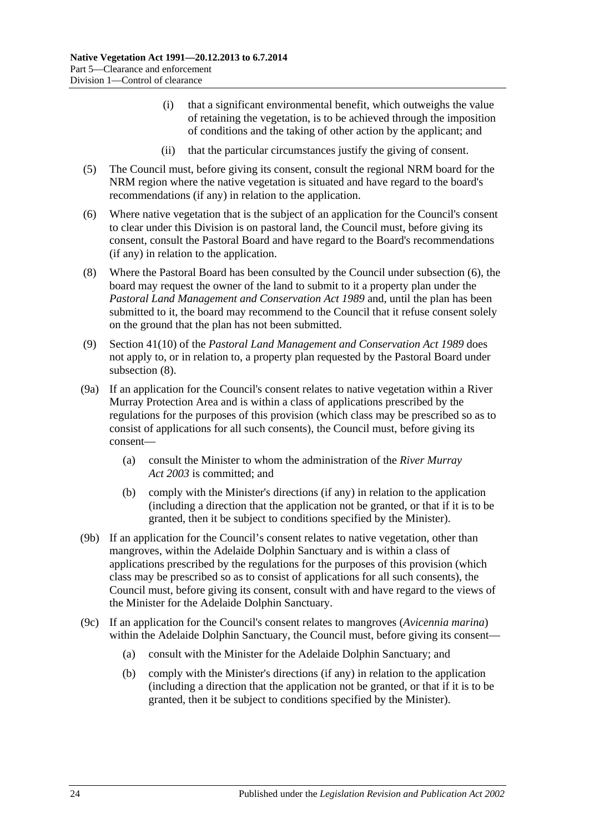- (i) that a significant environmental benefit, which outweighs the value of retaining the vegetation, is to be achieved through the imposition of conditions and the taking of other action by the applicant; and
- (ii) that the particular circumstances justify the giving of consent.
- (5) The Council must, before giving its consent, consult the regional NRM board for the NRM region where the native vegetation is situated and have regard to the board's recommendations (if any) in relation to the application.
- <span id="page-23-0"></span>(6) Where native vegetation that is the subject of an application for the Council's consent to clear under this Division is on pastoral land, the Council must, before giving its consent, consult the Pastoral Board and have regard to the Board's recommendations (if any) in relation to the application.
- <span id="page-23-1"></span>(8) Where the Pastoral Board has been consulted by the Council under [subsection](#page-23-0) (6), the board may request the owner of the land to submit to it a property plan under the *[Pastoral Land Management and Conservation Act](http://www.legislation.sa.gov.au/index.aspx?action=legref&type=act&legtitle=Pastoral%20Land%20Management%20and%20Conservation%20Act%201989) 1989* and, until the plan has been submitted to it, the board may recommend to the Council that it refuse consent solely on the ground that the plan has not been submitted.
- (9) Section 41(10) of the *[Pastoral Land Management and Conservation Act](http://www.legislation.sa.gov.au/index.aspx?action=legref&type=act&legtitle=Pastoral%20Land%20Management%20and%20Conservation%20Act%201989) 1989* does not apply to, or in relation to, a property plan requested by the Pastoral Board under [subsection](#page-23-1) (8).
- (9a) If an application for the Council's consent relates to native vegetation within a River Murray Protection Area and is within a class of applications prescribed by the regulations for the purposes of this provision (which class may be prescribed so as to consist of applications for all such consents), the Council must, before giving its consent—
	- (a) consult the Minister to whom the administration of the *[River Murray](http://www.legislation.sa.gov.au/index.aspx?action=legref&type=act&legtitle=River%20Murray%20Act%202003)  Act [2003](http://www.legislation.sa.gov.au/index.aspx?action=legref&type=act&legtitle=River%20Murray%20Act%202003)* is committed; and
	- (b) comply with the Minister's directions (if any) in relation to the application (including a direction that the application not be granted, or that if it is to be granted, then it be subject to conditions specified by the Minister).
- (9b) If an application for the Council's consent relates to native vegetation, other than mangroves, within the Adelaide Dolphin Sanctuary and is within a class of applications prescribed by the regulations for the purposes of this provision (which class may be prescribed so as to consist of applications for all such consents), the Council must, before giving its consent, consult with and have regard to the views of the Minister for the Adelaide Dolphin Sanctuary.
- (9c) If an application for the Council's consent relates to mangroves (*Avicennia marina*) within the Adelaide Dolphin Sanctuary, the Council must, before giving its consent—
	- (a) consult with the Minister for the Adelaide Dolphin Sanctuary; and
	- (b) comply with the Minister's directions (if any) in relation to the application (including a direction that the application not be granted, or that if it is to be granted, then it be subject to conditions specified by the Minister).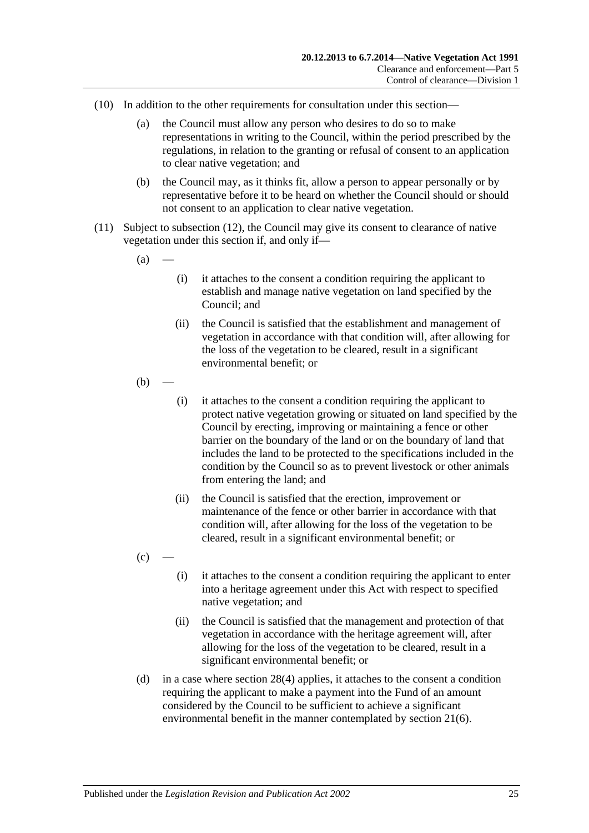- (10) In addition to the other requirements for consultation under this section—
	- (a) the Council must allow any person who desires to do so to make representations in writing to the Council, within the period prescribed by the regulations, in relation to the granting or refusal of consent to an application to clear native vegetation; and
	- (b) the Council may, as it thinks fit, allow a person to appear personally or by representative before it to be heard on whether the Council should or should not consent to an application to clear native vegetation.
- <span id="page-24-1"></span>(11) Subject to [subsection](#page-25-1) (12), the Council may give its consent to clearance of native vegetation under this section if, and only if—
	- $(a)$
- (i) it attaches to the consent a condition requiring the applicant to establish and manage native vegetation on land specified by the Council; and
- (ii) the Council is satisfied that the establishment and management of vegetation in accordance with that condition will, after allowing for the loss of the vegetation to be cleared, result in a significant environmental benefit; or
- $(b)$ 
	- (i) it attaches to the consent a condition requiring the applicant to protect native vegetation growing or situated on land specified by the Council by erecting, improving or maintaining a fence or other barrier on the boundary of the land or on the boundary of land that includes the land to be protected to the specifications included in the condition by the Council so as to prevent livestock or other animals from entering the land; and
	- (ii) the Council is satisfied that the erection, improvement or maintenance of the fence or other barrier in accordance with that condition will, after allowing for the loss of the vegetation to be cleared, result in a significant environmental benefit; or
- $(c)$
- (i) it attaches to the consent a condition requiring the applicant to enter into a heritage agreement under this Act with respect to specified native vegetation; and
- (ii) the Council is satisfied that the management and protection of that vegetation in accordance with the heritage agreement will, after allowing for the loss of the vegetation to be cleared, result in a significant environmental benefit; or
- <span id="page-24-0"></span>(d) in a case where [section](#page-22-4) 28(4) applies, it attaches to the consent a condition requiring the applicant to make a payment into the Fund of an amount considered by the Council to be sufficient to achieve a significant environmental benefit in the manner contemplated by [section](#page-13-1) 21(6).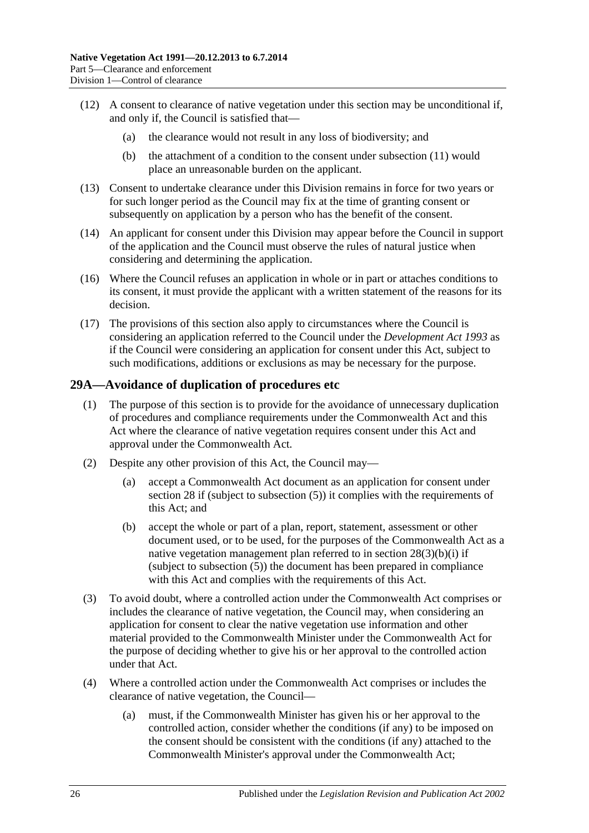- <span id="page-25-1"></span>(12) A consent to clearance of native vegetation under this section may be unconditional if, and only if, the Council is satisfied that—
	- (a) the clearance would not result in any loss of biodiversity; and
	- (b) the attachment of a condition to the consent under [subsection](#page-24-1) (11) would place an unreasonable burden on the applicant.
- (13) Consent to undertake clearance under this Division remains in force for two years or for such longer period as the Council may fix at the time of granting consent or subsequently on application by a person who has the benefit of the consent.
- (14) An applicant for consent under this Division may appear before the Council in support of the application and the Council must observe the rules of natural justice when considering and determining the application.
- (16) Where the Council refuses an application in whole or in part or attaches conditions to its consent, it must provide the applicant with a written statement of the reasons for its decision.
- (17) The provisions of this section also apply to circumstances where the Council is considering an application referred to the Council under the *[Development Act](http://www.legislation.sa.gov.au/index.aspx?action=legref&type=act&legtitle=Development%20Act%201993) 1993* as if the Council were considering an application for consent under this Act, subject to such modifications, additions or exclusions as may be necessary for the purpose.

## <span id="page-25-0"></span>**29A—Avoidance of duplication of procedures etc**

- (1) The purpose of this section is to provide for the avoidance of unnecessary duplication of procedures and compliance requirements under the Commonwealth Act and this Act where the clearance of native vegetation requires consent under this Act and approval under the Commonwealth Act.
- <span id="page-25-2"></span>(2) Despite any other provision of this Act, the Council may—
	- (a) accept a Commonwealth Act document as an application for consent under [section](#page-21-0) 28 if (subject to [subsection](#page-22-5) (5)) it complies with the requirements of this Act; and
	- (b) accept the whole or part of a plan, report, statement, assessment or other document used, or to be used, for the purposes of the Commonwealth Act as a native vegetation management plan referred to in section [28\(3\)\(b\)\(i\)](#page-21-8) if (subject to [subsection](#page-22-5) (5)) the document has been prepared in compliance with this Act and complies with the requirements of this Act.
- (3) To avoid doubt, where a controlled action under the Commonwealth Act comprises or includes the clearance of native vegetation, the Council may, when considering an application for consent to clear the native vegetation use information and other material provided to the Commonwealth Minister under the Commonwealth Act for the purpose of deciding whether to give his or her approval to the controlled action under that Act.
- (4) Where a controlled action under the Commonwealth Act comprises or includes the clearance of native vegetation, the Council—
	- (a) must, if the Commonwealth Minister has given his or her approval to the controlled action, consider whether the conditions (if any) to be imposed on the consent should be consistent with the conditions (if any) attached to the Commonwealth Minister's approval under the Commonwealth Act;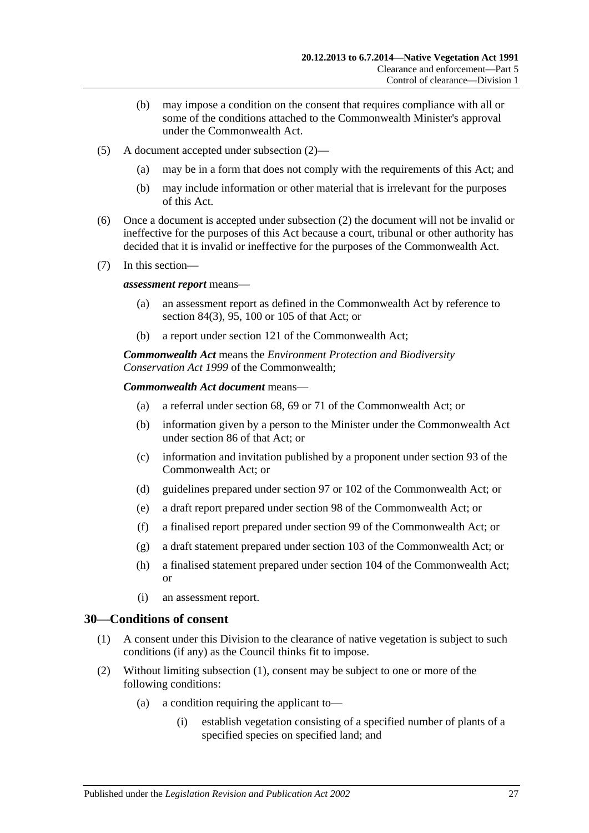- (b) may impose a condition on the consent that requires compliance with all or some of the conditions attached to the Commonwealth Minister's approval under the Commonwealth Act.
- (5) A document accepted under [subsection](#page-25-2) (2)—
	- (a) may be in a form that does not comply with the requirements of this Act; and
	- (b) may include information or other material that is irrelevant for the purposes of this Act.
- (6) Once a document is accepted under [subsection](#page-25-2) (2) the document will not be invalid or ineffective for the purposes of this Act because a court, tribunal or other authority has decided that it is invalid or ineffective for the purposes of the Commonwealth Act.
- (7) In this section—

#### *assessment report* means—

- (a) an assessment report as defined in the Commonwealth Act by reference to section 84(3), 95, 100 or 105 of that Act; or
- (b) a report under section 121 of the Commonwealth Act;

*Commonwealth Act* means the *Environment Protection and Biodiversity Conservation Act 1999* of the Commonwealth;

#### *Commonwealth Act document* means—

- (a) a referral under section 68, 69 or 71 of the Commonwealth Act; or
- (b) information given by a person to the Minister under the Commonwealth Act under section 86 of that Act; or
- (c) information and invitation published by a proponent under section 93 of the Commonwealth Act; or
- (d) guidelines prepared under section 97 or 102 of the Commonwealth Act; or
- (e) a draft report prepared under section 98 of the Commonwealth Act; or
- (f) a finalised report prepared under section 99 of the Commonwealth Act; or
- (g) a draft statement prepared under section 103 of the Commonwealth Act; or
- (h) a finalised statement prepared under section 104 of the Commonwealth Act; or
- (i) an assessment report.

#### <span id="page-26-1"></span><span id="page-26-0"></span>**30—Conditions of consent**

- (1) A consent under this Division to the clearance of native vegetation is subject to such conditions (if any) as the Council thinks fit to impose.
- <span id="page-26-3"></span><span id="page-26-2"></span>(2) Without limiting [subsection](#page-26-1) (1), consent may be subject to one or more of the following conditions:
	- (a) a condition requiring the applicant to—
		- (i) establish vegetation consisting of a specified number of plants of a specified species on specified land; and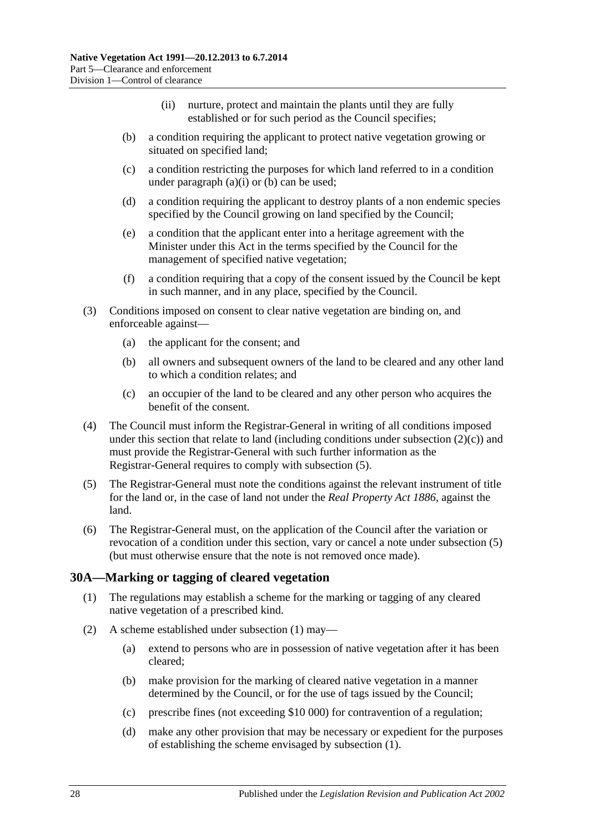- (ii) nurture, protect and maintain the plants until they are fully established or for such period as the Council specifies;
- <span id="page-27-1"></span>(b) a condition requiring the applicant to protect native vegetation growing or situated on specified land;
- <span id="page-27-2"></span>(c) a condition restricting the purposes for which land referred to in a condition under [paragraph](#page-26-2)  $(a)(i)$  or  $(b)$  can be used;
- (d) a condition requiring the applicant to destroy plants of a non endemic species specified by the Council growing on land specified by the Council;
- (e) a condition that the applicant enter into a heritage agreement with the Minister under this Act in the terms specified by the Council for the management of specified native vegetation;
- (f) a condition requiring that a copy of the consent issued by the Council be kept in such manner, and in any place, specified by the Council.
- (3) Conditions imposed on consent to clear native vegetation are binding on, and enforceable against—
	- (a) the applicant for the consent; and
	- (b) all owners and subsequent owners of the land to be cleared and any other land to which a condition relates; and
	- (c) an occupier of the land to be cleared and any other person who acquires the benefit of the consent.
- (4) The Council must inform the Registrar-General in writing of all conditions imposed under this section that relate to land (including conditions under [subsection](#page-27-2)  $(2)(c)$ ) and must provide the Registrar-General with such further information as the Registrar-General requires to comply with [subsection](#page-27-3) (5).
- <span id="page-27-3"></span>(5) The Registrar-General must note the conditions against the relevant instrument of title for the land or, in the case of land not under the *[Real Property Act](http://www.legislation.sa.gov.au/index.aspx?action=legref&type=act&legtitle=Real%20Property%20Act%201886) 1886*, against the land.
- (6) The Registrar-General must, on the application of the Council after the variation or revocation of a condition under this section, vary or cancel a note under [subsection](#page-27-3) (5) (but must otherwise ensure that the note is not removed once made).

## <span id="page-27-4"></span><span id="page-27-0"></span>**30A—Marking or tagging of cleared vegetation**

- (1) The regulations may establish a scheme for the marking or tagging of any cleared native vegetation of a prescribed kind.
- (2) A scheme established under [subsection](#page-27-4) (1) may—
	- (a) extend to persons who are in possession of native vegetation after it has been cleared;
	- (b) make provision for the marking of cleared native vegetation in a manner determined by the Council, or for the use of tags issued by the Council;
	- (c) prescribe fines (not exceeding \$10 000) for contravention of a regulation;
	- (d) make any other provision that may be necessary or expedient for the purposes of establishing the scheme envisaged by [subsection](#page-27-4) (1).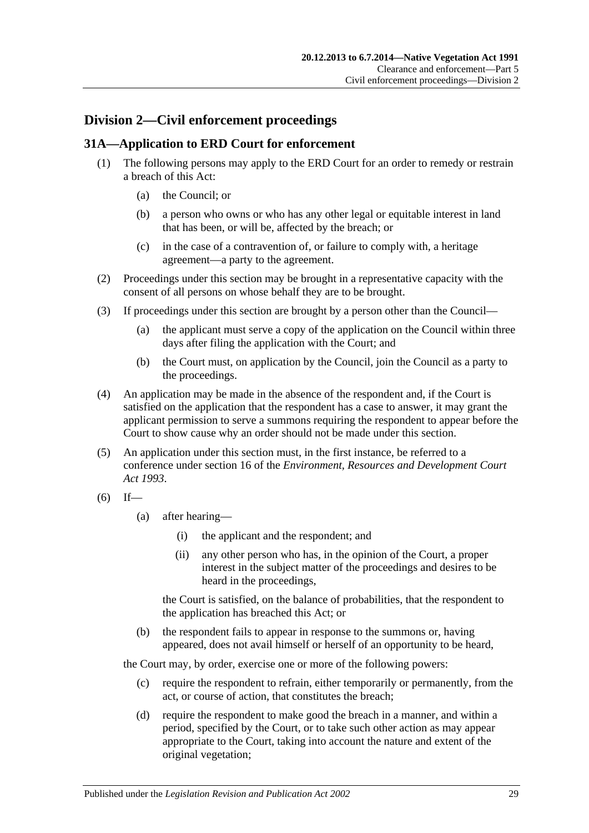## <span id="page-28-0"></span>**Division 2—Civil enforcement proceedings**

## <span id="page-28-1"></span>**31A—Application to ERD Court for enforcement**

- (1) The following persons may apply to the ERD Court for an order to remedy or restrain a breach of this Act:
	- (a) the Council; or
	- (b) a person who owns or who has any other legal or equitable interest in land that has been, or will be, affected by the breach; or
	- (c) in the case of a contravention of, or failure to comply with, a heritage agreement—a party to the agreement.
- (2) Proceedings under this section may be brought in a representative capacity with the consent of all persons on whose behalf they are to be brought.
- (3) If proceedings under this section are brought by a person other than the Council—
	- (a) the applicant must serve a copy of the application on the Council within three days after filing the application with the Court; and
	- (b) the Court must, on application by the Council, join the Council as a party to the proceedings.
- (4) An application may be made in the absence of the respondent and, if the Court is satisfied on the application that the respondent has a case to answer, it may grant the applicant permission to serve a summons requiring the respondent to appear before the Court to show cause why an order should not be made under this section.
- <span id="page-28-3"></span>(5) An application under this section must, in the first instance, be referred to a conference under section 16 of the *[Environment, Resources and Development Court](http://www.legislation.sa.gov.au/index.aspx?action=legref&type=act&legtitle=Environment%20Resources%20and%20Development%20Court%20Act%201993)  Act [1993](http://www.legislation.sa.gov.au/index.aspx?action=legref&type=act&legtitle=Environment%20Resources%20and%20Development%20Court%20Act%201993)*.

$$
(6) If—
$$

- (a) after hearing—
	- (i) the applicant and the respondent; and
	- (ii) any other person who has, in the opinion of the Court, a proper interest in the subject matter of the proceedings and desires to be heard in the proceedings,

the Court is satisfied, on the balance of probabilities, that the respondent to the application has breached this Act; or

(b) the respondent fails to appear in response to the summons or, having appeared, does not avail himself or herself of an opportunity to be heard,

the Court may, by order, exercise one or more of the following powers:

- (c) require the respondent to refrain, either temporarily or permanently, from the act, or course of action, that constitutes the breach;
- <span id="page-28-2"></span>(d) require the respondent to make good the breach in a manner, and within a period, specified by the Court, or to take such other action as may appear appropriate to the Court, taking into account the nature and extent of the original vegetation;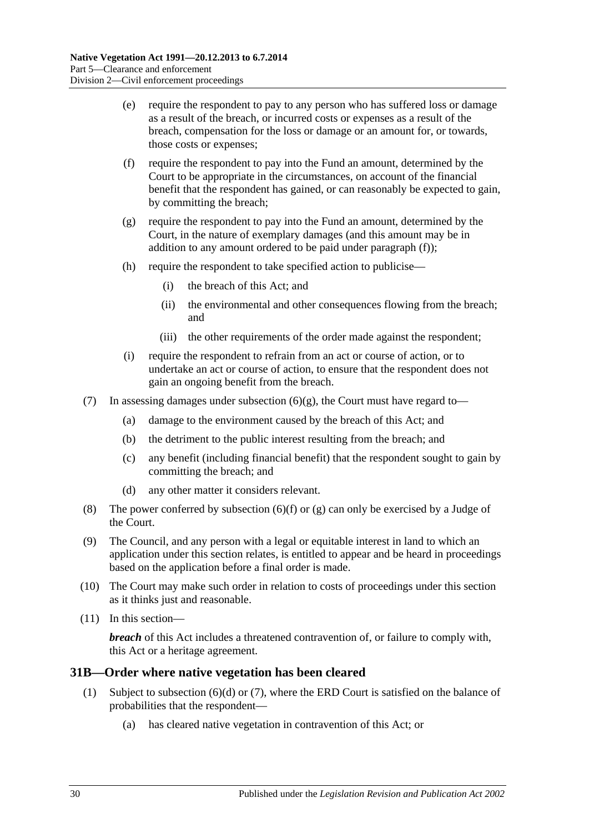- (e) require the respondent to pay to any person who has suffered loss or damage as a result of the breach, or incurred costs or expenses as a result of the breach, compensation for the loss or damage or an amount for, or towards, those costs or expenses;
- <span id="page-29-1"></span>(f) require the respondent to pay into the Fund an amount, determined by the Court to be appropriate in the circumstances, on account of the financial benefit that the respondent has gained, or can reasonably be expected to gain, by committing the breach;
- <span id="page-29-2"></span>(g) require the respondent to pay into the Fund an amount, determined by the Court, in the nature of exemplary damages (and this amount may be in addition to any amount ordered to be paid under [paragraph](#page-29-1) (f));
- (h) require the respondent to take specified action to publicise—
	- (i) the breach of this Act; and
	- (ii) the environmental and other consequences flowing from the breach; and
	- (iii) the other requirements of the order made against the respondent;
- (i) require the respondent to refrain from an act or course of action, or to undertake an act or course of action, to ensure that the respondent does not gain an ongoing benefit from the breach.
- (7) In assessing damages under [subsection](#page-29-2)  $(6)(g)$ , the Court must have regard to-
	- (a) damage to the environment caused by the breach of this Act; and
	- (b) the detriment to the public interest resulting from the breach; and
	- (c) any benefit (including financial benefit) that the respondent sought to gain by committing the breach; and
	- (d) any other matter it considers relevant.
- (8) The power conferred by [subsection](#page-29-1) (6)(f) or [\(g\)](#page-29-2) can only be exercised by a Judge of the Court.
- (9) The Council, and any person with a legal or equitable interest in land to which an application under this section relates, is entitled to appear and be heard in proceedings based on the application before a final order is made.
- (10) The Court may make such order in relation to costs of proceedings under this section as it thinks just and reasonable.
- (11) In this section—

*breach* of this Act includes a threatened contravention of, or failure to comply with, this Act or a heritage agreement.

## <span id="page-29-3"></span><span id="page-29-0"></span>**31B—Order where native vegetation has been cleared**

- (1) Subject to [subsection](#page-30-0) (6)(d) or [\(7\),](#page-30-1) where the ERD Court is satisfied on the balance of probabilities that the respondent—
	- (a) has cleared native vegetation in contravention of this Act; or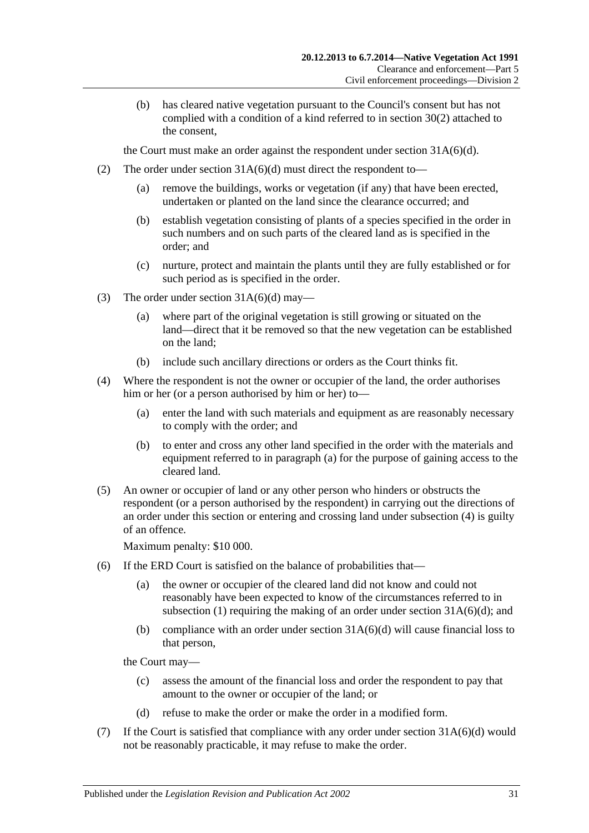(b) has cleared native vegetation pursuant to the Council's consent but has not complied with a condition of a kind referred to in [section](#page-26-3) 30(2) attached to the consent,

the Court must make an order against the respondent under section  $31A(6)(d)$ .

- (2) The order under section  $31A(6)(d)$  must direct the respondent to—
	- (a) remove the buildings, works or vegetation (if any) that have been erected, undertaken or planted on the land since the clearance occurred; and
	- (b) establish vegetation consisting of plants of a species specified in the order in such numbers and on such parts of the cleared land as is specified in the order; and
	- (c) nurture, protect and maintain the plants until they are fully established or for such period as is specified in the order.
- (3) The order under section  $31A(6)(d)$  may—
	- (a) where part of the original vegetation is still growing or situated on the land—direct that it be removed so that the new vegetation can be established on the land;
	- (b) include such ancillary directions or orders as the Court thinks fit.
- <span id="page-30-3"></span><span id="page-30-2"></span>(4) Where the respondent is not the owner or occupier of the land, the order authorises him or her (or a person authorised by him or her) to—
	- (a) enter the land with such materials and equipment as are reasonably necessary to comply with the order; and
	- (b) to enter and cross any other land specified in the order with the materials and equipment referred to in [paragraph](#page-30-2) (a) for the purpose of gaining access to the cleared land.
- <span id="page-30-4"></span>(5) An owner or occupier of land or any other person who hinders or obstructs the respondent (or a person authorised by the respondent) in carrying out the directions of an order under this section or entering and crossing land under [subsection](#page-30-3) (4) is guilty of an offence.

Maximum penalty: \$10 000.

- (6) If the ERD Court is satisfied on the balance of probabilities that—
	- (a) the owner or occupier of the cleared land did not know and could not reasonably have been expected to know of the circumstances referred to in [subsection](#page-29-3) (1) requiring the making of an order under section  $31A(6)(d)$ ; and
	- (b) compliance with an order under section  $31A(6)(d)$  will cause financial loss to that person,

the Court may—

- (c) assess the amount of the financial loss and order the respondent to pay that amount to the owner or occupier of the land; or
- (d) refuse to make the order or make the order in a modified form.
- <span id="page-30-1"></span><span id="page-30-0"></span>(7) If the Court is satisfied that compliance with any order under section  $31A(6)(d)$  would not be reasonably practicable, it may refuse to make the order.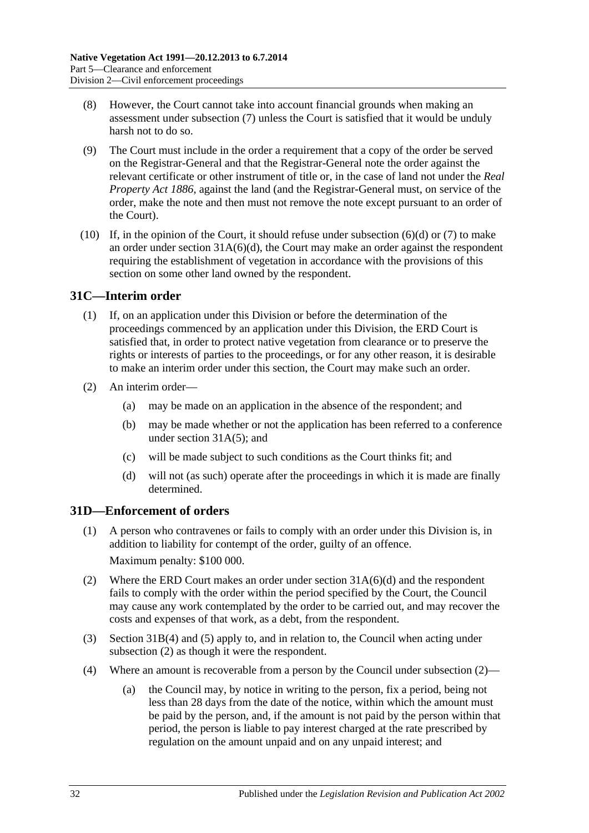- (8) However, the Court cannot take into account financial grounds when making an assessment under [subsection](#page-30-1) (7) unless the Court is satisfied that it would be unduly harsh not to do so.
- (9) The Court must include in the order a requirement that a copy of the order be served on the Registrar-General and that the Registrar-General note the order against the relevant certificate or other instrument of title or, in the case of land not under the *[Real](http://www.legislation.sa.gov.au/index.aspx?action=legref&type=act&legtitle=Real%20Property%20Act%201886)  [Property Act](http://www.legislation.sa.gov.au/index.aspx?action=legref&type=act&legtitle=Real%20Property%20Act%201886) 1886*, against the land (and the Registrar-General must, on service of the order, make the note and then must not remove the note except pursuant to an order of the Court).
- (10) If, in the opinion of the Court, it should refuse under [subsection](#page-30-0)  $(6)(d)$  or  $(7)$  to make an order under section  $31A(6)(d)$ , the Court may make an order against the respondent requiring the establishment of vegetation in accordance with the provisions of this section on some other land owned by the respondent.

## <span id="page-31-0"></span>**31C—Interim order**

- (1) If, on an application under this Division or before the determination of the proceedings commenced by an application under this Division, the ERD Court is satisfied that, in order to protect native vegetation from clearance or to preserve the rights or interests of parties to the proceedings, or for any other reason, it is desirable to make an interim order under this section, the Court may make such an order.
- (2) An interim order—
	- (a) may be made on an application in the absence of the respondent; and
	- (b) may be made whether or not the application has been referred to a conference under section [31A\(5\);](#page-28-3) and
	- (c) will be made subject to such conditions as the Court thinks fit; and
	- (d) will not (as such) operate after the proceedings in which it is made are finally determined.

## <span id="page-31-1"></span>**31D—Enforcement of orders**

- (1) A person who contravenes or fails to comply with an order under this Division is, in addition to liability for contempt of the order, guilty of an offence. Maximum penalty: \$100 000.
- <span id="page-31-2"></span>(2) Where the ERD Court makes an order under section [31A\(6\)\(d\)](#page-28-2) and the respondent fails to comply with the order within the period specified by the Court, the Council may cause any work contemplated by the order to be carried out, and may recover the costs and expenses of that work, as a debt, from the respondent.
- (3) [Section](#page-30-3) 31B(4) and [\(5\)](#page-30-4) apply to, and in relation to, the Council when acting under [subsection](#page-31-2) (2) as though it were the respondent.
- <span id="page-31-3"></span>(4) Where an amount is recoverable from a person by the Council under [subsection](#page-31-2) (2)—
	- (a) the Council may, by notice in writing to the person, fix a period, being not less than 28 days from the date of the notice, within which the amount must be paid by the person, and, if the amount is not paid by the person within that period, the person is liable to pay interest charged at the rate prescribed by regulation on the amount unpaid and on any unpaid interest; and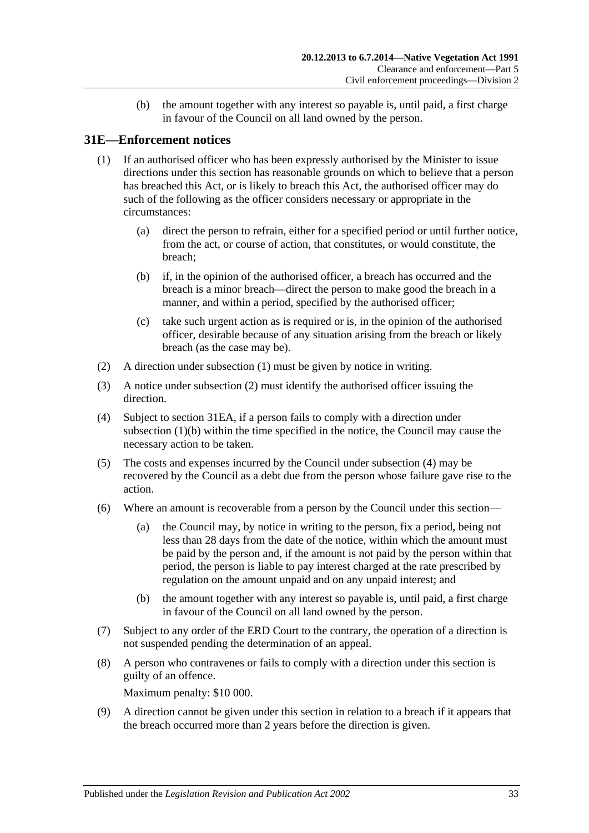(b) the amount together with any interest so payable is, until paid, a first charge in favour of the Council on all land owned by the person.

## <span id="page-32-1"></span><span id="page-32-0"></span>**31E—Enforcement notices**

- (1) If an authorised officer who has been expressly authorised by the Minister to issue directions under this section has reasonable grounds on which to believe that a person has breached this Act, or is likely to breach this Act, the authorised officer may do such of the following as the officer considers necessary or appropriate in the circumstances:
	- (a) direct the person to refrain, either for a specified period or until further notice, from the act, or course of action, that constitutes, or would constitute, the breach;
	- (b) if, in the opinion of the authorised officer, a breach has occurred and the breach is a minor breach—direct the person to make good the breach in a manner, and within a period, specified by the authorised officer;
	- (c) take such urgent action as is required or is, in the opinion of the authorised officer, desirable because of any situation arising from the breach or likely breach (as the case may be).
- <span id="page-32-3"></span><span id="page-32-2"></span>(2) A direction under [subsection](#page-32-1) (1) must be given by notice in writing.
- (3) A notice under [subsection](#page-32-2) (2) must identify the authorised officer issuing the direction.
- <span id="page-32-4"></span>(4) Subject to [section](#page-33-0) 31EA, if a person fails to comply with a direction under [subsection](#page-32-3) (1)(b) within the time specified in the notice, the Council may cause the necessary action to be taken.
- (5) The costs and expenses incurred by the Council under [subsection](#page-32-4) (4) may be recovered by the Council as a debt due from the person whose failure gave rise to the action.
- <span id="page-32-6"></span>(6) Where an amount is recoverable from a person by the Council under this section—
	- (a) the Council may, by notice in writing to the person, fix a period, being not less than 28 days from the date of the notice, within which the amount must be paid by the person and, if the amount is not paid by the person within that period, the person is liable to pay interest charged at the rate prescribed by regulation on the amount unpaid and on any unpaid interest; and
	- (b) the amount together with any interest so payable is, until paid, a first charge in favour of the Council on all land owned by the person.
- (7) Subject to any order of the ERD Court to the contrary, the operation of a direction is not suspended pending the determination of an appeal.
- (8) A person who contravenes or fails to comply with a direction under this section is guilty of an offence.

Maximum penalty: \$10 000.

<span id="page-32-5"></span>(9) A direction cannot be given under this section in relation to a breach if it appears that the breach occurred more than 2 years before the direction is given.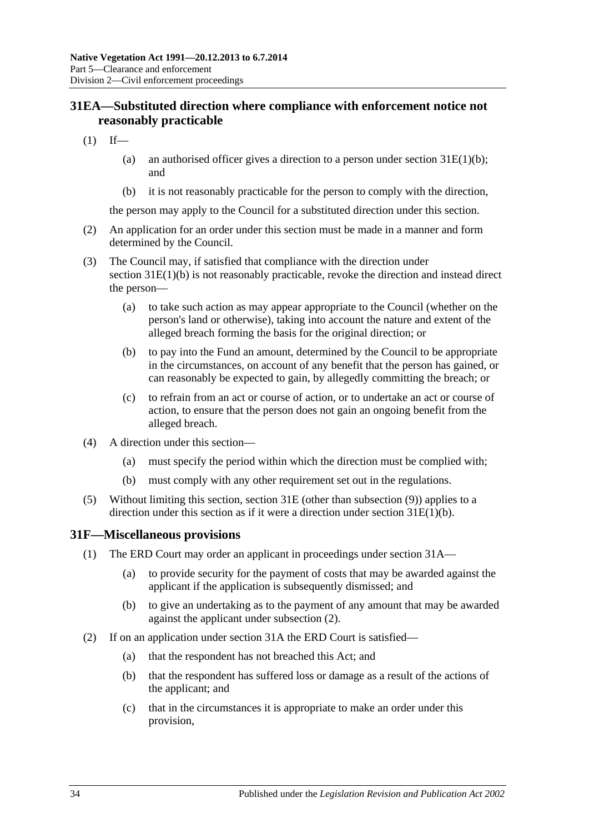## <span id="page-33-0"></span>**31EA—Substituted direction where compliance with enforcement notice not reasonably practicable**

- $(1)$  If—
	- (a) an authorised officer gives a direction to a person under section  $31E(1)(b)$ ; and
	- (b) it is not reasonably practicable for the person to comply with the direction,

the person may apply to the Council for a substituted direction under this section.

- (2) An application for an order under this section must be made in a manner and form determined by the Council.
- (3) The Council may, if satisfied that compliance with the direction under section [31E\(1\)\(b\)](#page-32-3) is not reasonably practicable, revoke the direction and instead direct the person—
	- (a) to take such action as may appear appropriate to the Council (whether on the person's land or otherwise), taking into account the nature and extent of the alleged breach forming the basis for the original direction; or
	- (b) to pay into the Fund an amount, determined by the Council to be appropriate in the circumstances, on account of any benefit that the person has gained, or can reasonably be expected to gain, by allegedly committing the breach; or
	- (c) to refrain from an act or course of action, or to undertake an act or course of action, to ensure that the person does not gain an ongoing benefit from the alleged breach.
- (4) A direction under this section—
	- (a) must specify the period within which the direction must be complied with;
	- (b) must comply with any other requirement set out in the regulations.
- (5) Without limiting this section, [section](#page-32-0) 31E (other than [subsection](#page-32-5) (9)) applies to a direction under this section as if it were a direction under section [31E\(1\)\(b\).](#page-32-3)

#### <span id="page-33-3"></span><span id="page-33-1"></span>**31F—Miscellaneous provisions**

- (1) The ERD Court may order an applicant in proceedings under [section](#page-28-1) 31A—
	- (a) to provide security for the payment of costs that may be awarded against the applicant if the application is subsequently dismissed; and
	- (b) to give an undertaking as to the payment of any amount that may be awarded against the applicant under [subsection](#page-33-2) (2).
- <span id="page-33-2"></span>(2) If on an application under [section](#page-28-1) 31A the ERD Court is satisfied—
	- (a) that the respondent has not breached this Act; and
	- (b) that the respondent has suffered loss or damage as a result of the actions of the applicant; and
	- (c) that in the circumstances it is appropriate to make an order under this provision,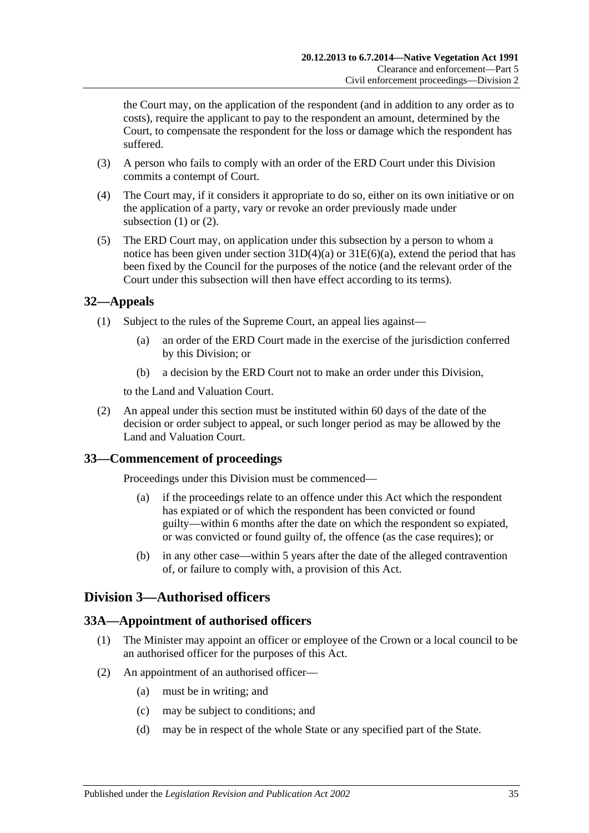the Court may, on the application of the respondent (and in addition to any order as to costs), require the applicant to pay to the respondent an amount, determined by the Court, to compensate the respondent for the loss or damage which the respondent has suffered.

- (3) A person who fails to comply with an order of the ERD Court under this Division commits a contempt of Court.
- (4) The Court may, if it considers it appropriate to do so, either on its own initiative or on the application of a party, vary or revoke an order previously made under [subsection](#page-33-3)  $(1)$  or  $(2)$ .
- (5) The ERD Court may, on application under this subsection by a person to whom a notice has been given under section  $31D(4)(a)$  or  $31E(6)(a)$ , extend the period that has been fixed by the Council for the purposes of the notice (and the relevant order of the Court under this subsection will then have effect according to its terms).

## <span id="page-34-0"></span>**32—Appeals**

- (1) Subject to the rules of the Supreme Court, an appeal lies against—
	- (a) an order of the ERD Court made in the exercise of the jurisdiction conferred by this Division; or
	- (b) a decision by the ERD Court not to make an order under this Division,

to the Land and Valuation Court.

(2) An appeal under this section must be instituted within 60 days of the date of the decision or order subject to appeal, or such longer period as may be allowed by the Land and Valuation Court.

## <span id="page-34-1"></span>**33—Commencement of proceedings**

Proceedings under this Division must be commenced—

- (a) if the proceedings relate to an offence under this Act which the respondent has expiated or of which the respondent has been convicted or found guilty—within 6 months after the date on which the respondent so expiated, or was convicted or found guilty of, the offence (as the case requires); or
- (b) in any other case—within 5 years after the date of the alleged contravention of, or failure to comply with, a provision of this Act.

## <span id="page-34-2"></span>**Division 3—Authorised officers**

## <span id="page-34-3"></span>**33A—Appointment of authorised officers**

- (1) The Minister may appoint an officer or employee of the Crown or a local council to be an authorised officer for the purposes of this Act.
- (2) An appointment of an authorised officer—
	- (a) must be in writing; and
	- (c) may be subject to conditions; and
	- (d) may be in respect of the whole State or any specified part of the State.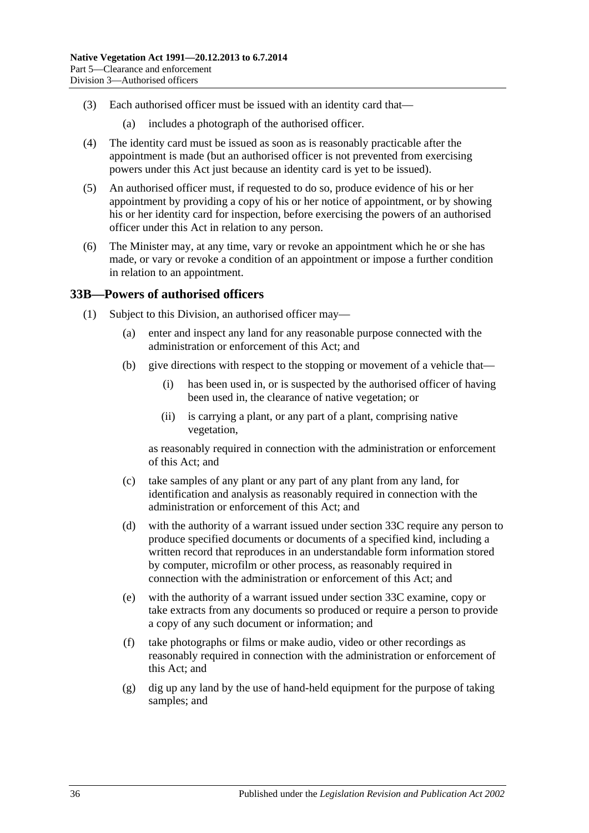- (3) Each authorised officer must be issued with an identity card that—
	- (a) includes a photograph of the authorised officer.
- (4) The identity card must be issued as soon as is reasonably practicable after the appointment is made (but an authorised officer is not prevented from exercising powers under this Act just because an identity card is yet to be issued).
- (5) An authorised officer must, if requested to do so, produce evidence of his or her appointment by providing a copy of his or her notice of appointment, or by showing his or her identity card for inspection, before exercising the powers of an authorised officer under this Act in relation to any person.
- (6) The Minister may, at any time, vary or revoke an appointment which he or she has made, or vary or revoke a condition of an appointment or impose a further condition in relation to an appointment.

#### <span id="page-35-2"></span><span id="page-35-0"></span>**33B—Powers of authorised officers**

- <span id="page-35-1"></span>(1) Subject to this Division, an authorised officer may—
	- (a) enter and inspect any land for any reasonable purpose connected with the administration or enforcement of this Act; and
	- (b) give directions with respect to the stopping or movement of a vehicle that—
		- (i) has been used in, or is suspected by the authorised officer of having been used in, the clearance of native vegetation; or
		- (ii) is carrying a plant, or any part of a plant, comprising native vegetation,

as reasonably required in connection with the administration or enforcement of this Act; and

- (c) take samples of any plant or any part of any plant from any land, for identification and analysis as reasonably required in connection with the administration or enforcement of this Act: and
- <span id="page-35-3"></span>(d) with the authority of a warrant issued under [section](#page-37-0) 33C require any person to produce specified documents or documents of a specified kind, including a written record that reproduces in an understandable form information stored by computer, microfilm or other process, as reasonably required in connection with the administration or enforcement of this Act; and
- <span id="page-35-4"></span>(e) with the authority of a warrant issued under [section](#page-37-0) 33C examine, copy or take extracts from any documents so produced or require a person to provide a copy of any such document or information; and
- (f) take photographs or films or make audio, video or other recordings as reasonably required in connection with the administration or enforcement of this Act; and
- (g) dig up any land by the use of hand-held equipment for the purpose of taking samples; and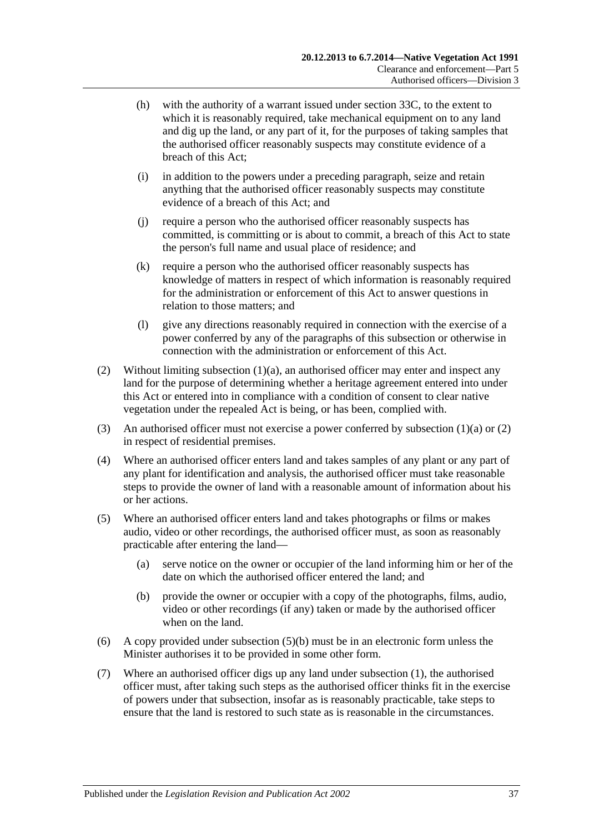- <span id="page-36-3"></span>(h) with the authority of a warrant issued under [section](#page-37-0) 33C, to the extent to which it is reasonably required, take mechanical equipment on to any land and dig up the land, or any part of it, for the purposes of taking samples that the authorised officer reasonably suspects may constitute evidence of a breach of this Act;
- (i) in addition to the powers under a preceding paragraph, seize and retain anything that the authorised officer reasonably suspects may constitute evidence of a breach of this Act; and
- (j) require a person who the authorised officer reasonably suspects has committed, is committing or is about to commit, a breach of this Act to state the person's full name and usual place of residence; and
- <span id="page-36-2"></span>(k) require a person who the authorised officer reasonably suspects has knowledge of matters in respect of which information is reasonably required for the administration or enforcement of this Act to answer questions in relation to those matters; and
- (l) give any directions reasonably required in connection with the exercise of a power conferred by any of the paragraphs of this subsection or otherwise in connection with the administration or enforcement of this Act.
- <span id="page-36-0"></span>(2) Without limiting [subsection](#page-35-1)  $(1)(a)$ , an authorised officer may enter and inspect any land for the purpose of determining whether a heritage agreement entered into under this Act or entered into in compliance with a condition of consent to clear native vegetation under the repealed Act is being, or has been, complied with.
- (3) An authorised officer must not exercise a power conferred by [subsection](#page-35-1)  $(1)(a)$  or  $(2)$ in respect of residential premises.
- (4) Where an authorised officer enters land and takes samples of any plant or any part of any plant for identification and analysis, the authorised officer must take reasonable steps to provide the owner of land with a reasonable amount of information about his or her actions.
- (5) Where an authorised officer enters land and takes photographs or films or makes audio, video or other recordings, the authorised officer must, as soon as reasonably practicable after entering the land—
	- (a) serve notice on the owner or occupier of the land informing him or her of the date on which the authorised officer entered the land; and
	- (b) provide the owner or occupier with a copy of the photographs, films, audio, video or other recordings (if any) taken or made by the authorised officer when on the land.
- <span id="page-36-1"></span>(6) A copy provided under [subsection](#page-36-1) (5)(b) must be in an electronic form unless the Minister authorises it to be provided in some other form.
- (7) Where an authorised officer digs up any land under [subsection](#page-35-2) (1), the authorised officer must, after taking such steps as the authorised officer thinks fit in the exercise of powers under that subsection, insofar as is reasonably practicable, take steps to ensure that the land is restored to such state as is reasonable in the circumstances.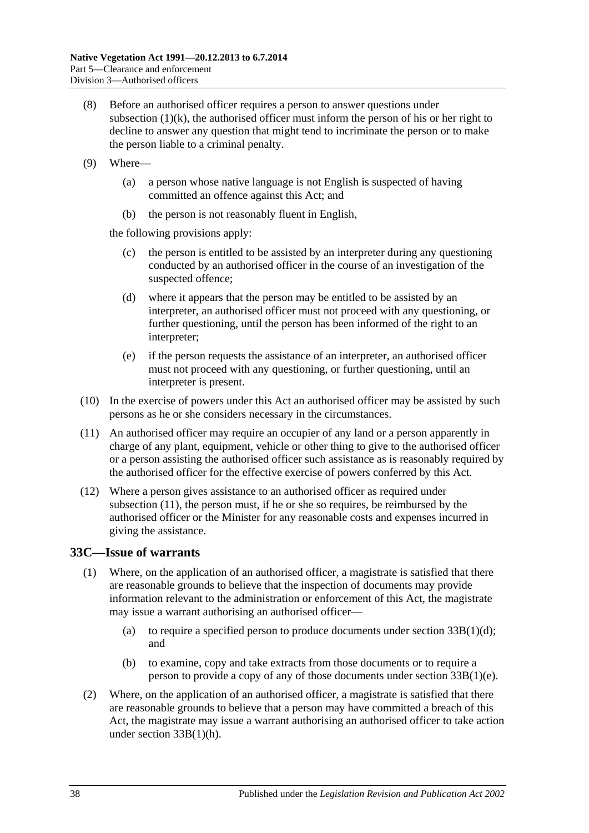- (8) Before an authorised officer requires a person to answer questions under [subsection](#page-36-2)  $(1)(k)$ , the authorised officer must inform the person of his or her right to decline to answer any question that might tend to incriminate the person or to make the person liable to a criminal penalty.
- (9) Where—
	- (a) a person whose native language is not English is suspected of having committed an offence against this Act; and
	- (b) the person is not reasonably fluent in English,

the following provisions apply:

- (c) the person is entitled to be assisted by an interpreter during any questioning conducted by an authorised officer in the course of an investigation of the suspected offence;
- (d) where it appears that the person may be entitled to be assisted by an interpreter, an authorised officer must not proceed with any questioning, or further questioning, until the person has been informed of the right to an interpreter;
- (e) if the person requests the assistance of an interpreter, an authorised officer must not proceed with any questioning, or further questioning, until an interpreter is present.
- (10) In the exercise of powers under this Act an authorised officer may be assisted by such persons as he or she considers necessary in the circumstances.
- <span id="page-37-1"></span>(11) An authorised officer may require an occupier of any land or a person apparently in charge of any plant, equipment, vehicle or other thing to give to the authorised officer or a person assisting the authorised officer such assistance as is reasonably required by the authorised officer for the effective exercise of powers conferred by this Act.
- (12) Where a person gives assistance to an authorised officer as required under [subsection](#page-37-1) (11), the person must, if he or she so requires, be reimbursed by the authorised officer or the Minister for any reasonable costs and expenses incurred in giving the assistance.

## <span id="page-37-0"></span>**33C—Issue of warrants**

- (1) Where, on the application of an authorised officer, a magistrate is satisfied that there are reasonable grounds to believe that the inspection of documents may provide information relevant to the administration or enforcement of this Act, the magistrate may issue a warrant authorising an authorised officer—
	- (a) to require a specified person to produce documents under section  $33B(1)(d)$ ; and
	- (b) to examine, copy and take extracts from those documents or to require a person to provide a copy of any of those documents under section [33B\(1\)\(e\).](#page-35-4)
- (2) Where, on the application of an authorised officer, a magistrate is satisfied that there are reasonable grounds to believe that a person may have committed a breach of this Act, the magistrate may issue a warrant authorising an authorised officer to take action under section [33B\(1\)\(h\).](#page-36-3)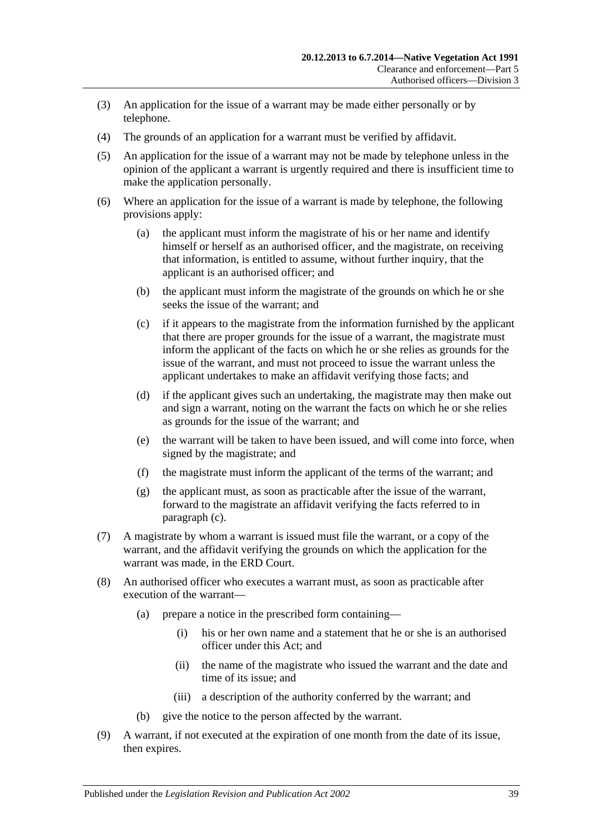- (3) An application for the issue of a warrant may be made either personally or by telephone.
- (4) The grounds of an application for a warrant must be verified by affidavit.
- (5) An application for the issue of a warrant may not be made by telephone unless in the opinion of the applicant a warrant is urgently required and there is insufficient time to make the application personally.
- <span id="page-38-0"></span>(6) Where an application for the issue of a warrant is made by telephone, the following provisions apply:
	- (a) the applicant must inform the magistrate of his or her name and identify himself or herself as an authorised officer, and the magistrate, on receiving that information, is entitled to assume, without further inquiry, that the applicant is an authorised officer; and
	- (b) the applicant must inform the magistrate of the grounds on which he or she seeks the issue of the warrant; and
	- (c) if it appears to the magistrate from the information furnished by the applicant that there are proper grounds for the issue of a warrant, the magistrate must inform the applicant of the facts on which he or she relies as grounds for the issue of the warrant, and must not proceed to issue the warrant unless the applicant undertakes to make an affidavit verifying those facts; and
	- (d) if the applicant gives such an undertaking, the magistrate may then make out and sign a warrant, noting on the warrant the facts on which he or she relies as grounds for the issue of the warrant; and
	- (e) the warrant will be taken to have been issued, and will come into force, when signed by the magistrate; and
	- (f) the magistrate must inform the applicant of the terms of the warrant; and
	- (g) the applicant must, as soon as practicable after the issue of the warrant, forward to the magistrate an affidavit verifying the facts referred to in [paragraph](#page-38-0) (c).
- (7) A magistrate by whom a warrant is issued must file the warrant, or a copy of the warrant, and the affidavit verifying the grounds on which the application for the warrant was made, in the ERD Court.
- (8) An authorised officer who executes a warrant must, as soon as practicable after execution of the warrant—
	- (a) prepare a notice in the prescribed form containing—
		- (i) his or her own name and a statement that he or she is an authorised officer under this Act; and
		- (ii) the name of the magistrate who issued the warrant and the date and time of its issue; and
		- (iii) a description of the authority conferred by the warrant; and
	- (b) give the notice to the person affected by the warrant.
- (9) A warrant, if not executed at the expiration of one month from the date of its issue, then expires.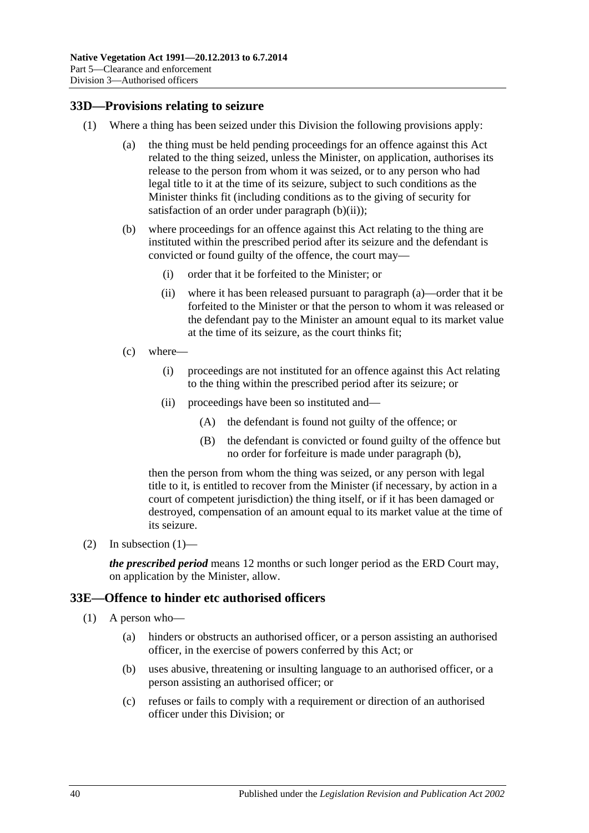## <span id="page-39-5"></span><span id="page-39-0"></span>**33D—Provisions relating to seizure**

- <span id="page-39-4"></span><span id="page-39-3"></span><span id="page-39-2"></span>(1) Where a thing has been seized under this Division the following provisions apply:
	- (a) the thing must be held pending proceedings for an offence against this Act related to the thing seized, unless the Minister, on application, authorises its release to the person from whom it was seized, or to any person who had legal title to it at the time of its seizure, subject to such conditions as the Minister thinks fit (including conditions as to the giving of security for satisfaction of an order under [paragraph](#page-39-2)  $(b)(ii)$ ;
	- (b) where proceedings for an offence against this Act relating to the thing are instituted within the prescribed period after its seizure and the defendant is convicted or found guilty of the offence, the court may—
		- (i) order that it be forfeited to the Minister; or
		- (ii) where it has been released pursuant to [paragraph](#page-39-3) (a)—order that it be forfeited to the Minister or that the person to whom it was released or the defendant pay to the Minister an amount equal to its market value at the time of its seizure, as the court thinks fit;
	- (c) where—
		- (i) proceedings are not instituted for an offence against this Act relating to the thing within the prescribed period after its seizure; or
		- (ii) proceedings have been so instituted and—
			- (A) the defendant is found not guilty of the offence; or
			- (B) the defendant is convicted or found guilty of the offence but no order for forfeiture is made under [paragraph](#page-39-4) (b),

then the person from whom the thing was seized, or any person with legal title to it, is entitled to recover from the Minister (if necessary, by action in a court of competent jurisdiction) the thing itself, or if it has been damaged or destroyed, compensation of an amount equal to its market value at the time of its seizure.

(2) In [subsection](#page-39-5)  $(1)$ —

*the prescribed period* means 12 months or such longer period as the ERD Court may, on application by the Minister, allow.

#### <span id="page-39-1"></span>**33E—Offence to hinder etc authorised officers**

- (1) A person who—
	- (a) hinders or obstructs an authorised officer, or a person assisting an authorised officer, in the exercise of powers conferred by this Act; or
	- (b) uses abusive, threatening or insulting language to an authorised officer, or a person assisting an authorised officer; or
	- (c) refuses or fails to comply with a requirement or direction of an authorised officer under this Division; or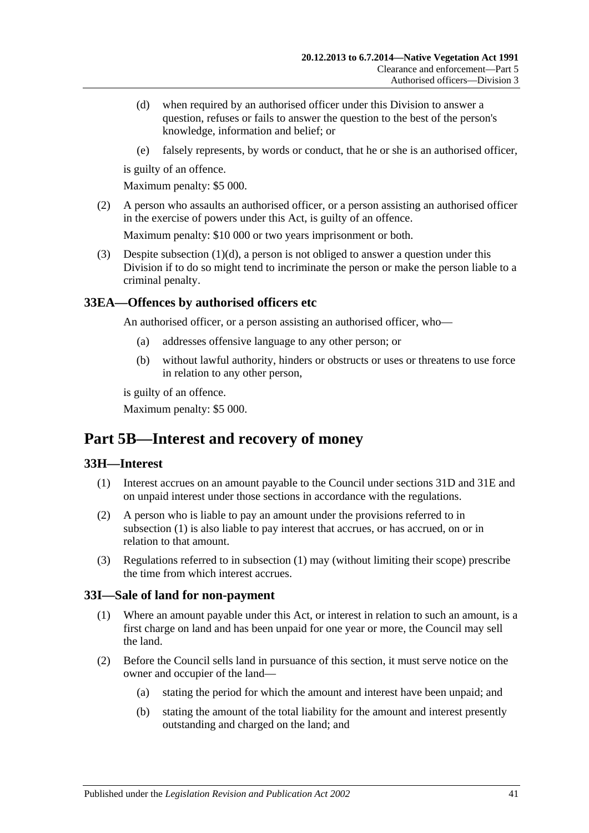- <span id="page-40-4"></span>(d) when required by an authorised officer under this Division to answer a question, refuses or fails to answer the question to the best of the person's knowledge, information and belief; or
- (e) falsely represents, by words or conduct, that he or she is an authorised officer,

is guilty of an offence.

Maximum penalty: \$5 000.

(2) A person who assaults an authorised officer, or a person assisting an authorised officer in the exercise of powers under this Act, is guilty of an offence.

Maximum penalty: \$10 000 or two years imprisonment or both.

(3) Despite [subsection](#page-40-4) (1)(d), a person is not obliged to answer a question under this Division if to do so might tend to incriminate the person or make the person liable to a criminal penalty.

## <span id="page-40-0"></span>**33EA—Offences by authorised officers etc**

An authorised officer, or a person assisting an authorised officer, who—

- (a) addresses offensive language to any other person; or
- (b) without lawful authority, hinders or obstructs or uses or threatens to use force in relation to any other person,

is guilty of an offence.

Maximum penalty: \$5 000.

# <span id="page-40-1"></span>**Part 5B—Interest and recovery of money**

#### <span id="page-40-5"></span><span id="page-40-2"></span>**33H—Interest**

- (1) Interest accrues on an amount payable to the Council under [sections](#page-31-1) 31D and [31E](#page-32-0) and on unpaid interest under those sections in accordance with the regulations.
- (2) A person who is liable to pay an amount under the provisions referred to in [subsection](#page-40-5) (1) is also liable to pay interest that accrues, or has accrued, on or in relation to that amount.
- (3) Regulations referred to in [subsection](#page-40-5) (1) may (without limiting their scope) prescribe the time from which interest accrues.

#### <span id="page-40-3"></span>**33I—Sale of land for non-payment**

- (1) Where an amount payable under this Act, or interest in relation to such an amount, is a first charge on land and has been unpaid for one year or more, the Council may sell the land.
- <span id="page-40-6"></span>(2) Before the Council sells land in pursuance of this section, it must serve notice on the owner and occupier of the land—
	- (a) stating the period for which the amount and interest have been unpaid; and
	- (b) stating the amount of the total liability for the amount and interest presently outstanding and charged on the land; and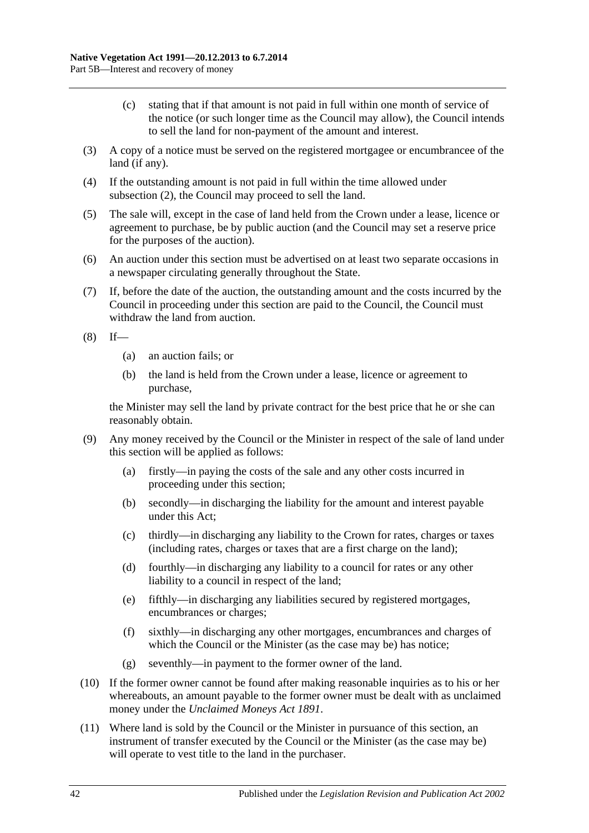- (c) stating that if that amount is not paid in full within one month of service of the notice (or such longer time as the Council may allow), the Council intends to sell the land for non-payment of the amount and interest.
- (3) A copy of a notice must be served on the registered mortgagee or encumbrancee of the land (if any).
- (4) If the outstanding amount is not paid in full within the time allowed under [subsection](#page-40-6) (2), the Council may proceed to sell the land.
- (5) The sale will, except in the case of land held from the Crown under a lease, licence or agreement to purchase, be by public auction (and the Council may set a reserve price for the purposes of the auction).
- (6) An auction under this section must be advertised on at least two separate occasions in a newspaper circulating generally throughout the State.
- (7) If, before the date of the auction, the outstanding amount and the costs incurred by the Council in proceeding under this section are paid to the Council, the Council must withdraw the land from auction.
- $(8)$  If—
	- (a) an auction fails; or
	- (b) the land is held from the Crown under a lease, licence or agreement to purchase,

the Minister may sell the land by private contract for the best price that he or she can reasonably obtain.

- (9) Any money received by the Council or the Minister in respect of the sale of land under this section will be applied as follows:
	- (a) firstly—in paying the costs of the sale and any other costs incurred in proceeding under this section;
	- (b) secondly—in discharging the liability for the amount and interest payable under this Act;
	- (c) thirdly—in discharging any liability to the Crown for rates, charges or taxes (including rates, charges or taxes that are a first charge on the land);
	- (d) fourthly—in discharging any liability to a council for rates or any other liability to a council in respect of the land;
	- (e) fifthly—in discharging any liabilities secured by registered mortgages, encumbrances or charges;
	- (f) sixthly—in discharging any other mortgages, encumbrances and charges of which the Council or the Minister (as the case may be) has notice;
	- (g) seventhly—in payment to the former owner of the land.
- (10) If the former owner cannot be found after making reasonable inquiries as to his or her whereabouts, an amount payable to the former owner must be dealt with as unclaimed money under the *[Unclaimed Moneys Act](http://www.legislation.sa.gov.au/index.aspx?action=legref&type=act&legtitle=Unclaimed%20Moneys%20Act%201891) 1891*.
- <span id="page-41-0"></span>(11) Where land is sold by the Council or the Minister in pursuance of this section, an instrument of transfer executed by the Council or the Minister (as the case may be) will operate to vest title to the land in the purchaser.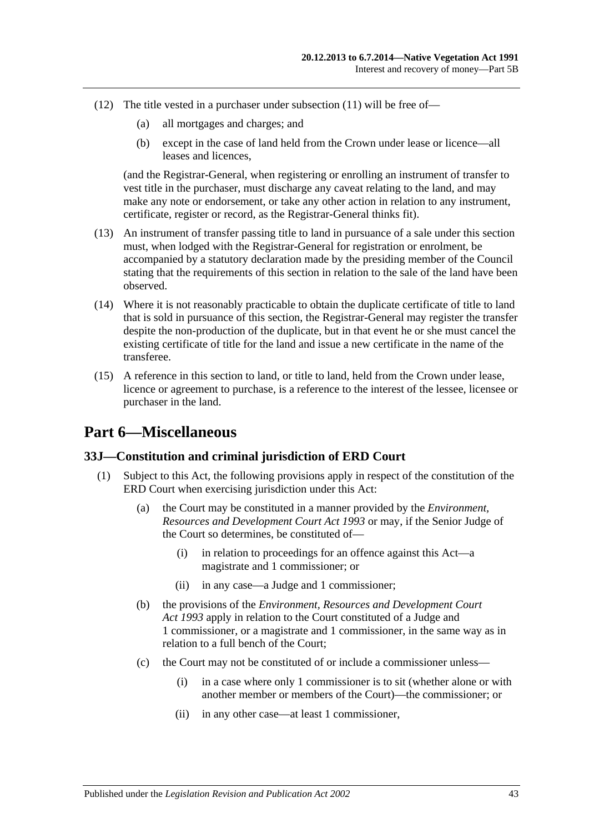- (12) The title vested in a purchaser under [subsection](#page-41-0) (11) will be free of—
	- (a) all mortgages and charges; and
	- (b) except in the case of land held from the Crown under lease or licence—all leases and licences,

(and the Registrar-General, when registering or enrolling an instrument of transfer to vest title in the purchaser, must discharge any caveat relating to the land, and may make any note or endorsement, or take any other action in relation to any instrument, certificate, register or record, as the Registrar-General thinks fit).

- (13) An instrument of transfer passing title to land in pursuance of a sale under this section must, when lodged with the Registrar-General for registration or enrolment, be accompanied by a statutory declaration made by the presiding member of the Council stating that the requirements of this section in relation to the sale of the land have been observed.
- (14) Where it is not reasonably practicable to obtain the duplicate certificate of title to land that is sold in pursuance of this section, the Registrar-General may register the transfer despite the non-production of the duplicate, but in that event he or she must cancel the existing certificate of title for the land and issue a new certificate in the name of the transferee.
- (15) A reference in this section to land, or title to land, held from the Crown under lease, licence or agreement to purchase, is a reference to the interest of the lessee, licensee or purchaser in the land.

# <span id="page-42-0"></span>**Part 6—Miscellaneous**

## <span id="page-42-1"></span>**33J—Constitution and criminal jurisdiction of ERD Court**

- (1) Subject to this Act, the following provisions apply in respect of the constitution of the ERD Court when exercising jurisdiction under this Act:
	- (a) the Court may be constituted in a manner provided by the *[Environment,](http://www.legislation.sa.gov.au/index.aspx?action=legref&type=act&legtitle=Environment%20Resources%20and%20Development%20Court%20Act%201993)  [Resources and Development Court Act](http://www.legislation.sa.gov.au/index.aspx?action=legref&type=act&legtitle=Environment%20Resources%20and%20Development%20Court%20Act%201993) 1993* or may, if the Senior Judge of the Court so determines, be constituted of—
		- (i) in relation to proceedings for an offence against this Act—a magistrate and 1 commissioner; or
		- (ii) in any case—a Judge and 1 commissioner;
	- (b) the provisions of the *[Environment, Resources and Development Court](http://www.legislation.sa.gov.au/index.aspx?action=legref&type=act&legtitle=Environment%20Resources%20and%20Development%20Court%20Act%201993)  Act [1993](http://www.legislation.sa.gov.au/index.aspx?action=legref&type=act&legtitle=Environment%20Resources%20and%20Development%20Court%20Act%201993)* apply in relation to the Court constituted of a Judge and 1 commissioner, or a magistrate and 1 commissioner, in the same way as in relation to a full bench of the Court;
	- (c) the Court may not be constituted of or include a commissioner unless—
		- (i) in a case where only 1 commissioner is to sit (whether alone or with another member or members of the Court)—the commissioner; or
		- (ii) in any other case—at least 1 commissioner,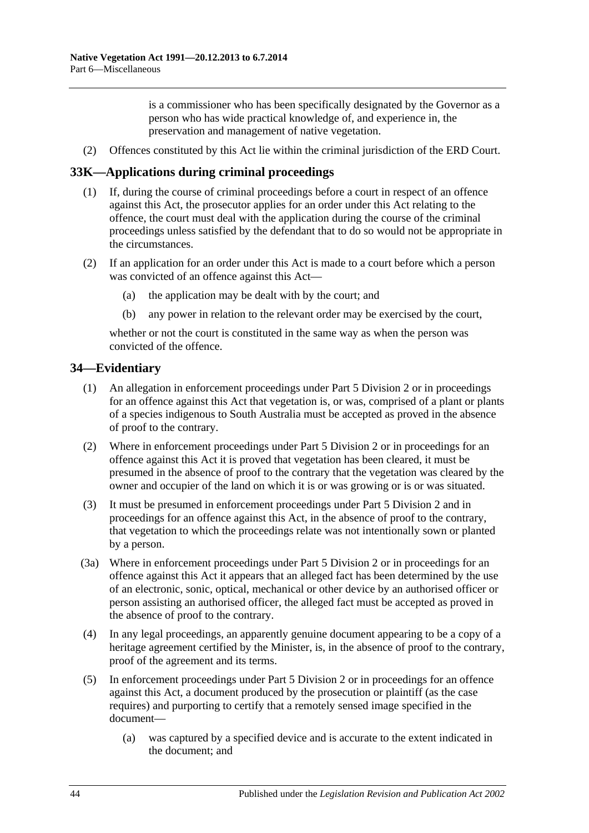is a commissioner who has been specifically designated by the Governor as a person who has wide practical knowledge of, and experience in, the preservation and management of native vegetation.

(2) Offences constituted by this Act lie within the criminal jurisdiction of the ERD Court.

## <span id="page-43-0"></span>**33K—Applications during criminal proceedings**

- (1) If, during the course of criminal proceedings before a court in respect of an offence against this Act, the prosecutor applies for an order under this Act relating to the offence, the court must deal with the application during the course of the criminal proceedings unless satisfied by the defendant that to do so would not be appropriate in the circumstances.
- (2) If an application for an order under this Act is made to a court before which a person was convicted of an offence against this Act—
	- (a) the application may be dealt with by the court; and
	- (b) any power in relation to the relevant order may be exercised by the court,

whether or not the court is constituted in the same way as when the person was convicted of the offence.

#### <span id="page-43-1"></span>**34—Evidentiary**

- (1) An allegation in enforcement proceedings under [Part 5 Division 2](#page-28-0) or in proceedings for an offence against this Act that vegetation is, or was, comprised of a plant or plants of a species indigenous to South Australia must be accepted as proved in the absence of proof to the contrary.
- (2) Where in enforcement proceedings under [Part 5 Division 2](#page-28-0) or in proceedings for an offence against this Act it is proved that vegetation has been cleared, it must be presumed in the absence of proof to the contrary that the vegetation was cleared by the owner and occupier of the land on which it is or was growing or is or was situated.
- (3) It must be presumed in enforcement proceedings under [Part 5 Division 2](#page-28-0) and in proceedings for an offence against this Act, in the absence of proof to the contrary, that vegetation to which the proceedings relate was not intentionally sown or planted by a person.
- (3a) Where in enforcement proceedings under [Part 5 Division 2](#page-28-0) or in proceedings for an offence against this Act it appears that an alleged fact has been determined by the use of an electronic, sonic, optical, mechanical or other device by an authorised officer or person assisting an authorised officer, the alleged fact must be accepted as proved in the absence of proof to the contrary.
- (4) In any legal proceedings, an apparently genuine document appearing to be a copy of a heritage agreement certified by the Minister, is, in the absence of proof to the contrary, proof of the agreement and its terms.
- (5) In enforcement proceedings under [Part 5 Division 2](#page-28-0) or in proceedings for an offence against this Act, a document produced by the prosecution or plaintiff (as the case requires) and purporting to certify that a remotely sensed image specified in the document—
	- (a) was captured by a specified device and is accurate to the extent indicated in the document; and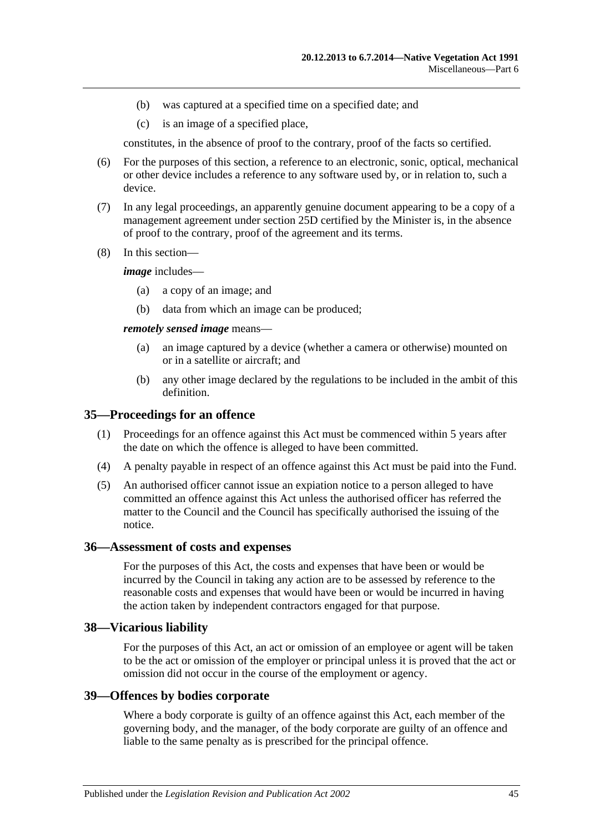- (b) was captured at a specified time on a specified date; and
- (c) is an image of a specified place,

constitutes, in the absence of proof to the contrary, proof of the facts so certified.

- (6) For the purposes of this section, a reference to an electronic, sonic, optical, mechanical or other device includes a reference to any software used by, or in relation to, such a device.
- (7) In any legal proceedings, an apparently genuine document appearing to be a copy of a management agreement under section 25D certified by the Minister is, in the absence of proof to the contrary, proof of the agreement and its terms.
- (8) In this section—

*image* includes—

- (a) a copy of an image; and
- (b) data from which an image can be produced;

*remotely sensed image* means—

- (a) an image captured by a device (whether a camera or otherwise) mounted on or in a satellite or aircraft; and
- (b) any other image declared by the regulations to be included in the ambit of this definition.

#### <span id="page-44-0"></span>**35—Proceedings for an offence**

- (1) Proceedings for an offence against this Act must be commenced within 5 years after the date on which the offence is alleged to have been committed.
- (4) A penalty payable in respect of an offence against this Act must be paid into the Fund.
- (5) An authorised officer cannot issue an expiation notice to a person alleged to have committed an offence against this Act unless the authorised officer has referred the matter to the Council and the Council has specifically authorised the issuing of the notice.

#### <span id="page-44-1"></span>**36—Assessment of costs and expenses**

For the purposes of this Act, the costs and expenses that have been or would be incurred by the Council in taking any action are to be assessed by reference to the reasonable costs and expenses that would have been or would be incurred in having the action taken by independent contractors engaged for that purpose.

#### <span id="page-44-2"></span>**38—Vicarious liability**

For the purposes of this Act, an act or omission of an employee or agent will be taken to be the act or omission of the employer or principal unless it is proved that the act or omission did not occur in the course of the employment or agency.

#### <span id="page-44-3"></span>**39—Offences by bodies corporate**

Where a body corporate is guilty of an offence against this Act, each member of the governing body, and the manager, of the body corporate are guilty of an offence and liable to the same penalty as is prescribed for the principal offence.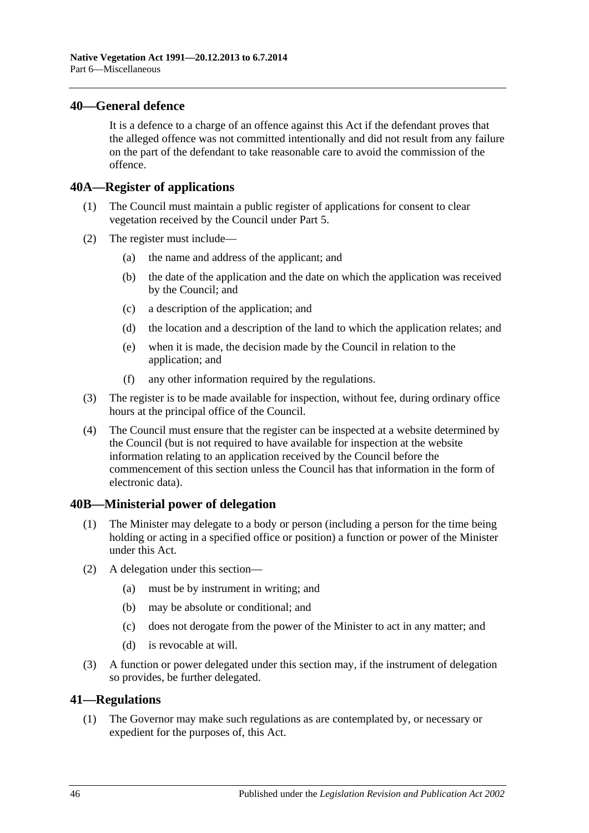#### <span id="page-45-0"></span>**40—General defence**

It is a defence to a charge of an offence against this Act if the defendant proves that the alleged offence was not committed intentionally and did not result from any failure on the part of the defendant to take reasonable care to avoid the commission of the offence.

#### <span id="page-45-1"></span>**40A—Register of applications**

- (1) The Council must maintain a public register of applications for consent to clear vegetation received by the Council under [Part 5.](#page-19-0)
- (2) The register must include—
	- (a) the name and address of the applicant; and
	- (b) the date of the application and the date on which the application was received by the Council; and
	- (c) a description of the application; and
	- (d) the location and a description of the land to which the application relates; and
	- (e) when it is made, the decision made by the Council in relation to the application; and
	- (f) any other information required by the regulations.
- (3) The register is to be made available for inspection, without fee, during ordinary office hours at the principal office of the Council.
- (4) The Council must ensure that the register can be inspected at a website determined by the Council (but is not required to have available for inspection at the website information relating to an application received by the Council before the commencement of this section unless the Council has that information in the form of electronic data).

#### <span id="page-45-2"></span>**40B—Ministerial power of delegation**

- (1) The Minister may delegate to a body or person (including a person for the time being holding or acting in a specified office or position) a function or power of the Minister under this Act.
- (2) A delegation under this section—
	- (a) must be by instrument in writing; and
	- (b) may be absolute or conditional; and
	- (c) does not derogate from the power of the Minister to act in any matter; and
	- (d) is revocable at will.
- (3) A function or power delegated under this section may, if the instrument of delegation so provides, be further delegated.

#### <span id="page-45-4"></span><span id="page-45-3"></span>**41—Regulations**

(1) The Governor may make such regulations as are contemplated by, or necessary or expedient for the purposes of, this Act.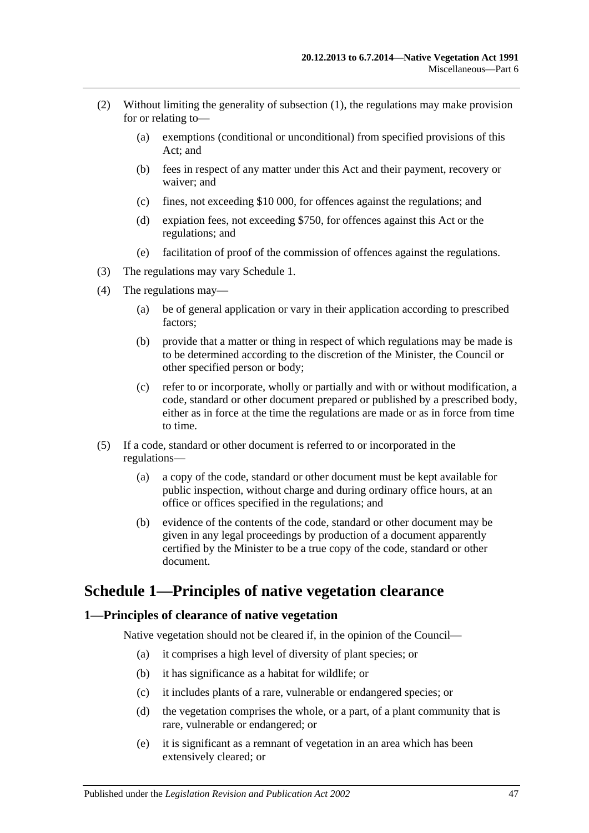- (2) Without limiting the generality of [subsection](#page-45-4) (1), the regulations may make provision for or relating to—
	- (a) exemptions (conditional or unconditional) from specified provisions of this Act; and
	- (b) fees in respect of any matter under this Act and their payment, recovery or waiver; and
	- (c) fines, not exceeding \$10 000, for offences against the regulations; and
	- (d) expiation fees, not exceeding \$750, for offences against this Act or the regulations; and
	- (e) facilitation of proof of the commission of offences against the regulations.
- (3) The regulations may vary [Schedule 1.](#page-46-0)
- (4) The regulations may—
	- (a) be of general application or vary in their application according to prescribed factors;
	- (b) provide that a matter or thing in respect of which regulations may be made is to be determined according to the discretion of the Minister, the Council or other specified person or body;
	- (c) refer to or incorporate, wholly or partially and with or without modification, a code, standard or other document prepared or published by a prescribed body, either as in force at the time the regulations are made or as in force from time to time.
- (5) If a code, standard or other document is referred to or incorporated in the regulations—
	- (a) a copy of the code, standard or other document must be kept available for public inspection, without charge and during ordinary office hours, at an office or offices specified in the regulations; and
	- (b) evidence of the contents of the code, standard or other document may be given in any legal proceedings by production of a document apparently certified by the Minister to be a true copy of the code, standard or other document.

# <span id="page-46-0"></span>**Schedule 1—Principles of native vegetation clearance**

#### <span id="page-46-1"></span>**1—Principles of clearance of native vegetation**

Native vegetation should not be cleared if, in the opinion of the Council—

- (a) it comprises a high level of diversity of plant species; or
- (b) it has significance as a habitat for wildlife; or
- (c) it includes plants of a rare, vulnerable or endangered species; or
- (d) the vegetation comprises the whole, or a part, of a plant community that is rare, vulnerable or endangered; or
- (e) it is significant as a remnant of vegetation in an area which has been extensively cleared; or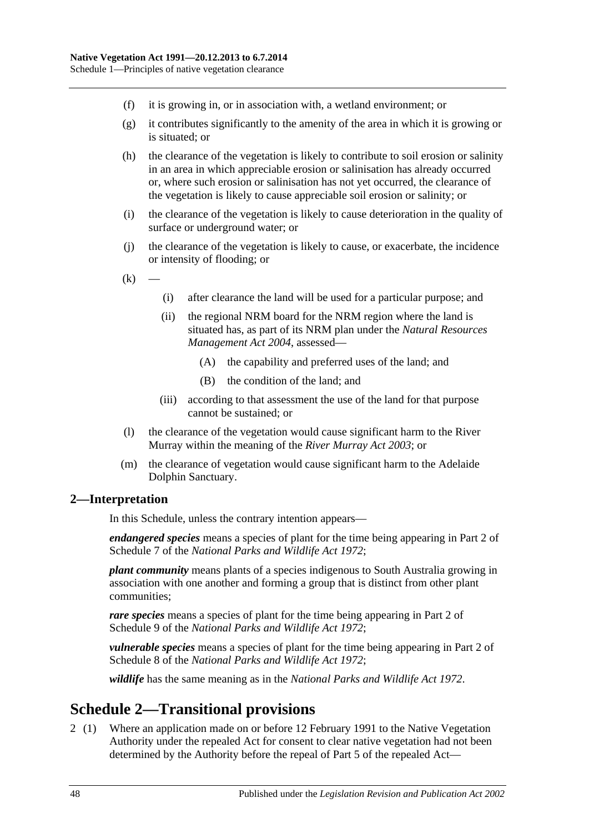- (f) it is growing in, or in association with, a wetland environment; or
- (g) it contributes significantly to the amenity of the area in which it is growing or is situated; or
- (h) the clearance of the vegetation is likely to contribute to soil erosion or salinity in an area in which appreciable erosion or salinisation has already occurred or, where such erosion or salinisation has not yet occurred, the clearance of the vegetation is likely to cause appreciable soil erosion or salinity; or
- (i) the clearance of the vegetation is likely to cause deterioration in the quality of surface or underground water; or
- (j) the clearance of the vegetation is likely to cause, or exacerbate, the incidence or intensity of flooding; or
- $(k)$
- (i) after clearance the land will be used for a particular purpose; and
- (ii) the regional NRM board for the NRM region where the land is situated has, as part of its NRM plan under the *[Natural Resources](http://www.legislation.sa.gov.au/index.aspx?action=legref&type=act&legtitle=Natural%20Resources%20Management%20Act%202004)  [Management Act](http://www.legislation.sa.gov.au/index.aspx?action=legref&type=act&legtitle=Natural%20Resources%20Management%20Act%202004) 2004*, assessed—
	- (A) the capability and preferred uses of the land; and
	- (B) the condition of the land; and
- (iii) according to that assessment the use of the land for that purpose cannot be sustained; or
- (l) the clearance of the vegetation would cause significant harm to the River Murray within the meaning of the *[River Murray Act](http://www.legislation.sa.gov.au/index.aspx?action=legref&type=act&legtitle=River%20Murray%20Act%202003) 2003*; or
- (m) the clearance of vegetation would cause significant harm to the Adelaide Dolphin Sanctuary.

#### <span id="page-47-0"></span>**2—Interpretation**

In this Schedule, unless the contrary intention appears—

*endangered species* means a species of plant for the time being appearing in Part 2 of Schedule 7 of the *[National Parks and Wildlife Act](http://www.legislation.sa.gov.au/index.aspx?action=legref&type=act&legtitle=National%20Parks%20and%20Wildlife%20Act%201972) 1972*;

*plant community* means plants of a species indigenous to South Australia growing in association with one another and forming a group that is distinct from other plant communities;

*rare species* means a species of plant for the time being appearing in Part 2 of Schedule 9 of the *[National Parks and Wildlife Act](http://www.legislation.sa.gov.au/index.aspx?action=legref&type=act&legtitle=National%20Parks%20and%20Wildlife%20Act%201972) 1972*;

*vulnerable species* means a species of plant for the time being appearing in Part 2 of Schedule 8 of the *[National Parks and Wildlife Act](http://www.legislation.sa.gov.au/index.aspx?action=legref&type=act&legtitle=National%20Parks%20and%20Wildlife%20Act%201972) 1972*;

*wildlife* has the same meaning as in the *[National Parks and Wildlife Act](http://www.legislation.sa.gov.au/index.aspx?action=legref&type=act&legtitle=National%20Parks%20and%20Wildlife%20Act%201972) 1972*.

# <span id="page-47-1"></span>**Schedule 2—Transitional provisions**

2 (1) Where an application made on or before 12 February 1991 to the Native Vegetation Authority under the repealed Act for consent to clear native vegetation had not been determined by the Authority before the repeal of Part 5 of the repealed Act—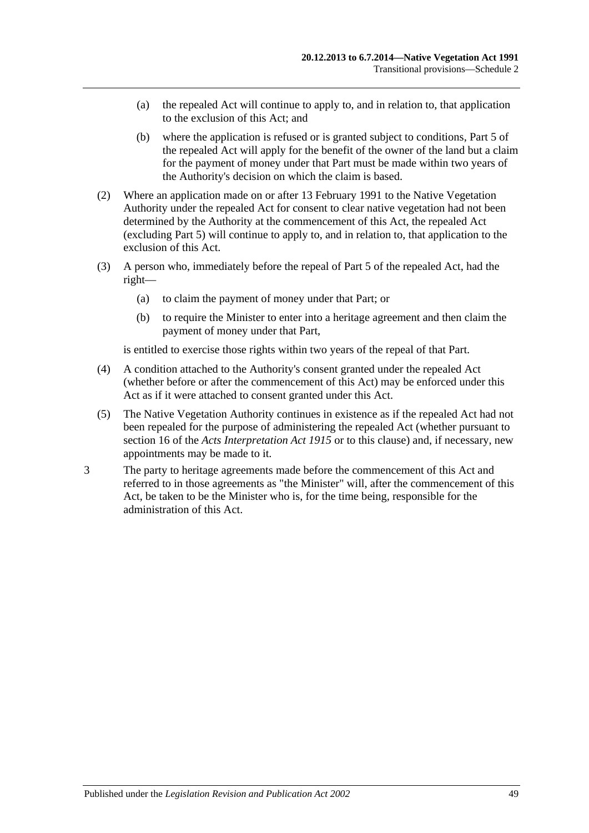- (a) the repealed Act will continue to apply to, and in relation to, that application to the exclusion of this Act; and
- (b) where the application is refused or is granted subject to conditions, Part 5 of the repealed Act will apply for the benefit of the owner of the land but a claim for the payment of money under that Part must be made within two years of the Authority's decision on which the claim is based.
- (2) Where an application made on or after 13 February 1991 to the Native Vegetation Authority under the repealed Act for consent to clear native vegetation had not been determined by the Authority at the commencement of this Act, the repealed Act (excluding Part 5) will continue to apply to, and in relation to, that application to the exclusion of this Act.
- (3) A person who, immediately before the repeal of Part 5 of the repealed Act, had the right—
	- (a) to claim the payment of money under that Part; or
	- (b) to require the Minister to enter into a heritage agreement and then claim the payment of money under that Part,

is entitled to exercise those rights within two years of the repeal of that Part.

- (4) A condition attached to the Authority's consent granted under the repealed Act (whether before or after the commencement of this Act) may be enforced under this Act as if it were attached to consent granted under this Act.
- (5) The Native Vegetation Authority continues in existence as if the repealed Act had not been repealed for the purpose of administering the repealed Act (whether pursuant to section 16 of the *[Acts Interpretation Act](http://www.legislation.sa.gov.au/index.aspx?action=legref&type=act&legtitle=Acts%20Interpretation%20Act%201915) 1915* or to this clause) and, if necessary, new appointments may be made to it.
- 3 The party to heritage agreements made before the commencement of this Act and referred to in those agreements as "the Minister" will, after the commencement of this Act, be taken to be the Minister who is, for the time being, responsible for the administration of this Act.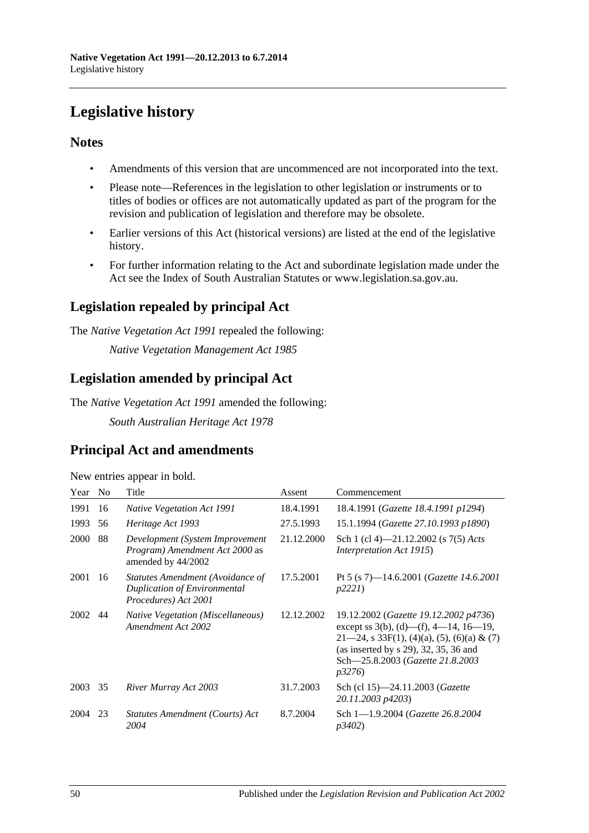# <span id="page-49-0"></span>**Legislative history**

## **Notes**

- Amendments of this version that are uncommenced are not incorporated into the text.
- Please note—References in the legislation to other legislation or instruments or to titles of bodies or offices are not automatically updated as part of the program for the revision and publication of legislation and therefore may be obsolete.
- Earlier versions of this Act (historical versions) are listed at the end of the legislative history.
- For further information relating to the Act and subordinate legislation made under the Act see the Index of South Australian Statutes or www.legislation.sa.gov.au.

# **Legislation repealed by principal Act**

The *Native Vegetation Act 1991* repealed the following:

*Native Vegetation Management Act 1985*

## **Legislation amended by principal Act**

The *Native Vegetation Act 1991* amended the following:

*South Australian Heritage Act 1978*

## **Principal Act and amendments**

| New entries appear in bold. |  |  |
|-----------------------------|--|--|
|                             |  |  |

| Year        | N <sub>0</sub> | Title                                                                                           | Assent     | Commencement                                                                                                                                                                                                                     |
|-------------|----------------|-------------------------------------------------------------------------------------------------|------------|----------------------------------------------------------------------------------------------------------------------------------------------------------------------------------------------------------------------------------|
| 1991        | 16             | <b>Native Vegetation Act 1991</b>                                                               | 18.4.1991  | 18.4.1991 (Gazette 18.4.1991 p1294)                                                                                                                                                                                              |
| 1993        | 56             | Heritage Act 1993                                                                               | 27.5.1993  | 15.1.1994 (Gazette 27.10.1993 p1890)                                                                                                                                                                                             |
| <b>2000</b> | 88             | Development (System Improvement<br><i>Program</i> ) Amendment Act 2000 as<br>amended by 44/2002 | 21.12.2000 | Sch 1 (cl 4)—21.12.2002 (s $7(5)$ Acts<br>Interpretation Act 1915)                                                                                                                                                               |
| 2001        | 16             | Statutes Amendment (Avoidance of<br>Duplication of Environmental<br>Procedures) Act 2001        | 17.5.2001  | Pt 5 (s 7)—14.6.2001 ( <i>Gazette 14.6.2001</i><br>p2221                                                                                                                                                                         |
| 2002        | 44             | <i>Native Vegetation (Miscellaneous)</i><br>Amendment Act 2002                                  | 12.12.2002 | 19.12.2002 (Gazette 19.12.2002 p4736)<br>except ss 3(b), (d)—(f), 4—14, 16—19,<br>$21-24$ , s 33F(1), (4)(a), (5), (6)(a) & (7)<br>(as inserted by $s$ 29), 32, 35, 36 and<br>Sch-25.8.2003 (Gazette 21.8.2003<br><i>p</i> 3276) |
| 2003        | 35             | River Murray Act 2003                                                                           | 31.7.2003  | Sch (cl 15)-24.11.2003 (Gazette<br>20.11.2003 p4203)                                                                                                                                                                             |
| 2004        | 23             | Statutes Amendment (Courts) Act<br>2004                                                         | 8.7.2004   | Sch 1-1.9.2004 (Gazette 26.8.2004)<br>p3402)                                                                                                                                                                                     |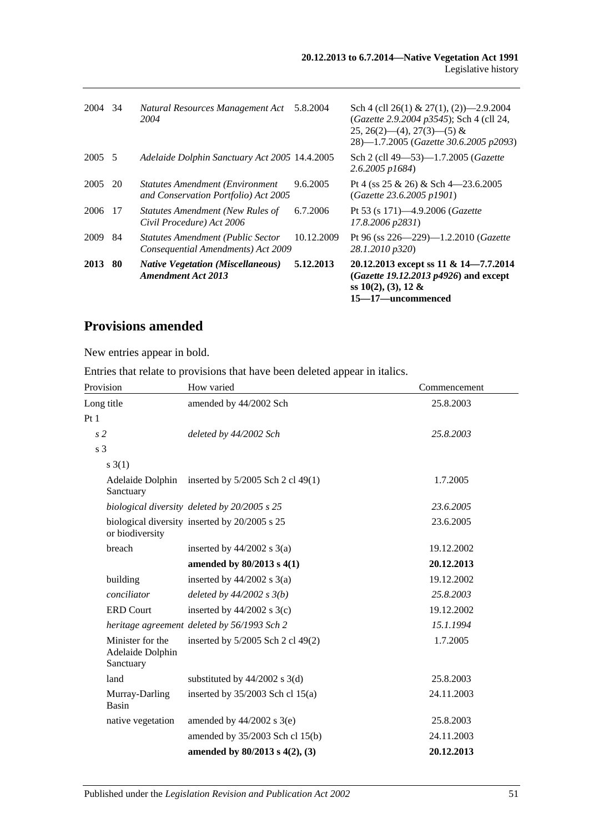| 2013    | -80 | <b>Native Vegetation (Miscellaneous)</b><br><b>Amendment Act 2013</b>            | 5.12.2013  | 20.12.2013 except ss 11 & 14–7.7.2014<br>(Gazette 19.12.2013 p4926) and except<br>ss $10(2)$ , $(3)$ , $12 \&$<br>15–17–uncommenced                                     |
|---------|-----|----------------------------------------------------------------------------------|------------|-------------------------------------------------------------------------------------------------------------------------------------------------------------------------|
| 2009    | 84  | <b>Statutes Amendment (Public Sector</b><br>Consequential Amendments) Act 2009   | 10.12.2009 | Pt 96 (ss 226-229)-1.2.2010 (Gazette<br>28.1.2010 p320)                                                                                                                 |
| 2006    | -17 | <b>Statutes Amendment (New Rules of</b><br>Civil Procedure) Act 2006             | 6.7.2006   | Pt 53 (s 171)—4.9.2006 ( <i>Gazette</i><br>17.8.2006 p2831)                                                                                                             |
| 2005    | 20  | <b>Statutes Amendment (Environment</b> )<br>and Conservation Portfolio) Act 2005 | 9.6.2005   | Pt 4 (ss 25 & 26) & Sch 4 - 23.6.2005<br>(Gazette 23.6.2005 p1901)                                                                                                      |
| 2005 5  |     | Adelaide Dolphin Sanctuary Act 2005 14.4.2005                                    |            | Sch 2 (cll 49–53)–1.7.2005 (Gazette<br>$2.6.2005$ p1684)                                                                                                                |
| 2004 34 |     | Natural Resources Management Act<br>2004                                         | 5.8.2004   | Sch 4 (cll 26(1) & 27(1), (2) $-2.9.2004$<br>(Gazette 2.9.2004 p3545); Sch 4 (cll 24,<br>$25, 26(2)$ — $(4), 27(3)$ — $(5)$ &<br>28)-1.7.2005 (Gazette 30.6.2005 p2093) |

# **Provisions amended**

New entries appear in bold.

Entries that relate to provisions that have been deleted appear in italics.

| Provision                                         | How varied                                         | Commencement |
|---------------------------------------------------|----------------------------------------------------|--------------|
| Long title                                        | amended by 44/2002 Sch                             | 25.8.2003    |
| Pt1                                               |                                                    |              |
| s <sub>2</sub>                                    | deleted by 44/2002 Sch                             | 25.8.2003    |
| s 3                                               |                                                    |              |
| $s \; 3(1)$                                       |                                                    |              |
| Sanctuary                                         | Adelaide Dolphin inserted by 5/2005 Sch 2 cl 49(1) | 1.7.2005     |
|                                                   | biological diversity deleted by 20/2005 s 25       | 23.6.2005    |
| or biodiversity                                   | biological diversity inserted by 20/2005 s 25      | 23.6.2005    |
| breach                                            | inserted by $44/2002$ s $3(a)$                     | 19.12.2002   |
|                                                   | amended by 80/2013 s 4(1)                          | 20.12.2013   |
| building                                          | inserted by $44/2002$ s $3(a)$                     | 19.12.2002   |
| conciliator                                       | deleted by $44/2002 s 3(b)$                        | 25.8.2003    |
| <b>ERD Court</b>                                  | inserted by $44/2002$ s 3(c)                       | 19.12.2002   |
|                                                   | heritage agreement deleted by 56/1993 Sch 2        | 15.1.1994    |
| Minister for the<br>Adelaide Dolphin<br>Sanctuary | inserted by 5/2005 Sch 2 cl 49(2)                  | 1.7.2005     |
| land                                              | substituted by $44/2002$ s 3(d)                    | 25.8.2003    |
| Murray-Darling<br><b>Basin</b>                    | inserted by $35/2003$ Sch cl $15(a)$               | 24.11.2003   |
| native vegetation                                 | amended by $44/2002$ s $3(e)$                      | 25.8.2003    |
|                                                   | amended by 35/2003 Sch cl 15(b)                    | 24.11.2003   |
|                                                   | amended by 80/2013 s 4(2), (3)                     | 20.12.2013   |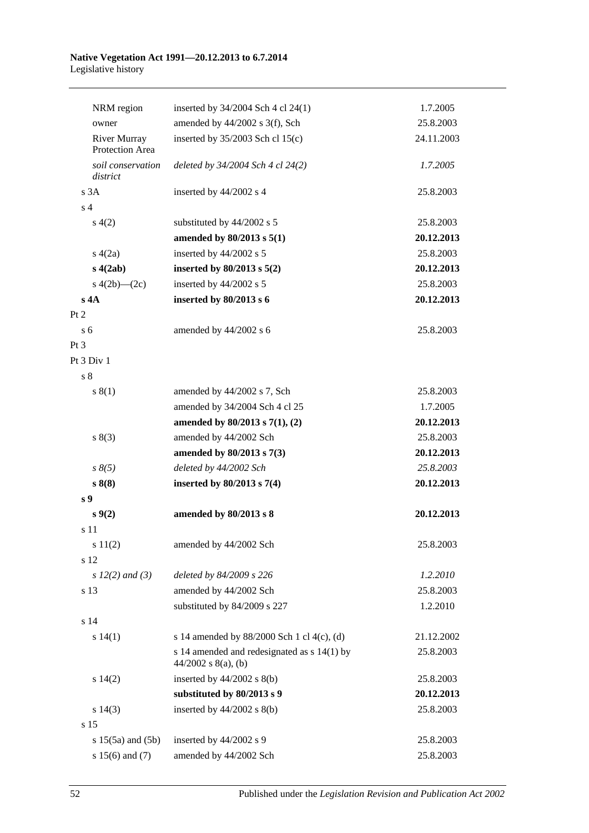#### **Native Vegetation Act 1991—20.12.2013 to 6.7.2014** Legislative history

| NRM region                             | inserted by 34/2004 Sch 4 cl 24(1)                                     | 1.7.2005   |
|----------------------------------------|------------------------------------------------------------------------|------------|
| owner                                  | amended by 44/2002 s 3(f), Sch                                         | 25.8.2003  |
| <b>River Murray</b><br>Protection Area | inserted by $35/2003$ Sch cl $15(c)$                                   | 24.11.2003 |
| soil conservation<br>district          | deleted by 34/2004 Sch 4 cl 24(2)                                      | 1.7.2005   |
| s3A                                    | inserted by 44/2002 s 4                                                | 25.8.2003  |
| s <sub>4</sub>                         |                                                                        |            |
| s(4(2)                                 | substituted by 44/2002 s 5                                             | 25.8.2003  |
|                                        | amended by 80/2013 s 5(1)                                              | 20.12.2013 |
| s(4(2a))                               | inserted by 44/2002 s 5                                                | 25.8.2003  |
| s(4(2ab)                               | inserted by $80/2013$ s $5(2)$                                         | 20.12.2013 |
| s $4(2b)$ — $(2c)$                     | inserted by 44/2002 s 5                                                | 25.8.2003  |
| s 4A                                   | inserted by 80/2013 s 6                                                | 20.12.2013 |
| Pt 2                                   |                                                                        |            |
| s <sub>6</sub>                         | amended by 44/2002 s 6                                                 | 25.8.2003  |
| Pt 3                                   |                                                                        |            |
| Pt 3 Div 1                             |                                                                        |            |
| s <sub>8</sub>                         |                                                                        |            |
| s(1)                                   | amended by 44/2002 s 7, Sch                                            | 25.8.2003  |
|                                        | amended by 34/2004 Sch 4 cl 25                                         | 1.7.2005   |
|                                        | amended by $80/2013$ s $7(1)$ , (2)                                    | 20.12.2013 |
| s(3)                                   | amended by 44/2002 Sch                                                 | 25.8.2003  |
|                                        | amended by 80/2013 s 7(3)                                              | 20.12.2013 |
| $s \, 8(5)$                            | deleted by 44/2002 Sch                                                 | 25.8.2003  |
| s 8(8)                                 | inserted by $80/2013$ s $7(4)$                                         | 20.12.2013 |
| s <sub>9</sub>                         |                                                                        |            |
| $s \, 9(2)$                            | amended by 80/2013 s 8                                                 | 20.12.2013 |
| s 11                                   |                                                                        |            |
| s 11(2)                                | amended by 44/2002 Sch                                                 | 25.8.2003  |
| s 12                                   |                                                                        |            |
| $s 12(2)$ and (3)                      | deleted by 84/2009 s 226                                               | 1.2.2010   |
| s 13                                   | amended by 44/2002 Sch                                                 | 25.8.2003  |
|                                        | substituted by 84/2009 s 227                                           | 1.2.2010   |
| s 14                                   |                                                                        |            |
| s 14(1)                                | s 14 amended by 88/2000 Sch 1 cl 4(c), (d)                             | 21.12.2002 |
|                                        | s 14 amended and redesignated as $s$ 14(1) by<br>$44/2002$ s 8(a), (b) | 25.8.2003  |
| s 14(2)                                | inserted by $44/2002$ s $8(b)$                                         | 25.8.2003  |
|                                        | substituted by 80/2013 s 9                                             | 20.12.2013 |
| $s\ 14(3)$                             | inserted by $44/2002$ s $8(b)$                                         | 25.8.2003  |
| s 15                                   |                                                                        |            |
| $s 15(5a)$ and $(5b)$                  | inserted by 44/2002 s 9                                                | 25.8.2003  |
| s $15(6)$ and $(7)$                    | amended by 44/2002 Sch                                                 | 25.8.2003  |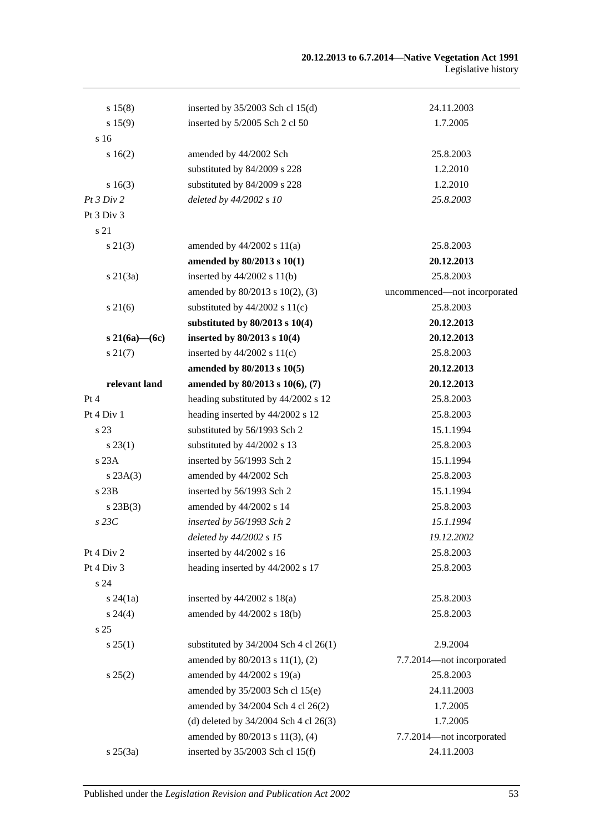| s 15(8)         | inserted by $35/2003$ Sch cl 15(d)      | 24.11.2003                   |
|-----------------|-----------------------------------------|------------------------------|
| s 15(9)         | inserted by 5/2005 Sch 2 cl 50          | 1.7.2005                     |
| s 16            |                                         |                              |
| 16(2)           | amended by 44/2002 Sch                  | 25.8.2003                    |
|                 | substituted by 84/2009 s 228            | 1.2.2010                     |
| s 16(3)         | substituted by 84/2009 s 228            | 1.2.2010                     |
| Pt3 Div2        | deleted by 44/2002 s 10                 | 25.8.2003                    |
| Pt 3 Div 3      |                                         |                              |
| s 21            |                                         |                              |
| $s\ 21(3)$      | amended by $44/2002$ s $11(a)$          | 25.8.2003                    |
|                 | amended by 80/2013 s 10(1)              | 20.12.2013                   |
| s21(3a)         | inserted by $44/2002$ s $11(b)$         | 25.8.2003                    |
|                 | amended by 80/2013 s 10(2), (3)         | uncommenced-not incorporated |
| $s \, 21(6)$    | substituted by $44/2002$ s $11(c)$      | 25.8.2003                    |
|                 | substituted by $80/2013$ s $10(4)$      | 20.12.2013                   |
| s 21(6a)—(6c)   | inserted by $80/2013$ s $10(4)$         | 20.12.2013                   |
| $s\,21(7)$      | inserted by $44/2002$ s $11(c)$         | 25.8.2003                    |
|                 | amended by 80/2013 s 10(5)              | 20.12.2013                   |
| relevant land   | amended by 80/2013 s 10(6), (7)         | 20.12.2013                   |
| Pt 4            | heading substituted by 44/2002 s 12     | 25.8.2003                    |
| Pt 4 Div 1      | heading inserted by 44/2002 s 12        | 25.8.2003                    |
| s 23            | substituted by 56/1993 Sch 2            | 15.1.1994                    |
| s 23(1)         | substituted by 44/2002 s 13             | 25.8.2003                    |
| s 23A           | inserted by 56/1993 Sch 2               | 15.1.1994                    |
| s 23A(3)        | amended by 44/2002 Sch                  | 25.8.2003                    |
| s 23B           | inserted by 56/1993 Sch 2               | 15.1.1994                    |
| $s\,23B(3)$     | amended by 44/2002 s 14                 | 25.8.2003                    |
| $s$ 23 $C$      | inserted by 56/1993 Sch 2               | 15.1.1994                    |
|                 | deleted by 44/2002 s 15                 | 19.12.2002                   |
| Pt 4 Div 2      | inserted by 44/2002 s 16                | 25.8.2003                    |
| Pt 4 Div 3      | heading inserted by 44/2002 s 17        | 25.8.2003                    |
| s 24            |                                         |                              |
| $s\,24(1a)$     | inserted by $44/2002$ s $18(a)$         | 25.8.2003                    |
| $s\,24(4)$      | amended by 44/2002 s 18(b)              | 25.8.2003                    |
| s <sub>25</sub> |                                         |                              |
| s 25(1)         | substituted by $34/2004$ Sch 4 cl 26(1) | 2.9.2004                     |
|                 | amended by 80/2013 s 11(1), (2)         | 7.7.2014-not incorporated    |
| s 25(2)         | amended by 44/2002 s 19(a)              | 25.8.2003                    |
|                 | amended by 35/2003 Sch cl 15(e)         | 24.11.2003                   |
|                 | amended by 34/2004 Sch 4 cl 26(2)       | 1.7.2005                     |
|                 | (d) deleted by 34/2004 Sch 4 cl 26(3)   | 1.7.2005                     |
|                 | amended by 80/2013 s 11(3), (4)         | 7.7.2014-not incorporated    |
| $s \, 25(3a)$   | inserted by 35/2003 Sch cl 15(f)        | 24.11.2003                   |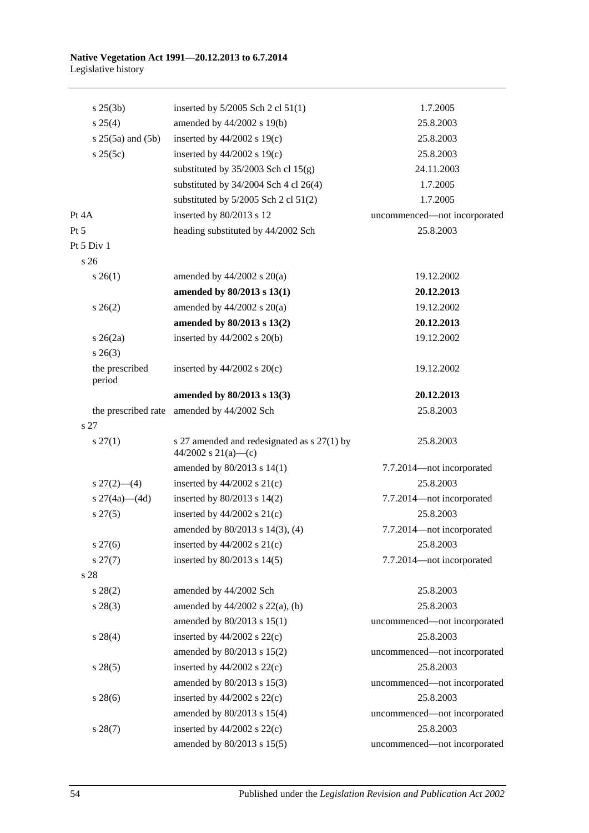#### **Native Vegetation Act 1991—20.12.2013 to 6.7.2014** Legislative history

| $s \; 25(3b)$             | inserted by $5/2005$ Sch 2 cl $51(1)$                              | 1.7.2005                     |
|---------------------------|--------------------------------------------------------------------|------------------------------|
| $s \; 25(4)$              | amended by 44/2002 s 19(b)                                         | 25.8.2003                    |
| $s$ 25(5a) and (5b)       | inserted by $44/2002$ s 19(c)                                      | 25.8.2003                    |
| s 25(5c)                  | inserted by $44/2002$ s 19(c)                                      | 25.8.2003                    |
|                           | substituted by $35/2003$ Sch cl $15(g)$                            | 24.11.2003                   |
|                           | substituted by $34/2004$ Sch 4 cl 26(4)                            | 1.7.2005                     |
|                           | substituted by $5/2005$ Sch 2 cl $51(2)$                           | 1.7.2005                     |
| Pt 4A                     | inserted by 80/2013 s 12                                           | uncommenced-not incorporated |
| Pt 5                      | heading substituted by 44/2002 Sch                                 | 25.8.2003                    |
| Pt 5 Div 1                |                                                                    |                              |
| s 26                      |                                                                    |                              |
| $s \; 26(1)$              | amended by $44/2002$ s $20(a)$                                     | 19.12.2002                   |
|                           | amended by 80/2013 s 13(1)                                         | 20.12.2013                   |
| $s \; 26(2)$              | amended by $44/2002$ s $20(a)$                                     | 19.12.2002                   |
|                           | amended by 80/2013 s 13(2)                                         | 20.12.2013                   |
| $s \; 26(2a)$             | inserted by $44/2002$ s $20(b)$                                    | 19.12.2002                   |
| $s \; 26(3)$              |                                                                    |                              |
| the prescribed<br>period  | inserted by $44/2002$ s $20(c)$                                    | 19.12.2002                   |
|                           | amended by 80/2013 s 13(3)                                         | 20.12.2013                   |
| the prescribed rate       | amended by 44/2002 Sch                                             | 25.8.2003                    |
| s <sub>27</sub>           |                                                                    |                              |
| $s \, 27(1)$              | s 27 amended and redesignated as s 27(1) by<br>44/2002 s 21(a)-(c) | 25.8.2003                    |
|                           | amended by 80/2013 s 14(1)                                         | 7.7.2014-not incorporated    |
| $s \frac{27(2) - (4)}{2}$ | inserted by $44/2002$ s $21(c)$                                    | 25.8.2003                    |
| s $27(4a)$ (4d)           | inserted by $80/2013$ s $14(2)$                                    | 7.7.2014-not incorporated    |
| $s\,27(5)$                | inserted by $44/2002$ s $21(c)$                                    | 25.8.2003                    |
|                           | amended by 80/2013 s 14(3), (4)                                    | 7.7.2014-not incorporated    |
| $s\,27(6)$                | inserted by $44/2002$ s $21(c)$                                    | 25.8.2003                    |
| $s\,27(7)$                | inserted by 80/2013 s 14(5)                                        | 7.7.2014-not incorporated    |
| s 28                      |                                                                    |                              |
| $s\,28(2)$                | amended by 44/2002 Sch                                             | 25.8.2003                    |
| $s\,28(3)$                | amended by $44/2002$ s $22(a)$ , (b)                               | 25.8.2003                    |
|                           | amended by 80/2013 s 15(1)                                         | uncommenced-not incorporated |
| $s\,28(4)$                | inserted by $44/2002$ s $22(c)$                                    | 25.8.2003                    |
|                           | amended by 80/2013 s 15(2)                                         | uncommenced-not incorporated |
| $s\,28(5)$                | inserted by $44/2002$ s $22(c)$                                    | 25.8.2003                    |
|                           | amended by 80/2013 s 15(3)                                         | uncommenced-not incorporated |
| $s\,28(6)$                | inserted by $44/2002$ s $22(c)$                                    | 25.8.2003                    |
|                           | amended by 80/2013 s 15(4)                                         | uncommenced-not incorporated |
| $s\,28(7)$                | inserted by $44/2002$ s $22(c)$                                    | 25.8.2003                    |
|                           | amended by 80/2013 s 15(5)                                         | uncommenced-not incorporated |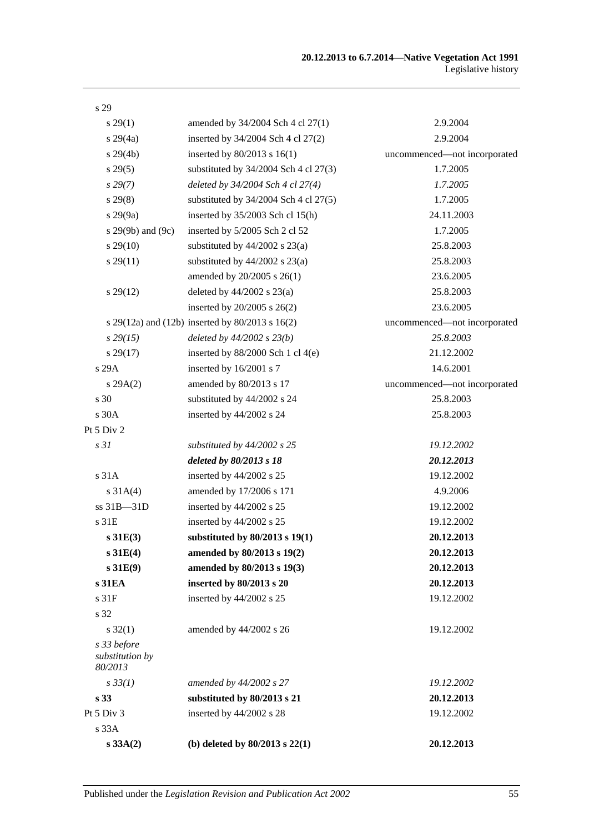| s 29                                      |                                                 |                              |
|-------------------------------------------|-------------------------------------------------|------------------------------|
| $s\,29(1)$                                | amended by 34/2004 Sch 4 cl 27(1)               | 2.9.2004                     |
| $s\,29(4a)$                               | inserted by 34/2004 Sch 4 cl 27(2)              | 2.9.2004                     |
| $s\,29(4b)$                               | inserted by $80/2013$ s $16(1)$                 | uncommenced-not incorporated |
| s 29(5)                                   | substituted by $34/2004$ Sch 4 cl $27(3)$       | 1.7.2005                     |
| $s\,29(7)$                                | deleted by 34/2004 Sch 4 cl 27(4)               | 1.7.2005                     |
| $s\,29(8)$                                | substituted by $34/2004$ Sch 4 cl $27(5)$       | 1.7.2005                     |
| $s\,29(9a)$                               | inserted by 35/2003 Sch cl 15(h)                | 24.11.2003                   |
| s $29(9b)$ and $(9c)$                     | inserted by 5/2005 Sch 2 cl 52                  | 1.7.2005                     |
| $s\,29(10)$                               | substituted by $44/2002$ s $23(a)$              | 25.8.2003                    |
| $s\,29(11)$                               | substituted by $44/2002$ s $23(a)$              | 25.8.2003                    |
|                                           | amended by 20/2005 s 26(1)                      | 23.6.2005                    |
| $s\,29(12)$                               | deleted by $44/2002$ s $23(a)$                  | 25.8.2003                    |
|                                           | inserted by $20/2005$ s $26(2)$                 | 23.6.2005                    |
|                                           | s 29(12a) and (12b) inserted by 80/2013 s 16(2) | uncommenced-not incorporated |
| $s\,29(15)$                               | deleted by $44/2002$ s $23(b)$                  | 25.8.2003                    |
| $s\,29(17)$                               | inserted by $88/2000$ Sch 1 cl 4(e)             | 21.12.2002                   |
| s 29A                                     | inserted by 16/2001 s 7                         | 14.6.2001                    |
| s 29A(2)                                  | amended by 80/2013 s 17                         | uncommenced-not incorporated |
| s 30                                      | substituted by 44/2002 s 24                     | 25.8.2003                    |
| s 30A                                     | inserted by 44/2002 s 24                        | 25.8.2003                    |
| Pt 5 Div 2                                |                                                 |                              |
| s31                                       | substituted by $44/2002$ s 25                   | 19.12.2002                   |
|                                           | deleted by 80/2013 s 18                         | 20.12.2013                   |
| s <sub>31A</sub>                          | inserted by 44/2002 s 25                        | 19.12.2002                   |
| $s \, 31A(4)$                             | amended by 17/2006 s 171                        | 4.9.2006                     |
| $ss31B - 31D$                             | inserted by 44/2002 s 25                        | 19.12.2002                   |
| s 31E                                     | inserted by 44/2002 s 25                        | 19.12.2002                   |
| s31E(3)                                   | substituted by $80/2013$ s $19(1)$              | 20.12.2013                   |
| s31E(4)                                   | amended by 80/2013 s 19(2)                      | 20.12.2013                   |
| s31E(9)                                   | amended by 80/2013 s 19(3)                      | 20.12.2013                   |
| s 31EA                                    | inserted by 80/2013 s 20                        | 20.12.2013                   |
| s 31F                                     | inserted by 44/2002 s 25                        | 19.12.2002                   |
| s 32                                      |                                                 |                              |
| $s \, 32(1)$                              | amended by 44/2002 s 26                         | 19.12.2002                   |
| s 33 before<br>substitution by<br>80/2013 |                                                 |                              |
| $s \, 33(1)$                              | amended by 44/2002 s 27                         | 19.12.2002                   |
| s 33                                      | substituted by 80/2013 s 21                     | 20.12.2013                   |
| Pt 5 Div 3                                | inserted by 44/2002 s 28                        | 19.12.2002                   |
| s 33A                                     |                                                 |                              |
| s 33A(2)                                  | (b) deleted by $80/2013$ s $22(1)$              | 20.12.2013                   |
|                                           |                                                 |                              |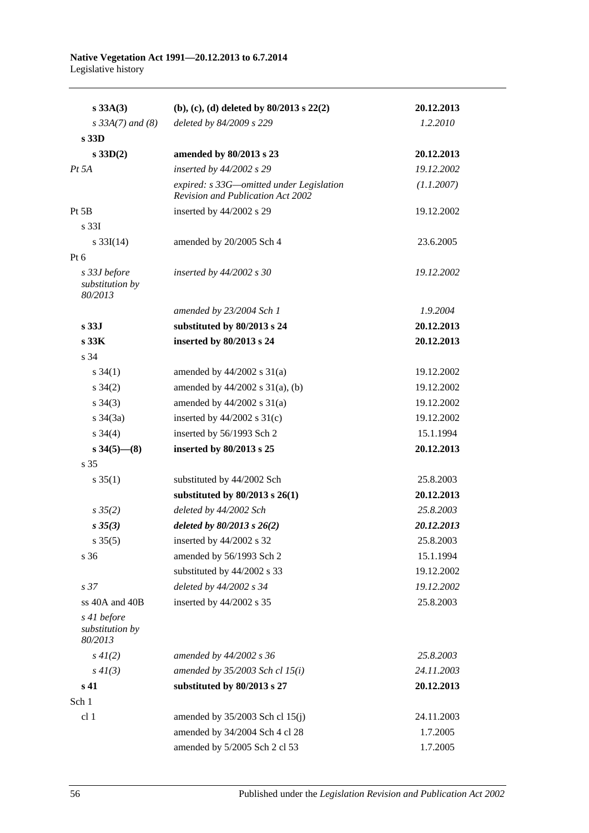| $s\,33A(3)$                                | (b), (c), (d) deleted by $80/2013$ s $22(2)$                                         | 20.12.2013 |
|--------------------------------------------|--------------------------------------------------------------------------------------|------------|
| $s \, 33A(7)$ and (8)                      | deleted by 84/2009 s 229                                                             | 1.2.2010   |
| s 33D                                      |                                                                                      |            |
| s 33D(2)                                   | amended by 80/2013 s 23                                                              | 20.12.2013 |
| $Pt\,5A$                                   | inserted by 44/2002 s 29                                                             | 19.12.2002 |
|                                            | expired: s 33G—omitted under Legislation<br><b>Revision and Publication Act 2002</b> | (1.1.2007) |
| Pt 5B                                      | inserted by 44/2002 s 29                                                             | 19.12.2002 |
| s <sub>331</sub>                           |                                                                                      |            |
| s $33I(14)$                                | amended by 20/2005 Sch 4                                                             | 23.6.2005  |
| Pt $6$                                     |                                                                                      |            |
| s 33J before<br>substitution by<br>80/2013 | inserted by 44/2002 s 30                                                             | 19.12.2002 |
|                                            | amended by 23/2004 Sch 1                                                             | 1.9.2004   |
| s <sub>33J</sub>                           | substituted by 80/2013 s 24                                                          | 20.12.2013 |
| s 33K                                      | inserted by 80/2013 s 24                                                             | 20.12.2013 |
| s 34                                       |                                                                                      |            |
| $s \, 34(1)$                               | amended by $44/2002$ s $31(a)$                                                       | 19.12.2002 |
| $s \; 34(2)$                               | amended by $44/2002$ s $31(a)$ , (b)                                                 | 19.12.2002 |
| $s \; 34(3)$                               | amended by $44/2002$ s $31(a)$                                                       | 19.12.2002 |
| $s \; 34(3a)$                              | inserted by $44/2002$ s $31(c)$                                                      | 19.12.2002 |
| $s \; 34(4)$                               | inserted by 56/1993 Sch 2                                                            | 15.1.1994  |
| $s\,34(5)$ — $(8)$                         | inserted by 80/2013 s 25                                                             | 20.12.2013 |
| s 35                                       |                                                                                      |            |
| $s \, 35(1)$                               | substituted by 44/2002 Sch                                                           | 25.8.2003  |
|                                            | substituted by $80/2013$ s $26(1)$                                                   | 20.12.2013 |
| $s \frac{35}{2}$                           | deleted by 44/2002 Sch                                                               | 25.8.2003  |
| $s \, 35(3)$                               | deleted by $80/2013$ s $26(2)$                                                       | 20.12.2013 |
| $s \, 35(5)$                               | inserted by 44/2002 s 32                                                             | 25.8.2003  |
| s 36                                       | amended by 56/1993 Sch 2                                                             | 15.1.1994  |
|                                            | substituted by 44/2002 s 33                                                          | 19.12.2002 |
| s <sub>37</sub>                            | deleted by 44/2002 s 34                                                              | 19.12.2002 |
| ss 40A and 40B                             | inserted by 44/2002 s 35                                                             | 25.8.2003  |
| s 41 before<br>substitution by<br>80/2013  |                                                                                      |            |
| $s\,4I(2)$                                 | amended by 44/2002 s 36                                                              | 25.8.2003  |
| $s\,4I(3)$                                 | amended by $35/2003$ Sch cl $15(i)$                                                  | 24.11.2003 |
| s 41                                       | substituted by 80/2013 s 27                                                          | 20.12.2013 |
| Sch 1                                      |                                                                                      |            |
| cl 1                                       | amended by $35/2003$ Sch cl $15(j)$                                                  | 24.11.2003 |
|                                            | amended by 34/2004 Sch 4 cl 28                                                       | 1.7.2005   |
|                                            | amended by 5/2005 Sch 2 cl 53                                                        | 1.7.2005   |